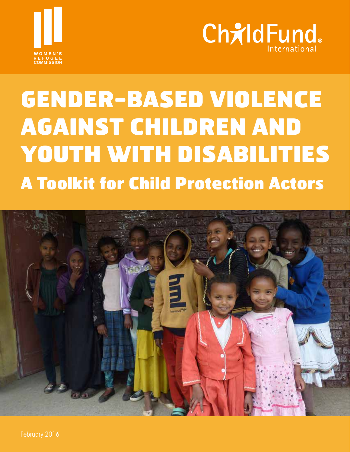



# GENDER-BASED VIOLENCE AGAINST CHILDREN AND YOUTH WITH DISABILITIES A Toolkit for Child Protection Actors

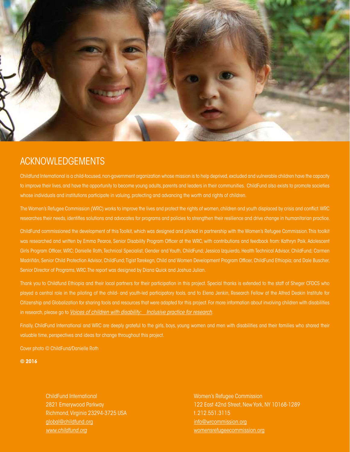

# ACKNOWLEDGEMENTS

Childfund International is a child-focused, non-government organization whose mission is to help deprived, excluded and vulnerable children have the capacity to improve their lives, and have the opportunity to become young adults, parents and leaders in their communities. ChildFund also exists to promote societies whose individuals and institutions participate in valuing, protecting and advancing the worth and rights of children.

The Women's Refugee Commission (WRC) works to improve the lives and protect the rights of women, children and youth displaced by crisis and conflict. WRC researches their needs, identifies solutions and advocates for programs and policies to strengthen their resilience and drive change in humanitarian practice.

ChildFund commissioned the development of this Toolkit, which was designed and piloted in partnership with the Women's Refugee Commission. This toolkit was researched and written by Emma Pearce, Senior Disability Program Officer at the WRC, with contributions and feedback from: Kathryn Paik, Adolescent Girls Program Officer, WRC; Danielle Roth, Technical Specialist, Gender and Youth, ChildFund; Jessica Izquierdo, Health Technical Advisor, ChildFund; Carmen Madriñán, Senior Child Protection Advisor, ChildFund; Tigist Tarekegn, Child and Women Development Program Officer, ChildFund Ethiopia; and Dale Buscher, Senior Director of Programs, WRC. The report was designed by Diana Quick and Joshua Julian.

Thank you to Childfund Ethiopia and their local partners for their participation in this project. Special thanks is extended to the staff of Sheger CFDCS who played a central role in the piloting of the child- and youth-led participatory tools, and to Elena Jenkin, Research Fellow at the Alfred Deakin Institute for Citizenship and Globalization for sharing tools and resources that were adapted for this project. For more information about involving children with disabilities in research, please go to *[Voices of children with disability: Inclusive practice for research](http://www.voicesofchildrenwithdisability.com)*.

Finally, ChildFund International and WRC are deeply grateful to the girls, boys, young women and men with disabilities and their families who shared their valuable time, perspectives and ideas for change throughout this project.

Cover photo © ChildFund/Danielle Roth

**© 2016**

ChildFund International 2821 Emerywood Parkway Richmond, Virginia 23294-3725 USA [global@childfund.org](mailto:global%40childfund.org?subject=) *[www.childfund.org](http://www.childfund.org)*

Women's Refugee Commission 122 East 42nd Street, New York, NY 10168-1289 t. 212.551.3115 [info@wrcommission.org](mailto:info%40commission.org?subject=) [womensrefugeecommission.org](http://womensrefugeecommission.org)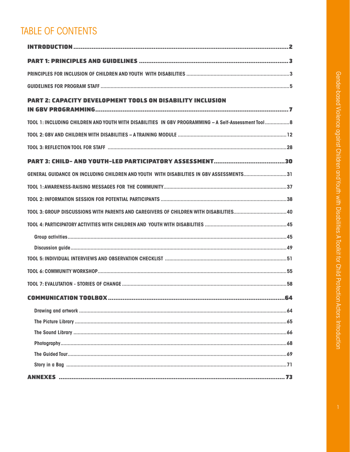# **TABLE OF CONTENTS**

| <b>PART 2: CAPACITY DEVELOPMENT TOOLS ON DISABILITY INCLUSION</b>                                    |    |
|------------------------------------------------------------------------------------------------------|----|
| TOOL 1: INCLUDING CHILDREN AND YOUTH WITH DISABILITIES IN GBV PROGRAMMING - A Self-Assessment Tool 8 |    |
|                                                                                                      |    |
|                                                                                                      |    |
|                                                                                                      |    |
| GENERAL GUIDANCE ON INCLUDING CHILDREN AND YOUTH WITH DISABILITIES IN GBV ASSESSMENTS31              |    |
|                                                                                                      |    |
|                                                                                                      |    |
|                                                                                                      |    |
|                                                                                                      |    |
|                                                                                                      |    |
|                                                                                                      |    |
|                                                                                                      |    |
|                                                                                                      |    |
|                                                                                                      |    |
|                                                                                                      | 64 |
|                                                                                                      |    |
|                                                                                                      |    |
|                                                                                                      |    |
|                                                                                                      |    |
|                                                                                                      |    |
|                                                                                                      |    |
|                                                                                                      |    |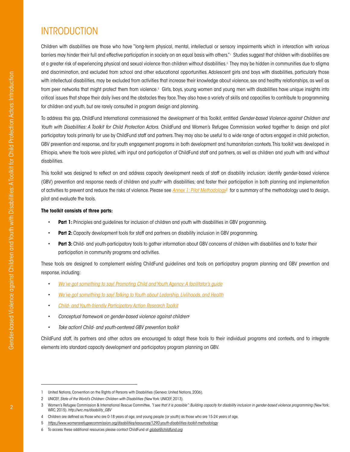# <span id="page-3-0"></span>INTRODUCTION

Children with disabilities are those who have "long-term physical, mental, intellectual or sensory impairments which in interaction with various barriers may hinder their full and effective participation in society on an equal basis with others."1 Studies suggest that children with disabilities are at a greater risk of experiencing physical and sexual violence than children without disabilities.2 They may be hidden in communities due to stigma and discrimination, and excluded from school and other educational opportunities. Adolescent girls and boys with disabilities, particularly those with intellectual disabilities, may be excluded from activities that increase their knowledge about violence, sex and healthy relationships, as well as from peer networks that might protect them from violence.<sup>3</sup> Girls, boys, young women and young men with disabilities have unique insights into critical issues that shape their daily lives and the obstacles they face. They also have a variety of skills and capacities to contribute to programming for children and youth, but are rarely consulted in program design and planning.

To address this gap, ChildFund International commissioned the development of this Toolkit, entitled *Gender-based Violence against Children and Youth with Disabilities: A Toolkit for Child Protection Actors.* ChildFund and Women's Refugee Commission worked together to design and pilot participatory tools primarily for use by ChildFund staff and partners. They may also be useful to a wide range of actors engaged in child protection, GBV prevention and response, and for youth engagement programs in both development and humanitarian contexts. This toolkit was developed in Ethiopia, where the tools were piloted, with input and participation of ChildFund staff and partners, as well as children and youth with and without disabilities.

This toolkit was designed to reflect on and address capacity development needs of staff on disability inclusion; identify gender-based violence (GBV) prevention and response needs of children and youth<sup>4</sup> with disabilities; and foster their participation in both planning and implementation of activities to prevent and reduce the risks of violence. Please see *[Annex 1: Pilot Methodology5](#page-74-1)* for a summary of the methodology used to design, pilot and evaluate the tools.

#### **The toolkit consists of three parts:**

- **Part 1:** Principles and guidelines for inclusion of children and youth with disabilities in GBV programming.
- **Part 2:** Capacity development tools for staff and partners on disability inclusion in GBV programming.
- **Part 3:** Child- and youth-participatory tools to gather information about GBV concerns of children with disabilities and to foster their participation in community programs and activities.

These tools are designed to complement existing ChildFund guidelines and tools on participatory program planning and GBV prevention and response, including:

- *[We've got something to say! Promoting Child and Youth Agency: A facilitator's guide](https://childfundintl.sharepoint.com/sites/programs/ProgramDevelopment/gendernetwork/Gender%20Network%20Library/GBV%20Resources/Tools%20and%20Resources%20for%20Working%20on%20Gender-based%20Violence%20Issues/Weve_Got_Something_To_Say_dvd.pdf)*
- *[We've got something to say! Talking to Youth about Ledership, Livlihoods, and Health](https://childfundintl.sharepoint.com/sites/programs/ProgramDevelopment/gendernetwork/Gender%20Network%20Library/GBV%20Resources/Tools%20and%20Resources%20for%20Working%20on%20Gender-based%20Violence%20Issues/Weve_Got_Something_To_Say_Part2_dvd.pdf)*
- *[Child- and Youth-friendly Participatory Action Research Toolkit](https://childfundintl.sharepoint.com/sites/programs/ProgramDevelopment/Shared%20Documents/Child_Friendly_PAR_Toolkit.pdf#search=Participatory%20Action%20Toolkit)*
- *Conceptual framework on gender-based violence against children*<sup>6</sup>
- *Take action! Child- and youth-centered GBV prevention toolkit*

ChildFund staff, its partners and other actors are encouraged to adapt these tools to their individual programs and contexts, and to integrate elements into standard capacity development and participatory program planning on GBV.

<sup>1</sup> United Nations, Convention on the Rights of Persons with Disabilities (Geneva: United Nations, 2006).

<sup>2</sup> UNICEF, *State of the World's Children: Children with Disabilities* (New York: UNICEF, 2013).

<sup>3</sup> Women's Refugee Commission & International Rescue Committee, "I see that it is possible": Building capacity for disability inclusion in gender-based violence programming (New York: WRC, 2015). *[http://wrc.ms/disability\\_GBV](http://wrc.ms/disability_GBV)*

<sup>4</sup> Children are defined as those who are 0-18 years of age, and young people (or youth) as those who are 15-24 years of age.

<sup>5</sup> *<https://www.womensrefugeecommission.org/disabilities/resources/1290-youth-disabilities-toolkit-methodology>*

<sup>6</sup> To access these additional resources please contact ChildFund at *[global@childfund.org](mailto:global%40childfund.org?subject=)*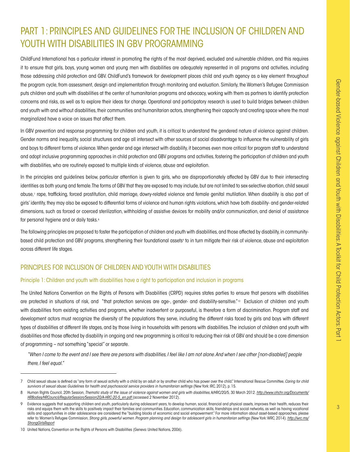# <span id="page-4-0"></span>PART 1: PRINCIPLES AND GUIDELINES FOR THE INCLUSION OF CHILDREN AND YOUTH WITH DISABILITIES IN GBV PROGRAMMING

ChildFund International has a particular interest in promoting the rights of the most deprived, excluded and vulnerable children, and this requires it to ensure that girls, boys, young women and young men with disabilities are adequately represented in all programs and activities, including those addressing child protection and GBV. ChildFund's framework for development places child and youth agency as a key element throughout the program cycle, from assessment, design and implementation through monitoring and evaluation. Similarly, the Women's Refugee Commission puts children and youth with disabilities at the center of humanitarian programs and advocacy, working with them as partners to identify protection concerns and risks, as well as to explore their ideas for change. Operational and participatory research is used to build bridges between children and youth with and without disabilities, their communities and humanitarian actors, strengthening their capacity and creating space where the most marginalized have a voice on issues that affect them.

In GBV prevention and response programming for children and youth, it is critical to understand the gendered nature of violence against children. Gender norms and inequality, social structures and age all intersect with other sources of social disadvantage to influence the vulnerability of girls and boys to different forms of violence. When gender and age intersect with disability, it becomes even more critical for program staff to understand and adopt inclusive programming approaches in child protection and GBV programs and activities, fostering the participation of children and youth with disabilities, who are routinely exposed to multiple kinds of violence, abuse and exploitation.

In the principles and guidelines below, particular attention is given to girls, who are disproportionately affected by GBV due to their intersecting identities as both young and female. The forms of GBV that they are exposed to may include, but are not limited to sex-selective abortion, child sexual abuse,7 rape, trafficking, forced prostitution, child marriage, dowry-related violence and female genital mutilation. When disability is also part of girls' identity, they may also be exposed to differential forms of violence and human rights violations, which have both disability- and gender-related dimensions, such as forced or coerced sterilization, withholding of assistive devices for mobility and/or communication, and denial of assistance for personal hygiene and or daily tasks.<sup>8</sup>

The following principles are proposed to foster the participation of children and youth with disabilities, and those affected by disability, in communitybased child protection and GBV programs, strengthening their foundational assets<sup>,</sup> to in turn mitigate their risk of violence, abuse and exploitation across different life stages.

# <span id="page-4-1"></span>PRINCIPLES FOR INCLUSION OF CHILDREN AND YOUTH WITH DISABILITIES

#### Principle 1: Children and youth with disabilities have a right to participation and inclusion in programs

The United Nations Convention on the Rights of Persons with Disabilities (CRPD) requires states parties to ensure that persons with disabilities are protected in situations of risk, and "that protection services are age-, gender- and disability-sensitive."<sup>10</sup> Exclusion of children and youth with disabilities from existing activities and programs, whether inadvertent or purposeful, is therefore a form of discrimination. Program staff and development actors must recognize the diversity of the populations they serve, including the different risks faced by girls and boys with different types of disabilities at different life stages, and by those living in households with persons with disabilities. The inclusion of children and youth with disabilities and those affected by disability in ongoing and new programming is critical to reducing their risk of GBV and should be a core dimension of programming – not something "special" or separate.

*"When I come to the event and I see there are persons with disabilities, I feel like I am not alone. And when I see other [non-disabled] people there, I feel equal."* 

<sup>7</sup> Child sexual abuse is defined as "any form of sexual activity with a child by an adult or by another child who has power over the child." International Rescue Committee, *Caring for child survivors of sexual abuse: Guidelines for health and psychosocial service providers in humanitarian settings* (New York: IRC, 2012), p. 15.

<sup>8</sup> Human Rights Council, 20th Session, Thematic study of the issue of violence against women and girls with disabilities, A/HRC/20/5, 30 March 2012. [http://www.ohchr.org/Documents/](http://www.ohchr.org/Documents/HRBodies/HRCouncil/RegularSession/Session20/A-HRC-20-5_en.pdf) *[HRBodies/HRCouncil/RegularSession/Session20/A-HRC-20-5\\_en.pdf](http://www.ohchr.org/Documents/HRBodies/HRCouncil/RegularSession/Session20/A-HRC-20-5_en.pdf)* (accessed 2 November 2012).

Evidence suggests that supporting children and youth, particularly during adolescent years, to develop human, social, financial and physical assets, improves their health, reduces their risks and equips them with the skills to positively impact their families and communities. Education, communication skills, friendships and social networks, as well as having vocational skills and opportunities in older adolescence are considered the "building blocks of economic and social empowerment." For more information about asset-based approaches, please refer to: Women's Refugee Commission, *Strong girls, powerful women. Program planning and design for adolescent girls in humanitarian settings* (New York: WRC, 2014). *[http://wrc.ms/](http://wrc.ms/StrongGirlsReport) [StrongGirlsReport](http://wrc.ms/StrongGirlsReport)*

<sup>10</sup> United Nations, Convention on the Rights of Persons with Disabilities (Geneva: United Nations, 2006).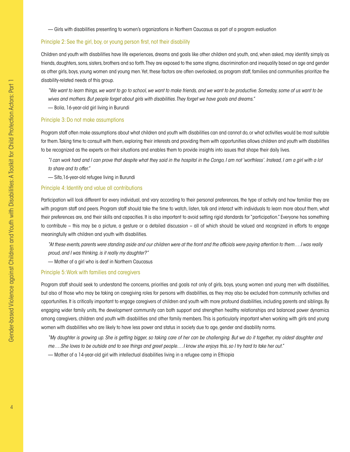— Girls with disabilities presenting to women's organizations in Northern Caucasus as part of a program evaluation

#### Principle 2: See the girl, boy, or young person first, not their disability

Children and youth with disabilities have life experiences, dreams and goals like other children and youth, and, when asked, may identify simply as friends, daughters, sons, sisters, brothers and so forth. They are exposed to the same stigma, discrimination and inequality based on age and gender as other girls, boys, young women and young men. Yet, these factors are often overlooked, as program staff, families and communities prioritize the disability-related needs of this group.

*"We want to learn things, we want to go to school, we want to make friends, and we want to be productive. Someday, some of us want to be wives and mothers. But people forget about girls with disabilities. They forget we have goals and dreams."*

— Bolia, 16-year-old girl living in Burundi

#### Principle 3: Do not make assumptions

Program staff often make assumptions about what children and youth with disabilities can and cannot do, or what activities would be most suitable for them. Taking time to consult with them, exploring their interests and providing them with opportunities allows children and youth with disabilities to be recognized as the experts on their situations and enables them to provide insights into issues that shape their daily lives.

*"I can work hard and I can prove that despite what they said in the hospital in the Congo, I am not 'worthless'. Instead, I am a girl with a lot* 

*to share and to offer."*

— Sifa,16-year-old refugee living in Burundi

#### Principle 4: Identify and value all contributions

Participation will look different for every individual, and vary according to their personal preferences, the type of activity and how familiar they are with program staff and peers. Program staff should take the time to watch, listen, talk and interact with individuals to learn more about them, what their preferences are, and their skills and capacities. It is also important to avoid setting rigid standards for "participation." Everyone has something to contribute – this may be a picture, a gesture or a detailed discussion – all of which should be valued and recognized in efforts to engage meaningfully with children and youth with disabilities.

*"At these events, parents were standing aside and our children were at the front and the officials were paying attention to them….I was really proud, and I was thinking, is it really my daughter?"*

— Mother of a girl who is deaf in Northern Caucasus

#### Principle 5: Work with families and caregivers

Program staff should seek to understand the concerns, priorities and goals not only of girls, boys, young women and young men with disabilities, but also of those who may be taking on caregiving roles for persons with disabilities, as they may also be excluded from community activities and opportunities. It is critically important to engage caregivers of children and youth with more profound disabilities, including parents and siblings. By engaging wider family units, the development community can both support and strengthen healthy relationships and balanced power dynamics among caregivers, children and youth with disabilities and other family members. This is particularly important when working with girls and young women with disabilities who are likely to have less power and status in society due to age, gender and disability norms.

*"My daughter is growing up. She is getting bigger, so taking care of her can be challenging. But we do it together, my oldest daughter and me….She loves to be outside and to see things and greet people.…I know she enjoys this, so I try hard to take her out."*

<span id="page-5-0"></span>— Mother of a 14-year-old girl with intellectual disabilities living in a refugee camp in Ethiopia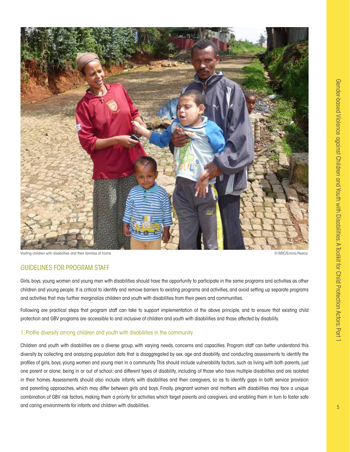

Visiting children with disabilities and their families at home. © WRC/Emma Pearce

### GUIDELINES FOR PROGRAM STAFF

Girls, boys, young women and young men with disabilities should have the opportunity to participate in the same programs and activities as other children and young people. It is critical to identify and remove barriers to existing programs and activities, and avoid setting up separate programs and activities that may further marginalize children and youth with disabilities from their peers and communities.

Following are practical steps that program staff can take to support implementation of the above principle, and to ensure that existing child protection and GBV programs are accessible to and inclusive of children and youth with disabilities and those affected by disability.

#### 1. Profile diversity among children and youth with disabilities in the community

Children and youth with disabilities are a diverse group, with varying needs, concerns and capacities. Program staff can better understand this diversity by collecting and analyzing population data that is disaggregated by sex, age and disability, and conducting assessments to identify the profiles of girls, boys, young women and young men in a community. This should include vulnerability factors, such as living with both parents, just one parent or alone; being in or out of school; and different types of disability, including of those who have multiple disabilities and are isolated in their homes. Assessments should also include infants with disabilities and their caregivers, so as to identify gaps in both service provision and parenting approaches, which may differ between girls and boys. Finally, pregnant women and mothers with disabilities may face a unique combination of GBV risk factors, making them a priority for activities which target parents and caregivers, and enabling them in turn to foster safe and caring environments for infants and children with disabilities.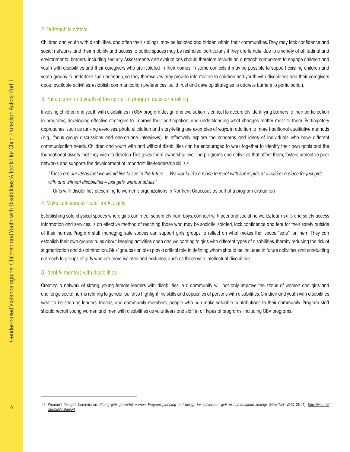#### 2. Outreach is critical

Children and youth with disabilities, and often their siblings, may be isolated and hidden within their communities. They may lack confidence and social networks, and their mobility and access to public spaces may be restricted, particularly if they are female, due to a variety of attitudinal and environmental barriers, including security. Assessments and evaluations should therefore include an outreach component to engage children and youth with disabilities and their caregivers who are isolated in their homes. In some contexts it may be possible to support existing children and youth groups to undertake such outreach, so they themselves may provide information to children and youth with disabilities and their caregivers about available activities, establish communication preferences, build trust and develop strategies to address barriers to participation.

#### 3. Put children and youth at the center of program decision-making

Involving children and youth with disabilities in GBV program design and evaluation is critical to accurately identifying barriers to their participation in programs, developing effective strategies to improve their participation, and understanding what changes matter most to them. Participatory approaches, such as ranking exercises, photo elicitation and story-telling are examples of ways, in addition to more traditional qualitative methods (e.g., focus group discussions and one-on-one interviews), to effectively explore the concerns and ideas of individuals who have different communication needs. Children and youth with and without disabilities can be encouraged to work together to identify their own goals and the foundational assets that they wish to develop. This gives them ownership over the programs and activities that affect them, fosters protective peer networks and supports the development of important life/leadership skills.11

*"These are our ideas that we would like to see in the future….We would like a place to meet with some girls at a café or a place for just girls with and without disabilities – just girls, without adults."* 

– Girls with disabilities presenting to women's organizations in Northern Caucasus as part of a program evaluation

#### 4. Make safe spaces "safe" for ALL girls

Establishing safe physical spaces where girls can meet separately from boys, connect with peer and social networks, learn skills and safely access information and services, is an effective method of reaching those who may be socially isolated, lack confidence and fear for their safety outside of their homes. Program staff managing safe spaces can support girls' groups to reflect on what makes that space "safe" for them. They can establish their own ground rules about keeping activities open and welcoming to girls with different types of disabilities, thereby reducing the risk of stigmatization and discrimination. Girls' groups can also play a critical role in defining whom should be included in future activities, and conducting outreach to groups of girls who are more isolated and excluded, such as those with intellectual disabilities.

#### 5. Identify mentors with disabilities

Creating a network of strong, young female leaders with disabilities in a community will not only improve the status of women and girls and challenge social norms relating to gender, but also highlight the skills and capacities of persons with disabilities. Children and youth with disabilities want to be seen as leaders, friends, and community members; people who can make valuable contributions to their community. Program staff should recruit young women and men with disabilities as volunteers and staff in all types of programs, including GBV programs.

<sup>11</sup> Women's Refugee Commission, *Strong girls, powerful women. Program planning and design for adolescent girls in humanitarian settings* (New York: WRC, 2014). *[http://wrc.ms/](http://wrc.ms/StrongGirlsReport) [StrongGirlsReport](http://wrc.ms/StrongGirlsReport)*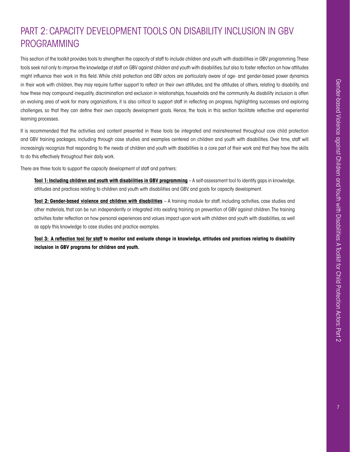# <span id="page-8-0"></span>PART 2: CAPACITY DEVELOPMENT TOOLS ON DISABILITY INCLUSION IN GBV PROGRAMMING

This section of the toolkit provides tools to strengthen the capacity of staff to include children and youth with disabilities in GBV programming. These tools seek not only to improve the knowledge of staff on GBV against children and youth with disabilities, but also to foster reflection on how attitudes might influence their work in this field. While child protection and GBV actors are particularly aware of age- and gender-based power dynamics in their work with children, they may require further support to reflect on their own attitudes, and the attitudes of others, relating to disability, and how these may compound inequality, discrimination and exclusion in relationships, households and the community. As disability inclusion is often an evolving area of work for many organizations, it is also critical to support staff in reflecting on progress, highlighting successes and exploring challenges, so that they can define their own capacity development goals. Hence, the tools in this section facilitate reflective and experiential learning processes.

It is recommended that the activities and content presented in these tools be integrated and mainstreamed throughout core child protection and GBV training packages, including through case studies and examples centered on children and youth with disabilities. Over time, staff will increasingly recognize that responding to the needs of children and youth with disabilities is a core part of their work and that they have the skills to do this effectively throughout their daily work.

There are three tools to support the capacity development of staff and partners:

**Tool 1: Including children and youth with disabilities in GBV programming** – A self-assessment tool to identify gaps in knowledge, attitudes and practices relating to children and youth with disabilities and GBV, and goals for capacity development.

**Tool 2: Gender-based violence and children with disabilities** – A training module for staff, including activities, case studies and other materials, that can be run independently or integrated into existing training on prevention of GBV against children. The training activities foster reflection on how personal experiences and values impact upon work with children and youth with disabilities, as well as apply this knowledge to case studies and practice examples.

**Tool 3: A reflection tool for staff to monitor and evaluate change in knowledge, attitudes and practices relating to disability inclusion in GBV programs for children and youth.**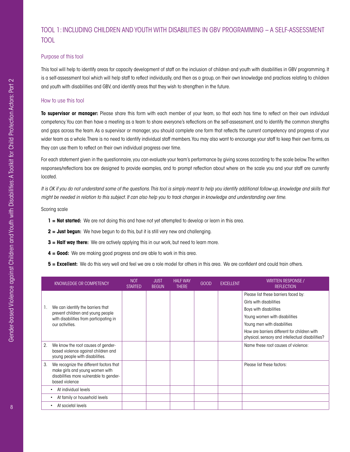# <span id="page-9-0"></span>[TOOL 1: I](#page-9-0)NCLUDING CHILDREN AND YOUTH WITH DISABILITIES IN GBV PROGRAMMING – A SELF-ASSESSMENT TOOL

#### Purpose of this tool

This tool will help to identify areas for capacity development of staff on the inclusion of children and youth with disabilities in GBV programming. It is a self-assessment tool which will help staff to reflect individually, and then as a group, on their own knowledge and practices relating to children and youth with disabilities and GBV, and identify areas that they wish to strengthen in the future.

#### How to use this tool

**To supervisor or manager:** Please share this form with each member of your team, so that each has time to reflect on their own individual competency. You can then have a meeting as a team to share everyone's reflections on the self-assessment, and to identify the common strengths and gaps across the team. As a supervisor or manager, you should complete one form that reflects the current competency and progress of your wider team as a whole. There is no need to identify individual staff members. You may also want to encourage your staff to keep their own forms, as they can use them to reflect on their own individual progress over time.

For each statement given in the questionnaire, you can evaluate your team's performance by giving scores according to the scale below. The written responses/reflections box are designed to provide examples, and to prompt reflection about where on the scale you and your staff are currently located.

*It is OK if you do not understand some of the questions. This tool is simply meant to help you identify additional follow-up, knowledge and skills that might be needed in relation to this subject. It can also help you to track changes in knowledge and understanding over time.*

Scoring scale

- **1 = Not started:** We are not doing this and have not yet attempted to develop or learn in this area.
- **2 = Just begun:** We have begun to do this, but it is still very new and challenging.
- **3 = Half way there:** We are actively applying this in our work, but need to learn more.
- **4 = Good:** We are making good progress and are able to work in this area.
- **5 = Excellent:** We do this very well and feel we are a role model for others in this area. We are confident and could train others.

|    | KNOWLEDGE OR COMPETENCY                                                                                                                 | <b>NOT</b><br><b>STARTED</b> | <b>JUST</b><br><b>BEGUN</b> | <b>HALF WAY</b><br><b>THERE</b> | <b>GOOD</b> | <b>EXCELLENT</b> | <b>WRITTEN RESPONSE /</b><br><b>REFLECTION</b>                                                   |
|----|-----------------------------------------------------------------------------------------------------------------------------------------|------------------------------|-----------------------------|---------------------------------|-------------|------------------|--------------------------------------------------------------------------------------------------|
|    |                                                                                                                                         |                              |                             |                                 |             |                  | Please list these barriers faced by:                                                             |
|    |                                                                                                                                         |                              |                             |                                 |             |                  | Girls with disabilities                                                                          |
|    | We can identify the barriers that<br>prevent children and young people                                                                  |                              |                             |                                 |             |                  | Boys with disabilities                                                                           |
|    | with disabilities from participating in                                                                                                 |                              |                             |                                 |             |                  | Young women with disabilities                                                                    |
|    | our activities.                                                                                                                         |                              |                             |                                 |             |                  | Young men with disabilities                                                                      |
|    |                                                                                                                                         |                              |                             |                                 |             |                  | How are barriers different for children with<br>physical, sensory and intellectual disabilities? |
| 2. | We know the root causes of gender-<br>based violence against children and<br>young people with disabilities.                            |                              |                             |                                 |             |                  | Name these root causes of violence:                                                              |
| 3. | We recognize the different factors that<br>make girls and young women with<br>disabilities more vulnerable to gender-<br>based violence |                              |                             |                                 |             |                  | Please list these factors:                                                                       |
|    | At individual levels                                                                                                                    |                              |                             |                                 |             |                  |                                                                                                  |
|    | At family or household levels                                                                                                           |                              |                             |                                 |             |                  |                                                                                                  |
|    | At societal levels                                                                                                                      |                              |                             |                                 |             |                  |                                                                                                  |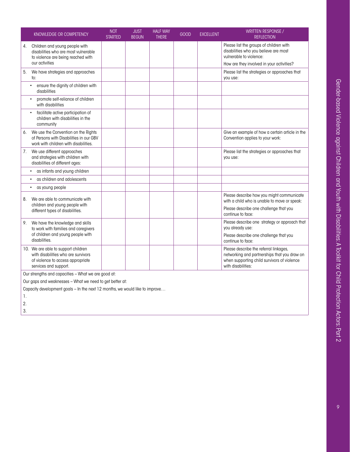|    | KNOWLEDGE OR COMPETENCY                                                                                                                  | <b>NOT</b><br><b>STARTED</b> | <b>JUST</b><br><b>BEGUN</b> | <b>HALF WAY</b><br><b>THERE</b> | GOOD | <b>EXCELLENT</b> | <b>WRITTEN RESPONSE /</b><br><b>REFLECTION</b>                                                                                                              |
|----|------------------------------------------------------------------------------------------------------------------------------------------|------------------------------|-----------------------------|---------------------------------|------|------------------|-------------------------------------------------------------------------------------------------------------------------------------------------------------|
| 4. | Children and young people with<br>disabilities who are most vulnerable<br>to violence are being reached with                             |                              |                             |                                 |      |                  | Please list the groups of children with<br>disabilities who you believe are most<br>vulnerable to violence:                                                 |
|    | our activities                                                                                                                           |                              |                             |                                 |      |                  | How are they involved in your activities?                                                                                                                   |
| 5. | We have strategies and approaches<br>to:                                                                                                 |                              |                             |                                 |      |                  | Please list the strategies or approaches that<br>you use:                                                                                                   |
|    | ensure the dignity of children with<br>disabilities                                                                                      |                              |                             |                                 |      |                  |                                                                                                                                                             |
|    | promote self-reliance of children<br>with disabilities                                                                                   |                              |                             |                                 |      |                  |                                                                                                                                                             |
|    | facilitate active participation of<br>children with disabilities in the<br>community                                                     |                              |                             |                                 |      |                  |                                                                                                                                                             |
| 6. | We use the Convention on the Rights<br>of Persons with Disabilities in our GBV<br>work with children with disabilities.                  |                              |                             |                                 |      |                  | Give an example of how a certain article in the<br>Convention applies to your work:                                                                         |
| 7. | We use different approaches<br>and strategies with children with<br>disabilities of different ages:                                      |                              |                             |                                 |      |                  | Please list the strategies or approaches that<br>you use:                                                                                                   |
|    | as infants and young children                                                                                                            |                              |                             |                                 |      |                  |                                                                                                                                                             |
|    | as children and adolescents                                                                                                              |                              |                             |                                 |      |                  |                                                                                                                                                             |
|    | as young people                                                                                                                          |                              |                             |                                 |      |                  |                                                                                                                                                             |
| 8. | We are able to communicate with                                                                                                          |                              |                             |                                 |      |                  | Please describe how you might communicate<br>with a child who is unable to move or speak:                                                                   |
|    | children and young people with<br>different types of disabilities.                                                                       |                              |                             |                                 |      |                  | Please describe one challenge that you<br>continue to face:                                                                                                 |
| 9. | We have the knowledge and skills<br>to work with families and caregivers                                                                 |                              |                             |                                 |      |                  | Please describe one strategy or approach that<br>you already use:                                                                                           |
|    | of children and young people with<br>disabilities.                                                                                       |                              |                             |                                 |      |                  | Please describe one challenge that you<br>continue to face:                                                                                                 |
|    | 10. We are able to support children<br>with disabilities who are survivors<br>of violence to access appropriate<br>services and support. |                              |                             |                                 |      |                  | Please describe the referral linkages,<br>networking and partnerships that you draw on<br>when supporting child survivors of violence<br>with disabilities: |
|    | Our strengths and capacities - What we are good at:                                                                                      |                              |                             |                                 |      |                  |                                                                                                                                                             |

Our gaps and weaknesses – What we need to get better at:

Capacity development goals – In the next 12 months, we would like to improve…

1.

2.

3.

 $\overline{9}$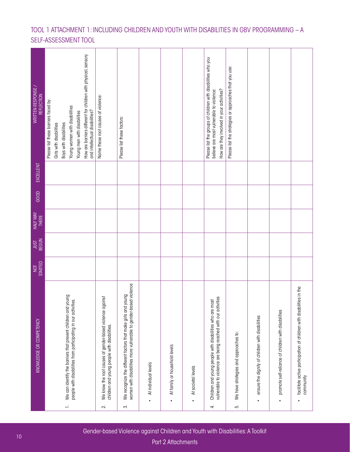# TOOL 1 ATTACHMENT 1: INCLUDING CHILDREN AND YOUTH WITH DISABILITIES IN GBV PROGRAMMING – A SELF-ASSESSMENT TOOL

| <b>WRITTEN RESPONSE</b><br><b>REFLECTION</b> | How are barriers different for children with physical, sensory<br>Please list these barriers faced by:<br>Young women with disabilities<br>and intellectual disabilities?<br>Young men with disabilities<br>Boys with disabilities<br>Girls with disabilities | Name these root causes of violence:                                                                            | Please list these factors:                                                                                                            |                      |                                            |                                 | Please list the groups of children with disabilities who you<br>How are they involved in your activities?<br>believe are most vulnerable to violence: | Please list the strategies or approaches that you use: |                                                  |                                                                  |                                                                                        |
|----------------------------------------------|---------------------------------------------------------------------------------------------------------------------------------------------------------------------------------------------------------------------------------------------------------------|----------------------------------------------------------------------------------------------------------------|---------------------------------------------------------------------------------------------------------------------------------------|----------------------|--------------------------------------------|---------------------------------|-------------------------------------------------------------------------------------------------------------------------------------------------------|--------------------------------------------------------|--------------------------------------------------|------------------------------------------------------------------|----------------------------------------------------------------------------------------|
| EXCELLENT                                    |                                                                                                                                                                                                                                                               |                                                                                                                |                                                                                                                                       |                      |                                            |                                 |                                                                                                                                                       |                                                        |                                                  |                                                                  |                                                                                        |
| GOOD                                         |                                                                                                                                                                                                                                                               |                                                                                                                |                                                                                                                                       |                      |                                            |                                 |                                                                                                                                                       |                                                        |                                                  |                                                                  |                                                                                        |
| HALF WAY<br>THERE                            |                                                                                                                                                                                                                                                               |                                                                                                                |                                                                                                                                       |                      |                                            |                                 |                                                                                                                                                       |                                                        |                                                  |                                                                  |                                                                                        |
| <b>BEGUN</b><br><b>LSIN</b>                  |                                                                                                                                                                                                                                                               |                                                                                                                |                                                                                                                                       |                      |                                            |                                 |                                                                                                                                                       |                                                        |                                                  |                                                                  |                                                                                        |
| STARTED<br><b>NOT</b>                        |                                                                                                                                                                                                                                                               |                                                                                                                |                                                                                                                                       |                      |                                            |                                 |                                                                                                                                                       |                                                        |                                                  |                                                                  |                                                                                        |
| KNOWLEDGE OR COMPETENCY                      | We can identify the barriers that prevent children and young<br>people with disabilities from participating in our activities.<br>Ξ,                                                                                                                          | We know the root causes of gender-based violence against<br>children and young people with disabilities.<br>2. | women with disabilities more vulnerable to gender-based violence<br>We recognize the different factors that make girls and young<br>က | At individual levels | At family or household levels<br>$\bullet$ | At societal levels<br>$\bullet$ | vulnerable to violence are being reached with our activities<br>Children and young people with disabilities who are most<br>4                         | We have strategies and approaches to:<br>زما           | ensure the dignity of children with disabilities | promote self-reliance of children with disabilities<br>$\bullet$ | ities in the<br>facilitate active participation of children with disabili<br>community |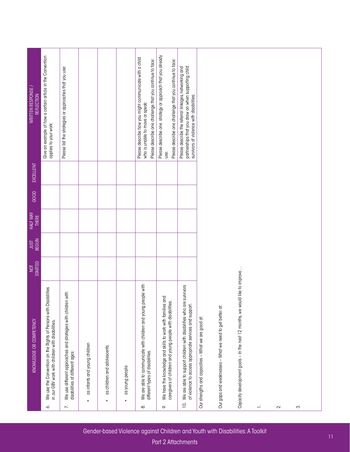| KNOWLEDGE OR COMPETENCY                                                                                                                      | <b>STARTED</b><br>NOT | <b>JUST</b><br>BEGUN | <b>HALF WAY</b><br><b>THERE</b> | GOOD | EXCELLENT | WRITTEN RESPONSE /<br>REFLECTION                                                                                                                         |
|----------------------------------------------------------------------------------------------------------------------------------------------|-----------------------|----------------------|---------------------------------|------|-----------|----------------------------------------------------------------------------------------------------------------------------------------------------------|
| We use the Convention on the Rights of Persons with Disabilities<br>in our GBV work with children with disabilities.<br>∽                    |                       |                      |                                 |      |           | Give an example of how a certain article in the Convention<br>applies to your work:                                                                      |
| We use different approaches and strategies with children with<br>disabilities of different ages:<br>$\ddot{\sim}$                            |                       |                      |                                 |      |           | Please list the strategies or approaches that you use:                                                                                                   |
| as infants and young children<br>$\bullet$                                                                                                   |                       |                      |                                 |      |           |                                                                                                                                                          |
| as children and adolescents<br>$\bullet$                                                                                                     |                       |                      |                                 |      |           |                                                                                                                                                          |
| as young people<br>$\bullet$                                                                                                                 |                       |                      |                                 |      |           |                                                                                                                                                          |
| We are able to communicate with children and young people with<br>different types of disabilities.<br>∞                                      |                       |                      |                                 |      |           | Please describe how you might communicate with a child<br>Please describe one challenge that you continue to face:<br>who is unable to move or speak:    |
| and<br>caregivers of children and young people with disabilities.<br>We have the knowledge and skills to work with families<br>$\infty$      |                       |                      |                                 |      |           | Please describe one strategy or approach that you already<br>Please describe one challenge that you continue to face:<br>use:                            |
| e survivors<br>We are able to support children with disabilities who are<br>of violence to access appropriate services and support.<br>$\Xi$ |                       |                      |                                 |      |           | partnerships that you draw on when supporting child<br>Please describe the referral linkages, networking and<br>survivors of violence with disabilities: |
| Our strengths and capacities - What we are good at:                                                                                          |                       |                      |                                 |      |           |                                                                                                                                                          |
| Our gaps and weaknesses - What we need to get better at:                                                                                     |                       |                      |                                 |      |           |                                                                                                                                                          |
| Capacity development goals - In the next 12 months, we would like to improve                                                                 |                       |                      |                                 |      |           |                                                                                                                                                          |
| $\overline{\phantom{a}}$                                                                                                                     |                       |                      |                                 |      |           |                                                                                                                                                          |
| $\sim$                                                                                                                                       |                       |                      |                                 |      |           |                                                                                                                                                          |
| က                                                                                                                                            |                       |                      |                                 |      |           |                                                                                                                                                          |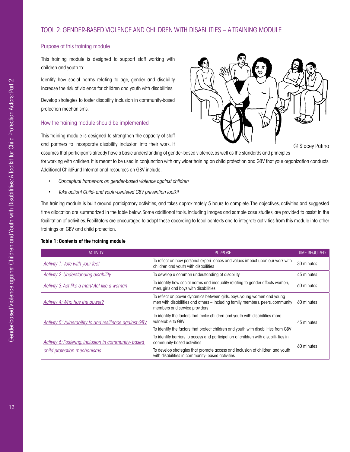#### <span id="page-13-0"></span>Purpose of this training module

This training module is designed to support staff working with children and youth to:

Identify how social norms relating to age, gender and disability increase the risk of violence for children and youth with disabilities.

Develop strategies to foster disability inclusion in community-based protection mechanisms.

### How the training module should be implemented

This training module is designed to strengthen the capacity of staff and partners to incorporate disability inclusion into their work. It



© Stacey Patino

assumes that participants already have a basic understanding of gender-based violence, as well as the standards and principles for working with children. It is meant to be used in conjunction with any wider training on child protection and GBV that your organization conducts. Additional ChildFund International resources on GBV include:

- *• Conceptual framework on gender-based violence against children*
- *• Take action! Child- and youth-centered GBV prevention toolkit*

The training module is built around participatory activities, and takes approximately 5 hours to complete. The objectives, activities and suggested time allocation are summarized in the table below. Some additional tools, including images and sample case studies, are provided to assist in the facilitation of activities. Facilitators are encouraged to adapt these according to local contexts and to integrate activities from this module into other trainings on GBV and child protection.

#### **Table 1: Contents of the training module**

| <b>ACTIVITY</b>                                                | <b>PURPOSE</b>                                                                                                                                                                            | time required |
|----------------------------------------------------------------|-------------------------------------------------------------------------------------------------------------------------------------------------------------------------------------------|---------------|
| <b>Activity 1: Vote with your feet</b>                         | To reflect on how personal experi- ences and values impact upon our work with<br>children and youth with disabilities                                                                     | 30 minutes    |
| <b>Activity 2: Understanding disability</b>                    | To develop a common understanding of disability                                                                                                                                           | 45 minutes    |
| Activity 3: Act like a man/ Act like a woman                   | To identify how social norms and inequality relating to gender affects women,<br>men, girls and boys with disabilities                                                                    | 60 minutes    |
| <b>Activity 4: Who has the power?</b>                          | To reflect on power dynamics between girls, boys, young women and young<br>men with disabilities and others - including family members, peers, community<br>members and service providers | 60 minutes    |
| <b>Activity 5: Vulnerability to and resilience against GBV</b> | To identify the factors that make children and youth with disabilities more<br>vulnerable to GBV                                                                                          | 45 minutes    |
|                                                                | To identify the factors that protect children and youth with disabilities from GBV                                                                                                        |               |
| <b>Activity 6: Fostering, inclusion in community- based</b>    | To identify barriers to access and participation of children with disabili- ties in<br>community-based activities                                                                         |               |
| child protection mechanisms                                    | To develop strategies that promote access and inclusion of children and youth<br>with disabilities in community- based activities                                                         | 60 minutes    |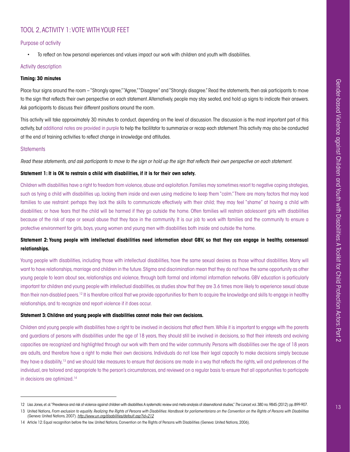# <span id="page-14-0"></span>TOOL 2, ACTIVITY 1: VOTE WITH YOUR FEET

#### Purpose of activity

• To reflect on how personal experiences and values impact our work with children and youth with disabilities.

#### Activity description

#### **Timing: 30 minutes**

Place four signs around the room – "Strongly agree," "Agree," "Disagree" and "Strongly disagree." Read the statements, then ask participants to move to the sign that reflects their own perspective on each statement. Alternatively, people may stay seated, and hold up signs to indicate their answers. Ask participants to discuss their different positions around the room.

This activity will take approximately 30 minutes to conduct, depending on the level of discussion. The discussion is the most important part of this activity, but additional notes are provided in purple to help the facilitator to summarize or recap each statement. This activity may also be conducted at the end of training activities to reflect change in knowledge and attitudes.

#### **Statements**

*Read these statements, and ask participants to move to the sign or hold up the sign that reflects their own perspective on each statement.*

#### **Statement 1: It is OK to restrain a child with disabilities, if it is for their own safety.**

Children with disabilities have a right to freedom from violence, abuse and exploitation. Families may sometimes resort to negative coping strategies, such as tying a child with disabilities up, locking them inside and even using medicine to keep them "calm." There are many factors that may lead families to use restraint: perhaps they lack the skills to communicate effectively with their child; they may feel "shame" at having a child with disabilities; or have fears that the child will be harmed if they go outside the home. Often families will restrain adolescent girls with disabilities because of the risk of rape or sexual abuse that they face in the community. It is our job to work with families and the community to ensure a protective environment for girls, boys, young women and young men with disabilities both inside and outside the home.

### **Statement 2: Young people with intellectual disabilities need information about GBV, so that they can engage in healthy, consensual relationships.**

Young people with disabilities, including those with intellectual disabilities, have the same sexual desires as those without disabilities. Many will want to have relationships, marriage and children in the future. Stigma and discrimination mean that they do not have the same opportunity as other young people to learn about sex, relationships and violence, through both formal and informal information networks. GBV education is particularly important for children and young people with intellectual disabilities, as studies show that they are 3.6 times more likely to experience sexual abuse than their non-disabled peers.12 It is therefore critical that we provide opportunities for them to acquire the knowledge and skills to engage in healthy relationships, and to recognize and report violence if it does occur.

#### **Statement 3: Children and young people with disabilities cannot make their own decisions.**

Children and young people with disabilities have a right to be involved in decisions that affect them. While it is important to engage with the parents and guardians of persons with disabilities under the age of 18 years, they should still be involved in decisions, so that their interests and evolving capacities are recognized and highlighted through our work with them and the wider community. Persons with disabilities over the age of 18 years are adults, and therefore have a right to make their own decisions. Individuals do not lose their legal capacity to make decisions simply because they have a disability,<sup>13</sup> and we should take measures to ensure that decisions are made in a way that reflects the rights, will and preferences of the individual, are tailored and appropriate to the person's circumstances, and reviewed on a regular basis to ensure that all opportunities to participate in decisions are optimized.14

<sup>12</sup> Lisa Jones, et. al. "Prevalence and risk of violence against children with disabilities: A systematic review and meta-analysis of observational studies," *The Lancet*, vol. 380 no. 9845 (2012): pp. 899-907.

<sup>13</sup> United Nations, From exclusion to equality. Realizing the Rights of Persons with Disabilities: Handbook for parliamentarians on the Convention on the Rights of Persons with Disabilities (Geneva: United Nations, 2007). *<http://www.un.org/disabilities/default.asp?id=212>*

<sup>14</sup> Article 12: Equal recognition before the law. United Nations, Convention on the Rights of Persons with Disabilities (Geneva: United Nations, 2006).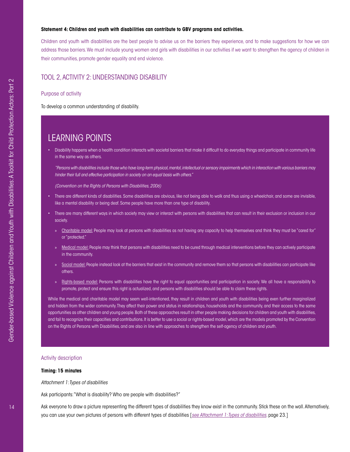#### **Statement 4: Children and youth with disabilities can contribute to GBV programs and activities.**

Children and youth with disabilities are the best people to advise us on the barriers they experience, and to make suggestions for how we can address those barriers. We must include young women and girls with disabilities in our activities if we want to strengthen the agency of children in their communities, promote gender equality and end violence.

#### <span id="page-15-0"></span>TOOL 2, ACTIVITY 2: UNDERSTANDING DISABILITY

Purpose of activity

To develop a common understanding of disability.

# LEARNING POINTS

• Disability happens when a health condition interacts with societal barriers that make it difficult to do everyday things and participate in community life in the same way as others.

*"Persons with disabilities include those who have long-term physical, mental, intellectual or sensory impairments which in interaction with various barriers may hinder their full and effective participation in society on an equal basis with others."* 

*(Convention on the Rights of Persons with Disabilities, 2006)*

- There are different kinds of disabilities. Some disabilities are obvious, like not being able to walk and thus using a wheelchair, and some are invisible, like a mental disability or being deaf. Some people have more than one type of disability.
- There are many different ways in which society may view or interact with persons with disabilities that can result in their exclusion or inclusion in our society.
	- » Charitable model: People may look at persons with disabilities as not having any capacity to help themselves and think they must be "cared for" or "protected."
	- » Medical model: People may think that persons with disabilities need to be cured through medical interventions before they can actively participate in the community.
	- » Social model: People instead look at the barriers that exist in the community and remove them so that persons with disabilities can participate like others.
	- » Rights-based model: Persons with disabilities have the right to equal opportunities and participation in society. We all have a responsibility to promote, protect and ensure this right is actualized, and persons with disabilities should be able to claim these rights.

While the medical and charitable model may seem well-intentioned, they result in children and youth with disabilities being even further marginalized and hidden from the wider community. They affect their power and status in relationships, households and the community, and their access to the same opportunities as other children and young people. Both of these approaches result in other people making decisions for children and youth with disabilities, and fail to recognize their capacities and contributions. It is better to use a social or rights-based model, which are the models promoted by the Convention on the Rights of Persons with Disabilities, and are also in line with approaches to strengthen the self-agency of children and youth.

#### Activity description

#### **Timing: 15 minutes**

*Attachment 1: Types of disabilities*

Ask participants: "What is disability? Who are people with disabilities?"

Ask everyone to draw a picture representing the different types of disabilities they know exist in the community. Stick these on the wall. Alternatively, you can use your own pictures of persons with different types of disabilities [*[see Attachment 1: Types of disabilities](#page-24-0)*. page 23.]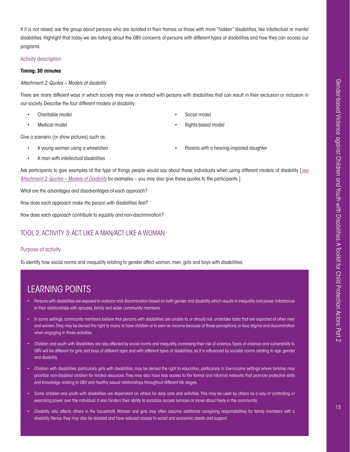If it is not raised, ask the group about persons who are isolated in their homes, or those with more "hidden" disabilities, like intellectual or mental disabilities. Highlight that today we are talking about the GBV concerns of persons with different types of disabilities and how they can access our programs.

#### Activity description

#### **Timing: 30 minutes**

*Attachment 2: Quotes – Models of disability*

There are many different ways in which society may view or interact with persons with disabilities that can result in their exclusion or inclusion in our society. Describe the four different models of disability:

Charitable model

Medical model

- Social model
- Rights-based model

Give a scenario (or show pictures) such as:

- A young woman using a wheelchair
- Parents with a hearing-impaired daughter
- A man with intellectual disabilities

Ask participants to give examples of the type of things people would say about these individuals when using different models of disability [*[see](#page-25-0) [Attachment 2: Quotes – Models of Disability](#page-25-0)* for examples – you may also give these quotes to the participants.]

What are the advantages and disadvantages of each approach?

How does each approach make the person with disabilities feel?

How does each approach contribute to equality and non-discrimination?

### <span id="page-16-0"></span>TOOL 2, ACTIVITY 3: ACT LIKE A MAN/ACT LIKE A WOMAN

#### Purpose of activity

To identify how social norms and inequality relating to gender affect women, men, girls and boys with disabilities.

# LEARNING POINTS

- Persons with disabilities are exposed to violence and discrimination based on both gender and disability, which results in inequality and power imbalances in their relationships with spouses, family and wider community members.
- In some settings, community members believe that persons with disabilities are unable to, or should not, undertake tasks that are expected of other men and women. They may be denied the right to marry, to have children or to earn an income because of these perceptions, or face stigma and discrimination when engaging in those activities.
- Children and youth with disabilities are also affected by social norms and inequality, increasing their risk of violence. Types of violence and vulnerability to GBV will be different for girls and boys of different ages and with different types of disabilities, as it is influenced by societal norms relating to age, gender and disability.
- Children with disabilities, particularly girls with disabilities, may be denied the right to education, particularly in low-income settings where families may prioritize non-disabled children for limited resources. They may also have less access to the formal and informal networks that promote protective skills and knowledge relating to GBV and healthy sexual relationships throughout different life stages.
- Some children and youth with disabilities are dependent on others for daily care and activities. This may be used by others as a way of controlling or exercising power over the individual. It also hinders their ability to socialize, access services or move about freely in the community.
- Disability also affects others in the household. Women and girls may often assume additional caregiving responsibilities for family members with a disability. Hence, they may also be isolated and have reduced access to social and economic assets and support.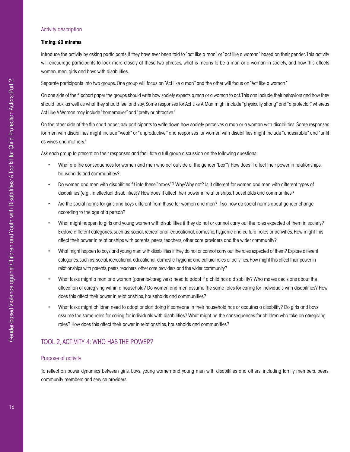#### Activity description

#### **Timing: 60 minutes**

Introduce the activity by asking participants if they have ever been told to "act like a man" or "act like a woman" based on their gender. This activity will encourage participants to look more closely at these two phrases, what is means to be a man or a woman in society, and how this affects women, men, girls and boys with disabilities.

Separate participants into two groups. One group will focus on "Act like a man" and the other will focus on "Act like a woman."

On one side of the flipchart paper the groups should write how society expects a man or a woman to act. This can include their behaviors and how they should look, as well as what they should feel and say. Some responses for Act Like A Man might include "physically strong" and "a protector," whereas Act Like A Woman may include "homemaker" and "pretty or attractive."

On the other side of the flip chart paper, ask participants to write down how society perceives a man or a woman with disabilities. Some responses for men with disabilities might include "weak" or "unproductive," and responses for women with disabilities might include "undesirable" and "unfit as wives and mothers."

Ask each group to present on their responses and facilitate a full group discussion on the following questions:

- What are the consequences for women and men who act outside of the gender "box"? How does it affect their power in relationships, households and communities?
- Do women and men with disabilities fit into these "boxes"? Why/Why not? Is it different for women and men with different types of disabilities (e.g., intellectual disabilities)? How does it affect their power in relationships, households and communities?
- Are the social norms for girls and boys different from those for women and men? If so, how do social norms about gender change according to the age of a person?
- What might happen to girls and young women with disabilities if they do not or cannot carry out the roles expected of them in society? Explore different categories, such as: social, recreational, educational, domestic, hygienic and cultural roles or activities. How might this affect their power in relationships with parents, peers, teachers, other care providers and the wider community?
- What might happen to boys and young men with disabilities if they do not or cannot carry out the roles expected of them? Explore different categories, such as: social, recreational, educational, domestic, hygienic and cultural roles or activities. How might this affect their power in relationships with parents, peers, teachers, other care providers and the wider community?
- What tasks might a man or a woman (parents/caregivers) need to adopt if a child has a disability? Who makes decisions about the allocation of caregiving within a household? Do women and men assume the same roles for caring for individuals with disabilities? How does this affect their power in relationships, households and communities?
- What tasks might children need to adopt or start doing if someone in their household has or acquires a disability? Do girls and boys assume the same roles for caring for individuals with disabilities? What might be the consequences for children who take on caregiving roles? How does this affect their power in relationships, households and communities?

### <span id="page-17-0"></span>TOOL 2, ACTIVITY 4: WHO HAS THE POWER?

#### Purpose of activity

To reflect on power dynamics between girls, boys, young women and young men with disabilities and others, including family members, peers, community members and service providers.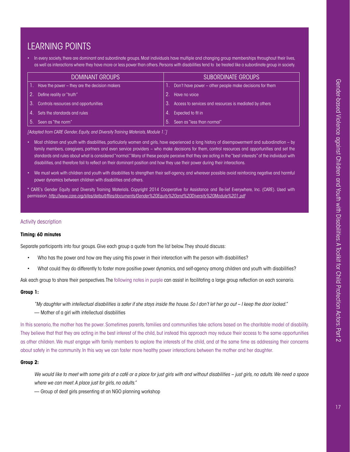# LEARNING POINTS

• In every society, there are dominant and subordinate groups. Most individuals have multiple and changing group memberships throughout their lives, as well as interactions where they have more or less power than others. Persons with disabilities tend to be treated like a subordinate group in society.

|     | <b>DOMINANT GROUPS</b>                        |      | <b>SUBORDINATE GROUPS</b>                               |
|-----|-----------------------------------------------|------|---------------------------------------------------------|
|     | Have the power – they are the decision makers |      | Don't have power – other people make decisions for them |
|     | Define reality or "truth"                     |      | Have no voice                                           |
| -3. | Controls resources and opportunities          | 3.   | Access to services and resources is mediated by others  |
| 4   | Sets the standards and rules                  |      | Expected to fit in                                      |
| !ა. | Seen as "the norm"                            | $5-$ | Seen as "less than normal"                              |

*[Adapted from CARE Gender, Equity, and Diversity Training Materials, Module 1.\* ]*

- Most children and youth with disabilities, particularly women and girls, have experienced a long history of disempowerment and subordination by family members, caregivers, partners and even service providers – who make decisions for them, control resources and opportunities and set the standards and rules about what is considered "normal." Many of these people perceive that they are acting in the "best interests" of the individual with disabilities, and therefore fail to reflect on their dominant position and how they use their power during their interactions.
- We must work with children and youth with disabilities to strengthen their self-agency, and wherever possible avoid reinforcing negative and harmful power dynamics between children with disabilities and others.

\* CARE's Gender Equity and Diversity Training Materials. Copyright 2014 Cooperative for Assistance and Re-lief Everywhere, Inc. (CARE). Used with permission. *<http://www.care.org/sites/default/files/documents/Gender%20Equity%20and%20Diversity%20Module%201.pdf>*

#### Activity description

#### **Timing: 60 minutes**

Separate participants into four groups. Give each group a quote from the list below. They should discuss:

- Who has the power and how are they using this power in their interaction with the person with disabilities?
- What could they do differently to foster more positive power dynamics, and self-agency among children and youth with disabilities?

Ask each group to share their perspectives. The following notes in purple can assist in facilitating a large group reflection on each scenario.

#### **Group 1:**

*"My daughter with intellectual disabilities is safer if she stays inside the house. So I don't let her go out – I keep the door locked."*  — Mother of a girl with intellectual disabilities

In this scenario, the mother has the power. Sometimes parents, families and communities take actions based on the charitable model of disability. They believe that that they are acting in the best interest of the child, but instead this approach may reduce their access to the same opportunities as other children. We must engage with family members to explore the interests of the child, and at the same time as addressing their concerns about safety in the community. In this way we can foster more healthy power interactions between the mother and her daughter.

#### **Group 2:**

*We would like to meet with some girls at a café or a place for just girls with and without disabilities – just girls, no adults. We need a space where we can meet. A place just for girls, no adults."* 

— Group of deaf girls presenting at an NGO planning workshop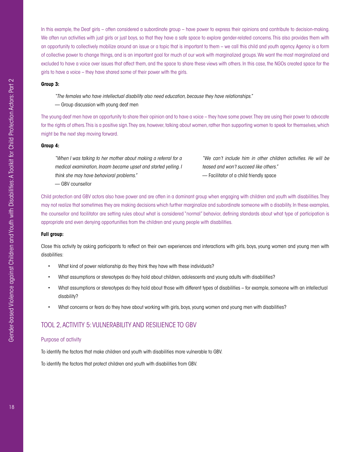In this example, the Deaf girls – often considered a subordinate group – have power to express their opinions and contribute to decision-making. We often run activities with just girls or just boys, so that they have a safe space to explore gender-related concerns. This also provides them with an opportunity to collectively mobilize around an issue or a topic that is important to them – we call this child and youth agency. Agency is a form of collective power to change things, and is an important goal for much of our work with marginalized groups. We want the most marginalized and excluded to have a voice over issues that affect them, and the space to share these views with others. In this case, the NGOs created space for the girls to have a voice – they have shared some of their power with the girls.

#### **Group 3:**

- *"The females who have intellectual disability also need education, because they have relationships."*
- Group discussion with young deaf men

The young deaf men have an opportunity to share their opinion and to have a voice – they have some power. They are using their power to advocate for the rights of others. This is a positive sign. They are, however, talking about women, rather than supporting women to speak for themselves, which might be the next step moving forward.

#### **Group 4:**

*"When I was talking to her mother about making a referral for a medical examination, Inaam became upset and started yelling. I think she may have behavioral problems."* 

*"We can't include him in other children activities. He will be teased and won't succeed like others."*  — Facilitator of a child friendly space

— GBV counsellor

Child protection and GBV actors also have power and are often in a dominant group when engaging with children and youth with disabilities. They may not realize that sometimes they are making decisions which further marginalize and subordinate someone with a disability. In these examples, the counsellor and facilitator are setting rules about what is considered "normal" behavior, defining standards about what type of participation is appropriate and even denying opportunities from the children and young people with disabilities.

#### **Full group:**

Close this activity by asking participants to reflect on their own experiences and interactions with girls, boys, young women and young men with disabilities:

- What kind of power relationship do they think they have with these individuals?
- What assumptions or stereotypes do they hold about children, adolescents and young adults with disabilities?
- What assumptions or stereotypes do they hold about those with different types of disabilities for example, someone with an intellectual disability?
- What concerns or fears do they have about working with girls, boys, young women and young men with disabilities?

### <span id="page-19-0"></span>TOOL 2, ACTIVITY 5: VULNERABILITY AND RESILIENCE TO GBV

#### Purpose of activity

To identify the factors that make children and youth with disabilities more vulnerable to GBV.

To identify the factors that protect children and youth with disabilities from GBV.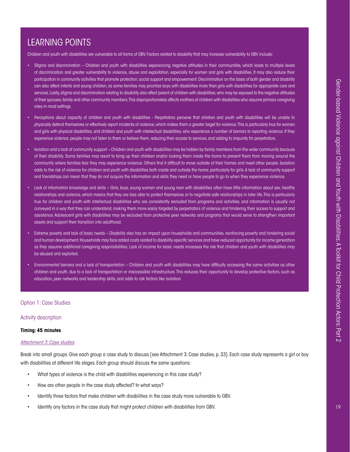# LEARNING POINTS

Children and youth with disabilities are vulnerable to all forms of GBV. Factors related to disability that may increase vulnerability to GBV include:

- Stigma and discrimination Children and youth with disabilities experiencing negative attitudes in their communities, which leads to multiple levels of discrimination and greater vulnerability to violence, abuse and exploitation, especially for women and girls with disabilities. It may also reduce their participation in community activities that promote protection, social support and empowerment. Discrimination on the basis of both gender and disability can also affect infants and young children, as some families may prioritize boys with disabilities more than girls with disabilities for appropriate care and services. Lastly, stigma and discrimination relating to disability also affect parent of children with disabilities, who may be exposed to the negative attitudes of their spouses, family and other community members. This disproportionately affects mothers of children with disabilities who assume primary caregiving roles in most settings.
- Perceptions about capacity of children and youth with disabilities Perpetrators perceive that children and youth with disabilities will be unable to physically defend themselves or effectively report incidents of violence, which makes them a greater target for violence. This is particularly true for women and girls with physical disabilities, and children and youth with intellectual disabilities, who experience a number of barriers to reporting violence. If they experience violence, people may not listen to them or believe them, reducing their access to services, and adding to impunity for perpetrators.
- Isolation and a lack of community support Children and youth with disabilities may be hidden by family members from the wider community because of their disability. Some families may resort to tying up their children and/or locking them inside the home to prevent them from moving around the community where families fear they may experience violence. Others find it difficult to move outside of their homes and meet other people. Isolation adds to the risk of violence for children and youth with disabilities both inside and outside the home, particularly for girls. A lack of community support and friendships can mean that they do not acquire the information and skills they need or have people to go to when they experience violence.
- Lack of information knowledge and skills Girls, boys, young women and young men with disabilities often have little information about sex, healthy relationships and violence, which means that they are less able to protect themselves or to negotiate safe relationships in later life. This is particularly true for children and youth with intellectual disabilities who are consistently excluded from programs and activities, and information is usually not conveyed in a way that they can understand, making them more easily targeted by perpetrators of violence and hindering their access to support and assistance. Adolescent girls with disabilities may be excluded from protective peer networks and programs that would serve to strengthen important assets and support their transition into adulthood.
- Extreme poverty and lack of basic needs Disability also has an impact upon households and communities, reinforcing poverty and hindering social and human development. Households may face added costs related to disability-specific services and have reduced opportunity for income generation as they assume additional caregiving responsibilities. Lack of income for basic needs increases the risk that children and youth with disabilities may be abused and exploited.
- Environmental barriers and a lack of transportation Children and youth with disabilities may have difficulty accessing the same activities as other children and youth, due to a lack of transportation or inaccessible infrastructure. This reduces their opportunity to develop protective factors, such as education, peer networks and leadership skills, and adds to risk factors like isolation.

#### Option 1: Case Studies

#### Activity description

#### **Timing: 45 minutes**

#### *[Attachment 3: Case studies](#page-26-0)*

Break into small groups. Give each group a case study to discuss [see Attachment 3: Case studies, p. 33]. Each case study represents a girl or boy with disabilities at different life stages. Each group should discuss the same questions:

- What types of violence is the child with disabilities experiencing in this case study?
- How are other people in the case study affected? In what ways?
- Identify three factors that make children with disabilities in the case study more vulnerable to GBV.
- Identify any factors in the case study that might protect children with disabilities from GBV.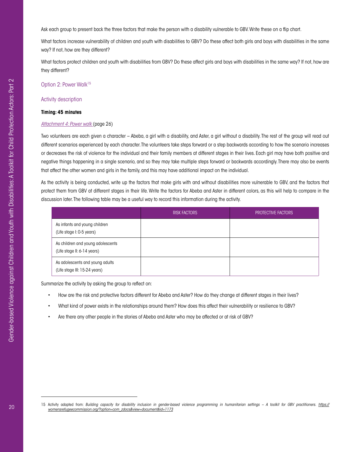Ask each group to present back the three factors that make the person with a disability vulnerable to GBV. Write these on a flip chart.

What factors increase vulnerability of children and youth with disabilities to GBV? Do these affect both girls and boys with disabilities in the same way? If not, how are they different?

What factors protect children and youth with disabilities from GBV? Do these affect girls and boys with disabilities in the same way? If not, how are they different?

Option 2: Power Walk<sup>15</sup>

#### Activity description

#### **Timing: 45 minutes**

#### *[Attachment 4: Power walk](#page-27-0)* (page 26)

Two volunteers are each given a character – Abeba, a girl with a disability, and Aster, a girl without a disability. The rest of the group will read out different scenarios experienced by each character. The volunteers take steps forward or a step backwards according to how the scenario increases or decreases the risk of violence for the individual and their family members at different stages in their lives. Each girl may have both positive and negative things happening in a single scenario, and so they may take multiple steps forward or backwards accordingly. There may also be events that affect the other women and girls in the family, and this may have additional impact on the individual.

As the activity is being conducted, write up the factors that make girls with and without disabilities more vulnerable to GBV, and the factors that protect them from GBV at different stages in their life. Write the factors for Abeba and Aster in different colors, as this will help to compare in the discussion later. The following table may be a useful way to record this information during the activity.

|                                                                  | <b>RISK FACTORS</b> | <b>PROTECTIVE FACTORS</b> |
|------------------------------------------------------------------|---------------------|---------------------------|
| As infants and young children<br>(Life stage I: 0-5 years)       |                     |                           |
| As children and young adolescents<br>(Life stage II: 6-14 years) |                     |                           |
| As adolescents and young adults<br>(Life stage III: 15-24 years) |                     |                           |

Summarize the activity by asking the group to reflect on:

- How are the risk and protective factors different for Abeba and Aster? How do they change at different stages in their lives?
- What kind of power exists in the relationships around them? How does this affect their vulnerability or resilience to GBV?
- <span id="page-21-0"></span>• Are there any other people in the stories of Abeba and Aster who may be affected or at risk of GBV?

<sup>15</sup> Activity adapted from: *Building capacity for disability inclusion in gender-based violence programming in humanitarian settings – A toolkit for GBV practitioners. [https://](https://womensrefugeecommission.org/?option=com_zdocs&view=document&id=1173) [womensrefugeecommission.org/?option=com\\_zdocs&view=document&id=1173](https://womensrefugeecommission.org/?option=com_zdocs&view=document&id=1173)*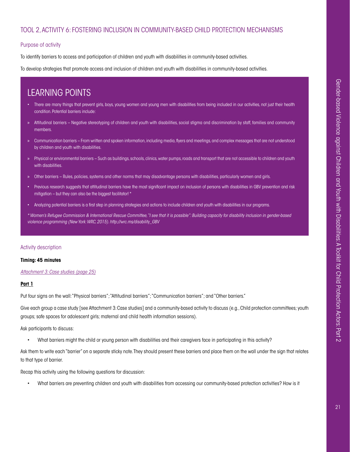# TOOL 2, ACTIVITY 6: FOSTERING INCLUSION IN COMMUNITY-BASED CHILD PROTECTION MECHANISMS

#### Purpose of activity

To identify barriers to access and participation of children and youth with disabilities in community-based activities.

To develop strategies that promote access and inclusion of children and youth with disabilities in community-based activities.

# LEARNING POINTS

- There are many things that prevent girls, boys, young women and young men with disabilities from being included in our activities, not just their health condition. Potential barriers include:
- » Attitudinal barriers Negative stereotyping of children and youth with disabilities, social stigma and discrimination by staff, families and community members.
- » Communication barriers From written and spoken information, including media, flyers and meetings, and complex messages that are not understood by children and youth with disabilities.
- » Physical or environmental barriers Such as buildings, schools, clinics, water pumps, roads and transport that are not accessible to children and youth with disabilities.
- » Other barriers Rules, policies, systems and other norms that may disadvantage persons with disabilities, particularly women and girls.
- Previous research suggests that attitudinal barriers have the most significant impact on inclusion of persons with disabilities in GBV prevention and risk mitigation – but they can also be the biggest facilitator! \*
- Analyzing potential barriers is a first step in planning strategies and actions to include children and youth with disabilities in our programs.

*\* Women's Refugee Commission & International Rescue Committee, "I see that it is possible": Building capacity for disability inclusion in gender-based violence programming (New York: WRC, 2015). [http://wrc.ms/disability\\_GBV](http://wrc.ms/disability_GBV)*

#### Activity description

#### **Timing: 45 minutes**

*Attachment 3: Case studies (page 25)*

#### **Part 1**

Put four signs on the wall: "Physical barriers"; "Attitudinal barriers"; "Communication barriers"; and "Other barriers."

Give each group a case study [see Attachment 3: Case studies] and a community-based activity to discuss (e.g., Child protection committees; youth groups; safe spaces for adolescent girls; maternal and child health information sessions).

Ask participants to discuss:

What barriers might the child or young person with disabilities and their caregivers face in participating in this activity?

Ask them to write each "barrier" on a separate sticky note. They should present these barriers and place them on the wall under the sign that relates to that type of barrier.

Recap this activity using the following questions for discussion:

• What barriers are preventing children and youth with disabilities from accessing our community-based protection activities? How is it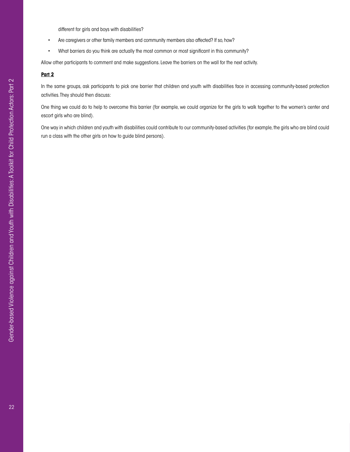different for girls and boys with disabilities?

- Are caregivers or other family members and community members also affected? If so, how?
- What barriers do you think are actually the most common or most significant in this community?

Allow other participants to comment and make suggestions. Leave the barriers on the wall for the next activity.

#### **Part 2**

In the same groups, ask participants to pick one barrier that children and youth with disabilities face in accessing community-based protection activities. They should then discuss:

One thing we could do to help to overcome this barrier (for example, we could organize for the girls to walk together to the women's center and escort girls who are blind).

<span id="page-23-0"></span>One way in which children and youth with disabilities could contribute to our community-based activities (for example, the girls who are blind could run a class with the other girls on how to guide blind persons).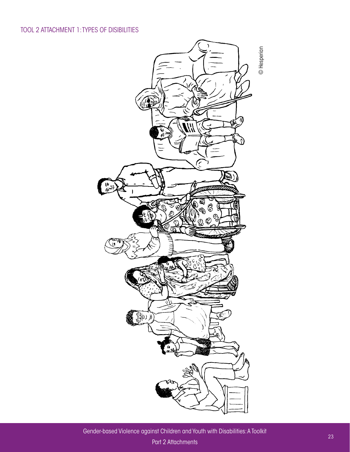<span id="page-24-0"></span>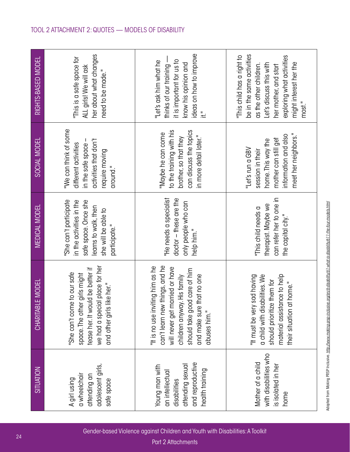<span id="page-25-0"></span>

| RIGHTS-BASED MODEL      | her about what changes<br>"This is a safe space for<br>ALL girls! We will ask<br>need to be made."                                                                  | ideas on how to improve<br>thinks of our training -<br>it is important for us to<br>"Let's ask him what he<br>know his opinion and<br>륖                                                                          | be in the same activities<br>"This child has a right to<br>exploring what activities<br>might interest her the<br>Let's discuss this with<br>as the other children.<br>her mother, and start<br>most." |
|-------------------------|---------------------------------------------------------------------------------------------------------------------------------------------------------------------|------------------------------------------------------------------------------------------------------------------------------------------------------------------------------------------------------------------|--------------------------------------------------------------------------------------------------------------------------------------------------------------------------------------------------------|
| SOCIAL MODEL            | "We can think of some<br>activities that don't<br>in the safe space -<br>different activities<br>require moving<br>around."                                         | can discuss the topics<br>to the training with his<br>"Maybe he can come<br>in more detail later."<br>brother, so that they                                                                                      | meet her neighbors."<br>information and also<br>mother can still get<br>home. This way the<br>"Let's run a GBV<br>session in their                                                                     |
| <b>MEDICAL MODEL</b>    | "She can't participate<br>in the activities in the<br>safe space. Once she<br>learns to walk, then<br>she will be able to<br>participate."                          | "He needs a specialist<br>doctor - these are the<br>only people who can<br>help him."                                                                                                                            | can refer her to one in<br>therapist. Maybe we<br>"This child needs a<br>the capital city."                                                                                                            |
| <b>CHARITABLE MODEL</b> | we had a special place for her<br>tease her. It would be better if<br>e to our safe<br>space. The other girls might<br>and other girls like her."<br>"She can't com | can't learn new things, and he<br>"It is no use inviting him as he<br>will never get married or have<br>should take good care of him<br>children anyway. His family<br>and make sure that no one<br>abuses him." | a child with disabilities. We<br>material assistance to help<br>"It must be very sad having<br>should prioritize them for<br>their situation at home."                                                 |
| <b>SITUATION</b>        | adolescent girls,<br>a wheelchair<br>attending an<br>A girl using<br>safe space                                                                                     | and reproductive<br>attending sexual<br>Young man with<br>health training<br>an intellectual<br>disabilities                                                                                                     | with disabilities who<br>Mother of a child<br>is isolated in her<br>home                                                                                                                               |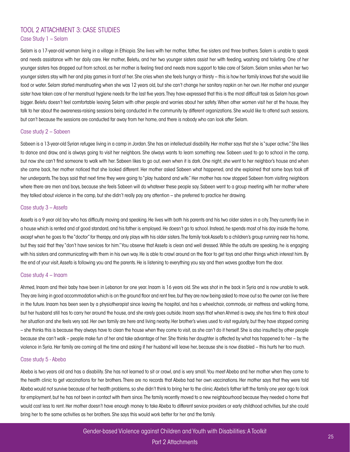### <span id="page-26-0"></span>[TOOL 2 ATTACHMENT 3:](#page-26-0) CASE STUDIES Case Study 1 – Selam

Selam is a 17-year-old woman living in a village in Ethiopia. She lives with her mother, father, five sisters and three brothers. Salem is unable to speak and needs assistance with her daily care. Her mother, Beletu, and her two younger sisters assist her with feeding, washing and toileting. One of her younger sisters has dropped out from school, as her mother is feeling tired and needs more support to take care of Selam. Selam smiles when her two younger sisters stay with her and play games in front of her. She cries when she feels hungry or thirsty – this is how her family knows that she would like food or water. Selam started menstruating when she was 12 years old, but she can't change her sanitary napkin on her own. Her mother and younger sister have taken care of her menstrual hygiene needs for the last five years. They have expressed that this is the most difficult task as Selam has grown bigger. Beletu doesn't feel comfortable leaving Selam with other people and worries about her safety. When other women visit her at the house, they talk to her about the awareness-raising sessions being conducted in the community by different organizations. She would like to attend such sessions, but can't because the sessions are conducted far away from her home, and there is nobody who can look after Selam.

#### Case study 2 – Sabeen

Sabeen is a 13-year-old Syrian refugee living in a camp in Jordan. She has an intellectual disability. Her mother says that she is "super active." She likes to dance and draw, and is always going to visit her neighbors. She always wants to learn something new. Sabeen used to go to school in the camp, but now she can't find someone to walk with her. Sabeen likes to go out, even when it is dark. One night, she went to her neighbor's house and when she came back, her mother noticed that she looked different. Her mother asked Sabeen what happened, and she explained that some boys took off her underpants. The boys said that next time they were going to "play husband and wife." Her mother has now stopped Sabeen from visiting neighbors where there are men and boys, because she feels Sabeen will do whatever these people say. Sabeen went to a group meeting with her mother where they talked about violence in the camp, but she didn't really pay any attention – she preferred to practice her drawing.

#### Case study 3 – Assefa

Assefa is a 9 year old boy who has difficulty moving and speaking. He lives with both his parents and his two older sisters in a city. They currently live in a house which is rented and of good standard, and his father is employed. He doesn't go to school. Instead, he spends most of his day inside the home, except when he goes to the "doctor" for therapy, and only plays with his older sisters. The family took Assefa to a children's group running near his home, but they said that they "don't have services for him." You observe that Assefa is clean and well dressed. While the adults are speaking, he is engaging with his sisters and communicating with them in his own way. He is able to crawl around on the floor to get toys and other things which interest him. By the end of your visit, Assefa is following you and the parents. He is listening to everything you say and then waves goodbye from the door.

#### Case study 4 – Inaam

Ahmed, Inaam and their baby have been in Lebanon for one year. Inaam is 16 years old. She was shot in the back in Syria and is now unable to walk. They are living in good accommodation which is on the ground floor and rent free, but they are now being asked to move out so the owner can live there in the future. Inaam has been seen by a physiotherapist since leaving the hospital, and has a wheelchair, commode, air mattress and walking frame, but her husband still has to carry her around the house, and she rarely goes outside. Inaam says that when Ahmed is away, she has time to think about her situation and she feels very sad. Her own family are here and living nearby. Her brother's wives used to visit regularly, but they have stopped coming – she thinks this is because they always have to clean the house when they come to visit, as she can't do it herself. She is also insulted by other people because she can't walk – people make fun of her and take advantage of her. She thinks her daughter is affected by what has happened to her – by the violence in Syria. Her family are coming all the time and asking if her husband will leave her, because she is now disabled – this hurts her too much.

#### Case study 5 - Abeba

Abeba is two years old and has a disability. She has not learned to sit or crawl, and is very small. You meet Abeba and her mother when they come to the health clinic to get vaccinations for her brothers. There are no records that Abeba had her own vaccinations. Her mother says that they were told Abeba would not survive because of her health problems, so she didn't think to bring her to the clinic. Abeba's father left the family one year ago to look for employment, but he has not been in contact with them since. The family recently moved to a new neighbourhood because they needed a home that would cost less to rent. Her mother doesn't have enough money to take Abeba to different service providers or early childhood activities, but she could bring her to the same activities as her brothers. She says this would work better for her and the family.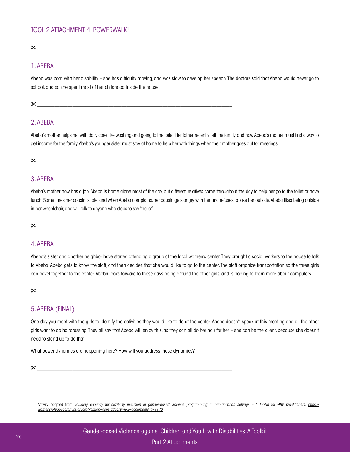<span id="page-27-0"></span> $\mathbb X$ 

### 1. ABEBA

Abeba was born with her disability – she has difficulty moving, and was slow to develop her speech. The doctors said that Abeba would never go to school, and so she spent most of her childhood inside the house.

#### $\mathbb X$

# 2. ABEBA

Abeba's mother helps her with daily care, like washing and going to the toilet. Her father recently left the family, and now Abeba's mother must find a way to get income for the family. Abeba's younger sister must stay at home to help her with things when their mother goes out for meetings.

 $\chi$ 

# 3. ABEBA

Abeba's mother now has a job. Abeba is home alone most of the day, but different relatives come throughout the day to help her go to the toilet or have lunch. Sometimes her cousin is late, and when Abeba complains, her cousin gets angry with her and refuses to take her outside. Abeba likes being outside in her wheelchair, and will talk to anyone who stops to say "hello."

 $\mathbb X$ 

# 4. ABEBA

Abeba's sister and another neighbor have started attending a group at the local women's center. They brought a social workers to the house to talk to Abeba. Abeba gets to know the staff, and then decides that she would like to go to the center. The staff organize transportation so the three girls can travel together to the center. Abeba looks forward to these days being around the other girls, and is hoping to learn more about computers.

 $\chi$  , and the contract of the contract of the contract of the contract of the contract of the contract of the contract of the contract of the contract of the contract of the contract of the contract of the contract of th

# 5. ABEBA (FINAL)

One day you meet with the girls to identify the activities they would like to do at the center. Abeba doesn't speak at this meeting and all the other girls want to do hairdressing. They all say that Abeba will enjoy this, as they can all do her hair for her – she can be the client, because she doesn't need to stand up to do that.

What power dynamics are happening here? How will you address these dynamics?

 $\mathbb X$ 

<sup>1</sup> Activity adapted from: *Building capacity for disability inclusion in gender-based violence programming in humanitarian settings – A toolkit for GBV practitioners. [https://](https://womensrefugeecommission.org/?option=com_zdocs&view=document&id=1173) [womensrefugeecommission.org/?option=com\\_zdocs&view=document&id=1173](https://womensrefugeecommission.org/?option=com_zdocs&view=document&id=1173)*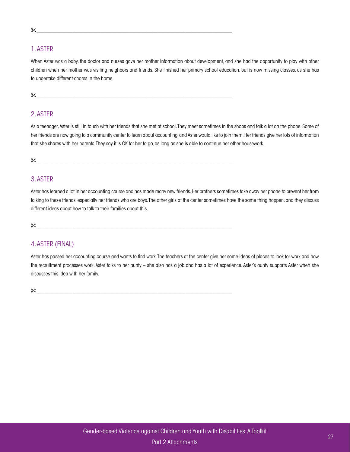#### &\_\_\_\_\_\_\_\_\_\_\_\_\_\_\_\_\_\_\_\_\_\_\_\_\_\_\_\_\_\_\_\_\_\_\_\_\_\_\_\_\_\_\_\_\_\_\_\_\_\_\_\_\_\_\_\_\_\_\_\_\_\_\_\_\_\_\_\_\_\_\_\_\_\_\_\_

# 1. ASTER

When Aster was a baby, the doctor and nurses gave her mother information about development, and she had the opportunity to play with other children when her mother was visiting neighbors and friends. She finished her primary school education, but is now missing classes, as she has to undertake different chores in the home.

#### $\mathcal{X}$

# 2. ASTER

As a teenager, Aster is still in touch with her friends that she met at school. They meet sometimes in the shops and talk a lot on the phone. Some of her friends are now going to a community center to learn about accounting, and Aster would like to join them. Her friends give her lots of information that she shares with her parents. They say it is OK for her to go, as long as she is able to continue her other housework.

 $\chi$   $\sim$ 

# 3. ASTER

Aster has learned a lot in her accounting course and has made many new friends. Her brothers sometimes take away her phone to prevent her from talking to these friends, especially her friends who are boys. The other girls at the center sometimes have the same thing happen, and they discuss different ideas about how to talk to their families about this.

 $\chi$ 

# 4. ASTER (FINAL)

Aster has passed her accounting course and wants to find work. The teachers at the center give her some ideas of places to look for work and how the recruitment processes work. Aster talks to her aunty – she also has a job and has a lot of experience. Aster's aunty supports Aster when she discusses this idea with her family.

&\_\_\_\_\_\_\_\_\_\_\_\_\_\_\_\_\_\_\_\_\_\_\_\_\_\_\_\_\_\_\_\_\_\_\_\_\_\_\_\_\_\_\_\_\_\_\_\_\_\_\_\_\_\_\_\_\_\_\_\_\_\_\_\_\_\_\_\_\_\_\_\_\_\_\_\_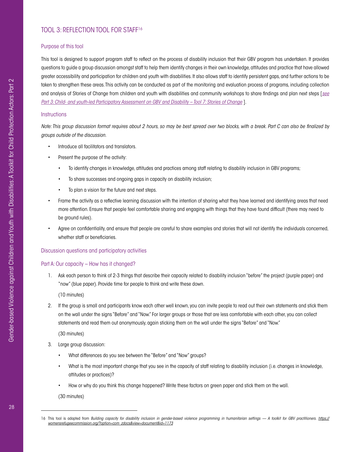# [TOOL 3:](#page-23-0) REFLECTION TOOL FOR STAFF16

#### Purpose of this tool

This tool is designed to support program staff to reflect on the process of disability inclusion that their GBV program has undertaken. It provides questions to guide a group discussion amongst staff to help them identify changes in their own knowledge, attitudes and practice that have allowed greater accessibility and participation for children and youth with disabilities. It also allows staff to identify persistent gaps, and further actions to be taken to strengthen these areas. This activity can be conducted as part of the monitoring and evaluation process of programs, including collection and analysis of Stories of Change from children and youth with disabilities and community workshops to share findings and plan next steps [*[see](#page-59-0) [Part 3: Child- and youth-led Participatory Assessment on GBV and Disability – Tool 7: Stories of Change](#page-59-0)* ].

#### **Instructions**

*Note: This group discussion format requires about 2 hours, so may be best spread over two blocks, with a break. Part C can also be finalized by groups outside of the discussion.*

- Introduce all facilitators and translators.
- Present the purpose of the activity:
	- To identify changes in knowledge, attitudes and practices among staff relating to disability inclusion in GBV programs;
	- To share successes and ongoing gaps in capacity on disability inclusion;
	- To plan a vision for the future and next steps.
- Frame the activity as a reflective learning discussion with the intention of sharing what they have learned and identifying areas that need more attention. Ensure that people feel comfortable sharing and engaging with things that they have found difficult (there may need to be ground rules).
- Agree on confidentiality, and ensure that people are careful to share examples and stories that will not identify the individuals concerned, whether staff or beneficiaries.

#### Discussion questions and participatory activities

#### Part A: Our capacity – How has it changed?

1. Ask each person to think of 2-3 things that describe their capacity related to disability inclusion "before" the project (purple paper) and "now" (blue paper). Provide time for people to think and write these down.

(10 minutes)

2. If the group is small and participants know each other well known, you can invite people to read out their own statements and stick them on the wall under the signs "Before" and "Now." For larger groups or those that are less comfortable with each other, you can collect statements and read them out anonymously, again sticking them on the wall under the signs "Before" and "Now."

(30 minutes)

- 3. Large group discussion:
	- What differences do you see between the "Before" and "Now" groups?
	- What is the most important change that you see in the capacity of staff relating to disability inclusion (i.e. changes in knowledge, attitudes or practices)?
	- How or why do you think this change happened? Write these factors on green paper and stick them on the wall.

(30 minutes)

<sup>16</sup> This tool is adapted from *Building capacity for disability inclusion in gender-based violence programming in humanitarian settings — A toolkit for GBV practitioners. [https://](https://womensrefugeecommission.org/?option=com_zdocs&view=document&id=1173) [womensrefugeecommission.org/?option=com\\_zdocs&view=document&id=1173](https://womensrefugeecommission.org/?option=com_zdocs&view=document&id=1173)*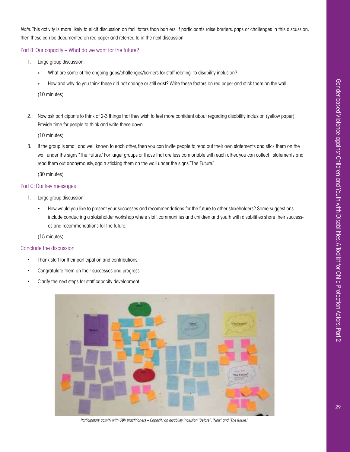*Note:* This activity is more likely to elicit discussion on facilitators than barriers. If participants raise barriers, gaps or challenges in this discussion, then these can be documented on red paper and referred to in the next discussion.

Part B: Our capacity – What do we want for the future?

- 1. Large group discussion:
	- » What are some of the ongoing gaps/challenges/barriers for staff relating to disability inclusion?
	- » How and why do you think these did not change or still exist? Write these factors on red paper and stick them on the wall.

(10 minutes)

2. Now ask participants to think of 2-3 things that they wish to feel more confident about regarding disability inclusion (yellow paper). Provide time for people to think and write these down.

(10 minutes)

3. If the group is small and well known to each other, then you can invite people to read out their own statements and stick them on the wall under the signs "The Future." For larger groups or those that are less comfortable with each other, you can collect statements and read them out anonymously, again sticking them on the wall under the signs "The Future."

(30 minutes)

#### Part C: Our key messages

- 1. Large group discussion:
	- How would you like to present your successes and recommendations for the future to other stakeholders? Some suggestions include conducting a stakeholder workshop where staff, communities and children and youth with disabilities share their successes and recommendations for the future.

(15 minutes)

#### Conclude the discussion

- Thank staff for their participation and contributions.
- Congratulate them on their successes and progress.
- Clarify the next steps for staff capacity development.



*Participatory activity with GBV practitioners – Capacity on disability inclusion "Before", "Now" and "The future."*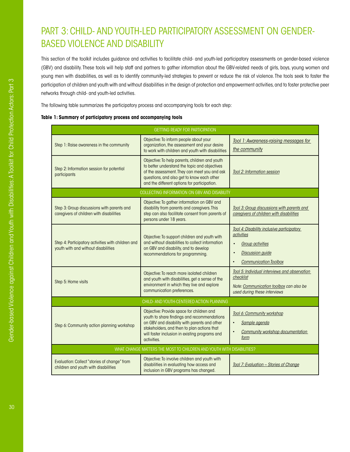# <span id="page-31-0"></span>PART 3: CHILD- AND YOUTH-LED PARTICIPATORY ASSESSMENT ON GENDER-BASED VIOLENCE AND DISABILITY

This section of the toolkit includes guidance and activities to facilitate child- and youth-led participatory assessments on gender-based violence (GBV) and disability. These tools will help staff and partners to gather information about the GBV-related needs of girls, boys, young women and young men with disabilities, as well as to identify community-led strategies to prevent or reduce the risk of violence. The tools seek to foster the participation of children and youth with and without disabilities in the design of protection and empowerment activities, and to foster protective peer networks through child- and youth-led activities.

The following table summarizes the participatory process and accompanying tools for each step:

#### **Table 1: Summary of participatory process and accompanying tools**

| <b>GETTING READY FOR PARTICIPATION</b>                                                    |                                                                                                                                                                                                                                                          |                                                                                                                                                |  |  |  |  |  |  |
|-------------------------------------------------------------------------------------------|----------------------------------------------------------------------------------------------------------------------------------------------------------------------------------------------------------------------------------------------------------|------------------------------------------------------------------------------------------------------------------------------------------------|--|--|--|--|--|--|
| Step 1: Raise awareness in the community                                                  | Objective: To inform people about your<br>organization, the assessment and your desire<br>to work with children and youth with disabilities                                                                                                              | Tool 1: Awareness-raising messages for<br>the community                                                                                        |  |  |  |  |  |  |
| Step 2: Information session for potential<br>participants                                 | Objective: To help parents, children and youth<br>to better understand the topic and objectives<br>of the assessment. They can meet you and ask<br>questions, and also get to know each other<br>and the different options for participation.            | <b>Tool 2: Information session</b>                                                                                                             |  |  |  |  |  |  |
| COLLECTING INFORMATION ON GBV AND DISABILITY                                              |                                                                                                                                                                                                                                                          |                                                                                                                                                |  |  |  |  |  |  |
| Step 3: Group discussions with parents and<br>caregivers of children with disabilities    | Objective: To gather information on GBV and<br>disability from parents and caregivers. This<br>step can also facilitate consent from parents of<br>persons under 18 years.                                                                               | Tool 3: Group discussions with parents and<br>caregivers of children with disabilities                                                         |  |  |  |  |  |  |
| Step 4: Participatory activities with children and<br>youth with and without disabilities | Objective: To support children and youth with<br>and without disabilities to collect information<br>on GBV and disability, and to develop<br>recommendations for programming.                                                                            | Tool 4: Disability inclusive participatory<br>activities<br><b>Group activities</b><br><b>Discussion guide</b><br><b>Communication Toolbox</b> |  |  |  |  |  |  |
| Step 5: Home visits                                                                       | Objective: To reach more isolated children<br>and youth with disabilities, get a sense of the<br>environment in which they live and explore<br>communication preferences.                                                                                | Tool 5: Individual interviews and observation<br>checklist<br>Note: Communication toolbox can also be<br>used during these interviews          |  |  |  |  |  |  |
|                                                                                           | CHILD- AND YOUTH-CENTERED ACTION PLANNING                                                                                                                                                                                                                |                                                                                                                                                |  |  |  |  |  |  |
| Step 6: Community action planning workshop                                                | Objective: Provide space for children and<br>youth to share findings and recommendations<br>on GBV and disability with parents and other<br>stakeholders, and then to plan actions that<br>will foster inclusion in existing programs and<br>activities. | Tool 6: Community workshop<br>Sample agenda<br>$\bullet$<br><b>Community workshop documentation</b><br>$\bullet$<br>form                       |  |  |  |  |  |  |
|                                                                                           | WHAT CHANGE MATTERS THE MOST TO CHILDREN AND YOUTH WITH DISABILITIES?                                                                                                                                                                                    |                                                                                                                                                |  |  |  |  |  |  |
| Evaluation: Collect "stories of change" from<br>children and youth with disabilities      | Objective: To involve children and youth with<br>disabilities in evaluating how access and<br>inclusion in GBV programs has changed.                                                                                                                     | Tool 7: Evaluation - Stories of Change                                                                                                         |  |  |  |  |  |  |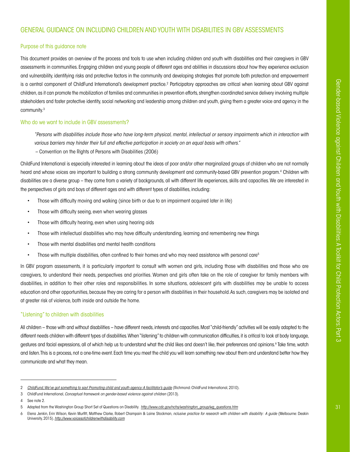# <span id="page-32-0"></span>GENERAL GUIDANCE ON INCLUDING CHILDREN AND YOUTH WITH DISABILITIES IN GBV ASSESSMENTS

#### Purpose of this guidance note

This document provides an overview of the process and tools to use when including children and youth with disabilities and their caregivers in GBV assessments in communities. Engaging children and young people of different ages and abilities in discussions about how they experience exclusion and vulnerability, identifying risks and protective factors in the community and developing strategies that promote both protection and empowerment is a central component of ChildFund International's development practice.<sup>2</sup> Participatory approaches are critical when learning about GBV against children, as it can promote the mobilization of families and communities in prevention efforts, strengthen coordinated service delivery involving multiple stakeholders and foster protective identity, social networking and leadership among children and youth, giving them a greater voice and agency in the community.3

### Who do we want to include in GBV assessments?

*"Persons with disabilities include those who have long-term physical, mental, intellectual or sensory impairments which in interaction with various barriers may hinder their full and effective participation in society on an equal basis with others."* 

– Convention on the Rights of Persons with Disabilities (2006)

ChildFund International is especially interested in learning about the ideas of poor and/or other marginalized groups of children who are not normally heard and whose voices are important to building a strong community development and community-based GBV prevention program.4 Children with disabilities are a diverse group – they come from a variety of backgrounds, all with different life experiences, skills and capacities. We are interested in the perspectives of girls and boys of different ages and with different types of disabilities, including:

- Those with difficulty moving and walking (since birth or due to an impairment acquired later in life)
- Those with difficulty seeing, even when wearing glasses
- Those with difficulty hearing, even when using hearing aids
- Those with intellectual disabilities who may have difficulty understanding, learning and remembering new things
- Those with mental disabilities and mental health conditions
- Those with multiple disabilities, often confined to their homes and who may need assistance with personal care<sup>5</sup>

In GBV program assessments, it is particularly important to consult with women and girls, including those with disabilities and those who are caregivers, to understand their needs, perspectives and priorities. Women and girls often take on the role of caregiver for family members with disabilities, in addition to their other roles and responsibilities. In some situations, adolescent girls with disabilities may be unable to access education and other opportunities, because they are caring for a person with disabilities in their household. As such, caregivers may be isolated and at greater risk of violence, both inside and outside the home.

#### "Listening" to children with disabilities

All children – those with and without disabilities – have different needs, interests and capacities. Most "child-friendly" activities will be easily adapted to the different needs children with different types of disabilities. When "listening" to children with communication difficulties, it is critical to look at body language, gestures and facial expressions, all of which help us to understand what the child likes and doesn't like, their preferences and opinions.<sup>6</sup> Take time, watch and listen. This is a process, not a one-time event. Each time you meet the child you will learn something new about them and understand better how they communicate and what they mean.

<sup>2</sup> *[ChildFund, We've got something to say! Promoting child and youth agency: A facilitator's guide](https://childfundintl.sharepoint.com/sites/programs/ProgramDevelopment/gendernetwork/Gender%20Network%20Library/GBV%20Resources/Tools%20and%20Resources%20for%20Working%20on%20Gender-based%20Violence%20Issues/Weve_Got_Something_To_Say_dvd.pdf)* (Richmond: ChildFund International, 2010).

<sup>3</sup> ChildFund International, *Conceptual framework on gender-based violence against children* (2013).

<sup>4</sup> See note 2.

<sup>5</sup> Adapted from the Washington Group Short Set of Questions on Disability. *[http://www.cdc.gov/nchs/washington\\_group/wg\\_questions.htm](http://www.cdc.gov/nchs/washington_group/wg_questions.htm)*

<sup>6</sup> Elena Jenkin, Erin Wilson, Kevin Murfitt, Matthew Clarke, Robert Champain & Laine Stockman, *nclusive practice for research with children with disability: A guide* (Melbourne: Deakin University, 2015). *<http://www.voicesofchildrenwithdisability.com>*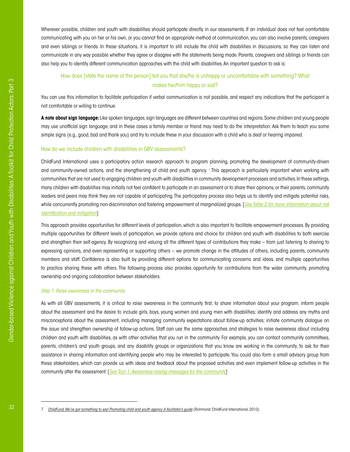Wherever possible, children and youth with disabilities should participate directly in our assessments. If an individual does not feel comfortable communicating with you on her or his own, or you cannot find an appropriate method of communication, you can also involve parents, caregivers and even siblings or friends. In these situations, it is important to still include the child with disabilities in discussions, so they can listen and communicate in any way possible whether they agree or disagree with the statements being made. Parents, caregivers and siblings or friends can also help you to identify different communication approaches with the child with disabilities. An important question to ask is:

### How does [state the name of the person] tell you that she/he is unhappy or uncomfortable with something? What makes her/him happy or sad?

You can use this information to facilitate participation if verbal communication is not possible, and respect any indications that the participant is not comfortable or willing to continue.

**A note about sign language:** Like spoken languages, sign languages are different between countries and regions. Some children and young people may use unofficial sign language, and in these cases a family member or friend may need to do the interpretation. Ask them to teach you some simple signs (e.g., good, bad and thank you) and try to include these in your discussion with a child who is deaf or hearing impaired.

#### How do we include children with disabilities in GBV assessments?

ChildFund International uses a participatory action research approach to program planning, promoting the development of community-driven and community-owned actions, and the strengthening of child and youth agency. <sup>7</sup> This approach is particularly important when working with communities that are not used to engaging children and youth with disabilities in community development processes and activities. In these settings, many children with disabilities may initially not feel confident to participate in an assessment or to share their opinions, or their parents, community leaders and peers may think they are not capable of participating. The participatory process also helps us to identify and mitigate potential risks, while concurrently promoting non-discrimination and fostering empowerment of marginalized groups. [*[See Table 2 for more information about risk](#page-36-0) [identification and mitigation](#page-36-0)*]

This approach provides opportunities for different levels of participation, which is also important to facilitate empowerment processes. By providing multiple opportunities for different levels of participation, we provide options and choice for children and youth with disabilities to both exercise and strengthen their self-agency. By recognizing and valuing all the different types of contributions they make – from just listening to sharing to expressing opinions, and even representing or supporting others – we promote change in the attitudes of others, including parents, community members and staff. Confidence is also built by providing different options for communicating concerns and ideas, and multiple opportunities to practice sharing these with others. The following process also provides opportunity for contributions from the wider community, promoting ownership and ongoing collaboration between stakeholders.

#### *Step 1: Raise awareness in the community*

As with all GBV assessments, it is critical to raise awareness in the community first, to share information about your program; inform people about the assessment and the desire to include girls, boys, young women and young men with disabilities; identify and address any myths and misconceptions about the assessment, including managing community expectations about follow-up activities; initiate community dialogue on the issue and strengthen ownership of follow-up actions. Staff can use the same approaches and strategies to raise awareness about including children and youth with disabilities, as with other activities that you run in the community. For example, you can contact community committees, parents, children's and youth groups, and any disability groups or organizations that you know are working in the community, to ask for their assistance in sharing information and identifying people who may be interested to participate. You could also form a small advisory group from these stakeholders, which can provide us with ideas and feedback about the proposed activities and even implement follow-up activities in the community after the assessment. [*[See Tool 1: Awareness-raising messages for the community](#page-38-0)*]

<sup>7</sup> *[ChildFund, We've got something to say! Promoting child and youth agency: A facilitator's guide](https://childfundintl.sharepoint.com/sites/programs/ProgramDevelopment/gendernetwork/Gender%20Network%20Library/GBV%20Resources/Tools%20and%20Resources%20for%20Working%20on%20Gender-based%20Violence%20Issues/Weve_Got_Something_To_Say_dvd.pdf)* (Richmond: ChildFund International, 2010).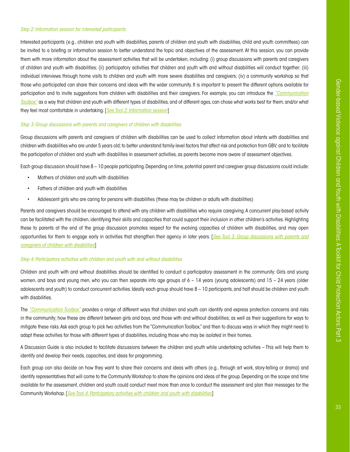#### *Step 2: Information session for interested participants*

Interested participants (e.g., children and youth with disabilities, parents of children and youth with disabilities, child and youth committees) can be invited to a briefing or information session to better understand the topic and objectives of the assessment. At this session, you can provide them with more information about the assessment activities that will be undertaken, including: (i) group discussions with parents and caregivers of children and youth with disabilities; (ii) participatory activities that children and youth with and without disabilities will conduct together; (iii) individual interviews through home visits to children and youth with more severe disabilities and caregivers; (iv) a community workshop so that those who participated can share their concerns and ideas with the wider community. It is important to present the different options available for participation and to invite suggestions from children with disabilities and their caregivers. For example, you can introduce the *["Communication](#page-65-0)  [Toolbox"](#page-65-0)* as a way that children and youth with different types of disabilities, and of different ages, can chose what works best for them, and/or what they feel most comfortable in undertaking. [*[See Tool 2: Information session](#page-39-0)*]

#### *Step 3: Group discussions with parents and caregivers of children with disabilities*

Group discussions with parents and caregivers of children with disabilities can be used to collect information about infants with disabilities and children with disabilities who are under 5 years old; to better understand family-level factors that affect risk and protection from GBV; and to facilitate the participation of children and youth with disabilities in assessment activities, as parents become more aware of assessment objectives.

Each group discussion should have 8 – 10 people participating. Depending on time, potential parent and caregiver group discussions could include:

- Mothers of children and youth with disabilities
- Fathers of children and youth with disabilities
- Adolescent girls who are caring for persons with disabilities (these may be children or adults with disabilities)

Parents and caregivers should be encouraged to attend with any children with disabilities who require caregiving. A concurrent play-based activity can be facilitated with the children, identifying their skills and capacities that could support their inclusion in other children's activities. Highlighting these to parents at the end of the group discussion promotes respect for the evolving capacities of children with disabilities, and may open opportunities for them to engage early in activities that strengthen their agency in later years. [*[See Tool 3: Group discussions with parents and](#page-41-0) [caregivers of children with disabilities](#page-41-0)*]

#### *Step 4: Participatory activities with children and youth with and without disabilities*

Children and youth with and without disabilities should be identified to conduct a participatory assessment in the community: Girls and young women, and boys and young men, who you can then separate into age groups of  $6 - 14$  years (young adolescents) and  $15 - 24$  years (older adolescents and youth) to conduct concurrent activities. Ideally each group should have 8 – 10 participants, and half should be children and youth with disabilities.

The *["Communication Toolbox"](#page-65-0)* provides a range of different ways that children and youth can identify and express protection concerns and risks in the community; how these are different between girls and boys, and those with and without disabilities; as well as their suggestions for ways to mitigate these risks. Ask each group to pick two activities from the "Communication Toolbox," and then to discuss ways in which they might need to adapt these activities for those with different types of disabilities, including those who may be isolated in their homes.

A Discussion Guide is also included to facilitate discussions between the children and youth while undertaking activities – This will help them to identify and develop their needs, capacities, and ideas for programming.

Each group can also decide on how they want to share their concerns and ideas with others (e.g., through art work, story-telling or drama) and identify representatives that will come to the Community Workshop to share the opinions and ideas of the group. Depending on the scope and time available for the assessment, children and youth could conduct meet more than once to conduct the assessment and plan their messages for the Community Workshop. [*[See Tool 4: Participatory activities with children and youth with disabilities](#page-46-0)*]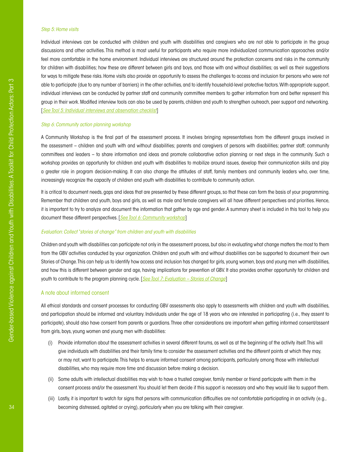#### *Step 5: Home visits*

Individual interviews can be conducted with children and youth with disabilities and caregivers who are not able to participate in the group discussions and other activities. This method is most useful for participants who require more individualized communication approaches and/or feel more comfortable in the home environment. Individual interviews are structured around the protection concerns and risks in the community for children with disabilities; how these are different between girls and boys, and those with and without disabilities; as well as their suggestions for ways to mitigate these risks. Home visits also provide an opportunity to assess the challenges to access and inclusion for persons who were not able to participate (due to any number of barriers) in the other activities, and to identify household-level protective factors. With appropriate support, individual interviews can be conducted by partner staff and community committee members to gather information from and better represent this group in their work. Modified interview tools can also be used by parents, children and youth to strengthen outreach, peer support and networking. [*[See Tool 5: Individual interviews and observation checklist](#page-52-0)*]

#### *Step 6: Community action planning workshop*

A Community Workshop is the final part of the assessment process. It involves bringing representatives from the different groups involved in the assessment – children and youth with and without disabilities; parents and caregivers of persons with disabilities; partner staff; community committees and leaders – to share information and ideas and promote collaborative action planning or next steps in the community. Such a workshop provides an opportunity for children and youth with disabilities to mobilize around issues, develop their communication skills and play a greater role in program decision-making. It can also change the attitudes of staff, family members and community leaders who, over time, increasingly recognize the capacity of children and youth with disabilities to contribute to community action.

It is critical to document needs, gaps and ideas that are presented by these different groups, so that these can form the basis of your programming. Remember that children and youth, boys and girls, as well as male and female caregivers will all have different perspectives and priorities. Hence, it is important to try to analyze and document the information that gather by age and gender. A summary sheet is included in this tool to help you document these different perspectives. [*[See Tool 6: Community workshop](#page-56-0)*]

#### *Evaluation: Collect "stories of change" from children and youth with disabilities*

Children and youth with disabilities can participate not only in the assessment process, but also in evaluating what change matters the most to them from the GBV activities conducted by your organization. Children and youth with and without disabilities can be supported to document their own Stories of Change. This can help us to identify how access and inclusion has changed for girls, young women, boys and young men with disabilities, and how this is different between gender and age, having implications for prevention of GBV. It also provides another opportunity for children and youth to contribute to the program planning cycle. [*S[ee Tool 7: Evaluation – Stories of Change](#page-59-0)*]

#### A note about informed consent

All ethical standards and consent processes for conducting GBV assessments also apply to assessments with children and youth with disabilities, and participation should be informed and voluntary. Individuals under the age of 18 years who are interested in participating (i.e., they assent to participate), should also have consent from parents or guardians. Three other considerations are important when getting informed consent/assent from girls, boys, young women and young men with disabilities:

- (i) Provide information about the assessment activities in several different forums, as well as at the beginning of the activity itself. This will give individuals with disabilities and their family time to consider the assessment activities and the different points at which they may, or may not, want to participate. This helps to ensure informed consent among participants, particularly among those with intellectual disabilities, who may require more time and discussion before making a decision.
- (ii) Some adults with intellectual disabilities may wish to have a trusted caregiver, family member or friend participate with them in the consent process and/or the assessment. You should let them decide if this support is necessary and who they would like to support them.
- (iii) Lastly, it is important to watch for signs that persons with communication difficulties are not comfortable participating in an activity (e.g., becoming distressed, agitated or crying), particularly when you are talking with their caregiver.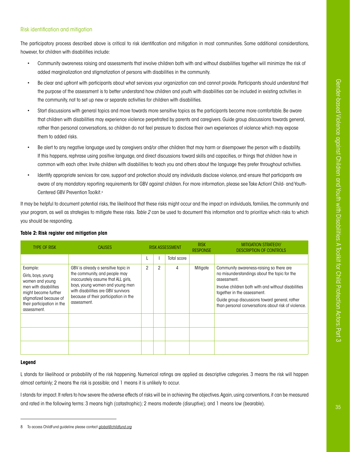# Risk identification and mitigation

The participatory process described above is critical to risk identification and mitigation in most communities. Some additional considerations, however, for children with disabilities include:

- Community awareness raising and assessments that involve children both with and without disabilities together will minimize the risk of added marginalization and stigmatization of persons with disabilities in the community.
- Be clear and upfront with participants about what services your organization can and cannot provide. Participants should understand that the purpose of the assessment is to better understand how children and youth with disabilities can be included in existing activities in the community, not to set up new or separate activities for children with disabilities.
- Start discussions with general topics and move towards more sensitive topics as the participants become more comfortable. Be aware that children with disabilities may experience violence perpetrated by parents and caregivers. Guide group discussions towards general, rather than personal conversations, so children do not feel pressure to disclose their own experiences of violence which may expose them to added risks.
- Be alert to any negative language used by caregivers and/or other children that may harm or disempower the person with a disability. If this happens, rephrase using positive language, and direct discussions toward skills and capacities, or things that children have in common with each other. Invite children with disabilities to teach you and others about the language they prefer throughout activities.
- Identify appropriate services for care, support and protection should any individuals disclose violence, and ensure that participants are aware of any mandatory reporting requirements for GBV against children. For more information, please see Take Action! Child- and Youth-Centered GBV Prevention Toolkit.8

It may be helpful to document potential risks, the likelihood that these risks might occur and the impact on individuals, families, the community and your program, as well as strategies to mitigate these risks. *Table 2* can be used to document this information and to prioritize which risks to which you should be responding.

| <b>TYPE OF RISK</b>                                                                                                                                                       | <b>CAUSES</b>                                                                                                                                                                                                                                 |                |                | <b>RISK ASSESSMENT</b> | <b>RISK</b><br><b>RESPONSE</b> | <b>MITIGATION STRATEGY/</b><br><b>DESCRIPTION OF CONTROLS</b>                                                                                                                                                                                                                                          |
|---------------------------------------------------------------------------------------------------------------------------------------------------------------------------|-----------------------------------------------------------------------------------------------------------------------------------------------------------------------------------------------------------------------------------------------|----------------|----------------|------------------------|--------------------------------|--------------------------------------------------------------------------------------------------------------------------------------------------------------------------------------------------------------------------------------------------------------------------------------------------------|
|                                                                                                                                                                           |                                                                                                                                                                                                                                               |                |                | Total score            |                                |                                                                                                                                                                                                                                                                                                        |
| Example:<br>Girls, boys, young<br>women and young<br>men with disabilities<br>might become further<br>stigmatized because of<br>their participation in the<br>assessment. | GBV is already a sensitive topic in<br>the community, and people may<br>inaccurately assume that ALL girls,<br>boys, young women and young men<br>with disabilities are GBV survivors<br>because of their participation in the<br>assessment. | $\overline{2}$ | $\overline{2}$ | 4                      | Mitigate                       | Community awareness-raising so there are<br>no misunderstandings about the topic for the<br>assessment.<br>Involve children both with and without disabilities<br>together in the assessment.<br>Guide group discussions toward general, rather<br>than personal conversations about risk of violence. |
|                                                                                                                                                                           |                                                                                                                                                                                                                                               |                |                |                        |                                |                                                                                                                                                                                                                                                                                                        |

#### **Table 2: Risk register and mitigation plan**

#### **Legend**

L stands for likelihood or probability of the risk happening. Numerical ratings are applied as descriptive categories. 3 means the risk will happen almost certainly; 2 means the risk is possible; and 1 means it is unlikely to occur.

I stands for impact. It refers to how severe the adverse effects of risks will be in achieving the objectives. Again, using conventions, it can be measured and rated in the following terms: 3 means high (catastrophic); 2 means moderate (disruptive); and 1 means low (bearable).

<sup>8</sup> To access ChildFund guideline please contact *[global@childfund.org](mailto:global%40childfund.org?subject=)*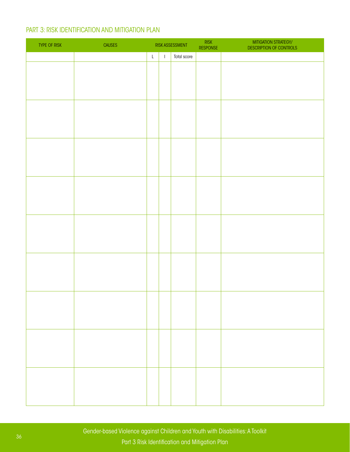# PART 3: RISK IDENTIFICATION AND MITIGATION PLAN

| TYPE OF RISK | <b>CAUSES</b> |             |              | RISK ASSESSMENT | RISK<br>RESPONSE | MITIGATION STRATEGY/<br>DESCRIPTION OF CONTROLS |
|--------------|---------------|-------------|--------------|-----------------|------------------|-------------------------------------------------|
|              |               | $\mathsf L$ | $\mathbf{I}$ | Total score     |                  |                                                 |
|              |               |             |              |                 |                  |                                                 |
|              |               |             |              |                 |                  |                                                 |
|              |               |             |              |                 |                  |                                                 |
|              |               |             |              |                 |                  |                                                 |
|              |               |             |              |                 |                  |                                                 |
|              |               |             |              |                 |                  |                                                 |
|              |               |             |              |                 |                  |                                                 |
|              |               |             |              |                 |                  |                                                 |
|              |               |             |              |                 |                  |                                                 |
|              |               |             |              |                 |                  |                                                 |
|              |               |             |              |                 |                  |                                                 |
|              |               |             |              |                 |                  |                                                 |
|              |               |             |              |                 |                  |                                                 |
|              |               |             |              |                 |                  |                                                 |
|              |               |             |              |                 |                  |                                                 |
|              |               |             |              |                 |                  |                                                 |
|              |               |             |              |                 |                  |                                                 |
|              |               |             |              |                 |                  |                                                 |
|              |               |             |              |                 |                  |                                                 |
|              |               |             |              |                 |                  |                                                 |
|              |               |             |              |                 |                  |                                                 |
|              |               |             |              |                 |                  |                                                 |
|              |               |             |              |                 |                  |                                                 |
|              |               |             |              |                 |                  |                                                 |
|              |               |             |              |                 |                  |                                                 |
|              |               |             |              |                 |                  |                                                 |
|              |               |             |              |                 |                  |                                                 |
|              |               |             |              |                 |                  |                                                 |
|              |               |             |              |                 |                  |                                                 |
|              |               |             |              |                 |                  |                                                 |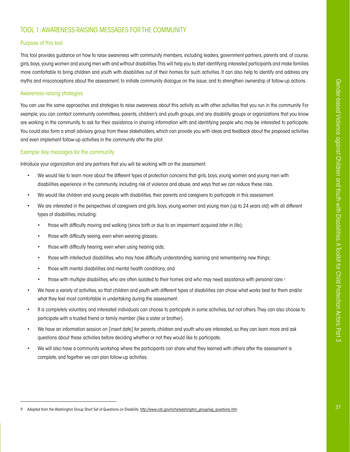# <span id="page-38-0"></span>[TOOL 1: AWARENESS-RAISING MESSAGES](#page-38-0) FOR THE COMMUNITY

# Purpose of this tool

This tool provides guidance on how to raise awareness with community members, including leaders, government partners, parents and, of course, girls, boys, young women and young men with and without disabilities. This will help you to start identifying interested participants and make families more comfortable to bring children and youth with disabilities out of their homes for such activities. It can also help to identify and address any myths and misconceptions about the assessment; to initiate community dialogue on the issue; and to strengthen ownership of follow-up actions.

## Awareness-raising strategies

You can use the same approaches and strategies to raise awareness about this activity as with other activities that you run in the community. For example, you can contact community committees, parents, children's and youth groups, and any disability groups or organizations that you know are working in the community, to ask for their assistance in sharing information with and identifying people who may be interested to participate. You could also form a small advisory group from these stakeholders, which can provide you with ideas and feedback about the proposed activities and even implement follow-up activities in the community after the pilot.

## Example: Key messages for the community

Introduce your organization and any partners that you will be working with on the assessment.

- We would like to learn more about the different types of protection concerns that girls, boys, young women and young men with disabilities experience in the community, including risk of violence and abuse, and ways that we can reduce these risks.
- We would like children and young people with disabilities, their parents and caregivers to participate in this assessment.
- We are interested in the perspectives of caregivers and girls, boys, young women and young men (up to 24 years old) with all different types of disabilities, including:
	- those with difficulty moving and walking (since birth or due to an impairment acquired later in life);
	- those with difficulty seeing, even when wearing glasses;
	- those with difficulty hearing, even when using hearing aids;
	- those with intellectual disabilities, who may have difficulty understanding, learning and remembering new things;
	- those with mental disabilities and mental health conditions; and
	- those with multiple disabilities, who are often isolated to their homes and who may need assistance with personal care.9
- We have a variety of activities, so that children and youth with different types of disabilities can chose what works best for them and/or what they feel most comfortable in undertaking during the assessment.
- It is completely voluntary, and interested individuals can choose to participate in some activities, but not others. They can also choose to participate with a trusted friend or family member (like a sister or brother).
- We have an information session on [insert date] for parents, children and youth who are interested, so they can learn more and ask questions about these activities before deciding whether or not they would like to participate.
- We will also have a community workshop where the participants can share what they learned with others after the assessment is complete, and together we can plan follow-up activities.

<sup>9</sup> Adapted from the Washington Group Short Set of Questions on Disability. *[http://www.cdc.gov/nchs/washington\\_group/wg\\_questions.htm](http://www.cdc.gov/nchs/washington_group/wg_questions.htm)*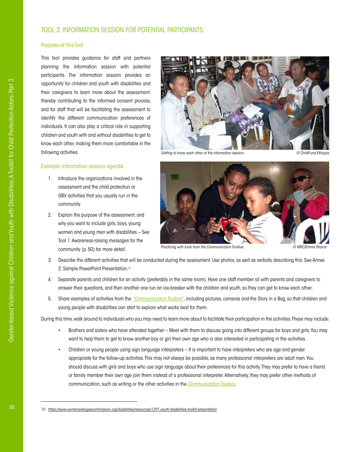# <span id="page-39-0"></span>[TOOL 2: INFORMATION SESSION FOR POTENTIAL PARTICIPANTS](#page-39-0)

# Purpose of this tool

This tool provides guidance for staff and partners planning the information session with potential participants. The information session provides an opportunity for children and youth with disabilities and their caregivers to learn more about the assessment, thereby contributing to the informed consent process, and for staff that will be facilitating the assessment to identify the different communication preferences of individuals. It can also play a critical role in supporting children and youth with and without disabilities to get to know each other, making them more comfortable in the following activities.

# Example: Information session agenda

- 1. Introduce the organizations involved in the assessment and the child protection or GBV activities that you usually run in the community.
- 2. Explain the purpose of the assessment, and why you want to include girls, boys, young women and young men with disabilities – See Tool 1: Awareness-raising messages for the community (p. 50) for more detail.



*Getting to know each other at the information session. © ChildFund Ethiopia*



*Practicing with tools from the Communication Toolbox.* © WRC/Emma Pearce Pearce Pearce Pearce Pearce Pearce Pearce Pearce Pearce Pearce Pearce Pearce Pearce Pearce Pearce Pearce Pearce Pearce Pearce Pearce Pearce Pearce P

- 3. Describe the different activities that will be conducted during the assessment. Use photos, as well as verbally describing this. See Annex 2: Sample PowerPoint Presentation.10
- 4. Separate parents and children for an activity (preferably in the same room). Have one staff member sit with parents and caregivers to answer their questions, and then another one run an ice-breaker with the children and youth, so they can get to know each other.
- 5. Share examples of activities from the *["Communication Toolbox"](#page-65-0)*, including pictures, cameras and the Story in a Bag, so that children and young people with disabilities can start to explore what works best for them.

During this time, walk around to individuals who you may need to learn more about to facilitate their participation in the activities. These may include:

- Brothers and sisters who have attended together Meet with them to discuss going into different groups for boys and girls. You may want to help them to get to know another boy or girl their own age who is also interested in participating in the activities.
- Children or young people using sign language interpreters It is important to have interpreters who are age and gender appropriate for the follow-up activities. This may not always be possible, as many professional interpreters are adult men. You should discuss with girls and boys who use sign language about their preferences for this activity. They may prefer to have a friend or family member their own age join them instead of a professional interpreter. Alternatively, they may prefer other methods of communication, such as writing or the other activities in the *[Communication Toolbox](#page-65-0)*.

<sup>10</sup> *<https://www.womensrefugeecommission.org/disabilities/resources/1291-youth-disabilities-toolkit-presentation>*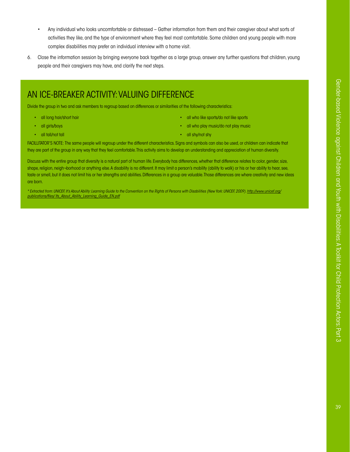- Any individual who looks uncomfortable or distressed Gather information from them and their caregiver about what sorts of activities they like, and the type of environment where they feel most comfortable. Some children and young people with more complex disabilities may prefer an individual interview with a home visit.
- 6. Close the information session by bringing everyone back together as a large group, answer any further questions that children, young people and their caregivers may have, and clarify the next steps.

# AN ICE-BREAKER ACTIVITY: VALUING DIFFERENCE

Divide the group in two and ask members to regroup based on differences or similarities of the following characteristics:

- all long hair/short hair
- all girls/boys
- all tall/not tall
- all who like sports/do not like sports
- all who play music/do not play music
- all shy/not shy

FACILLITATOR'S NOTE: The same people will regroup under the different characteristics. Signs and symbols can also be used, or children can indicate that they are part of the group in any way that they feel comfortable. This activity aims to develop an understanding and appreciation of human diversity.

Discuss with the entire group that diversity is a natural part of human life. Everybody has differences, whether that difference relates to color, gender, size, shape, religion, neigh-borhood or anything else. A disability is no different. It may limit a person's mobility (ability to walk) or his or her ability to hear, see, taste or smell, but it does not limit his or her strengths and abilities. Differences in a group are valuable. Those differences are where creativity and new ideas are born.

*\* Extracted from: UNICEF, It's About Ability: Learning Guide to the Convention on the Rights of Persons with Disabilities (New York: UNICEF, 2009). [http://www.unicef.org/](http://www.unicef.org/publications/files/ Its_About_Ability_Learning_Guide_EN.pdf) [publications/files/ Its\\_About\\_Ability\\_Learning\\_Guide\\_EN.pdf](http://www.unicef.org/publications/files/ Its_About_Ability_Learning_Guide_EN.pdf)*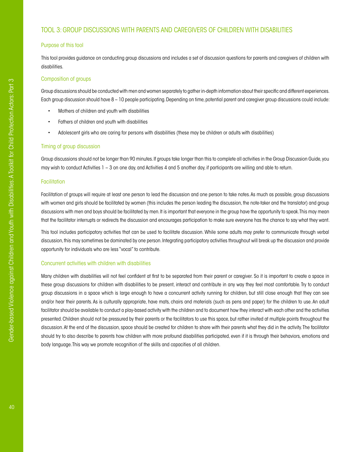# <span id="page-41-0"></span>[TOOL 3: GROUP DISCUSSIONS WITH PARENTS](#page-41-0) AND CAREGIVERS OF CHILDREN WITH DISABILITIES

## Purpose of this tool

This tool provides guidance on conducting group discussions and includes a set of discussion questions for parents and caregivers of children with disabilities.

# Composition of groups

Group discussions should be conducted with men and women separately to gather in-depth information about their specific and different experiences. Each group discussion should have 8 – 10 people participating. Depending on time, potential parent and caregiver group discussions could include:

- Mothers of children and youth with disabilities
- Fathers of children and youth with disabilities
- Adolescent girls who are caring for persons with disabilities (these may be children or adults with disabilities)

#### Timing of group discussion

Group discussions should not be longer than 90 minutes. If groups take longer than this to complete all activities in the Group Discussion Guide, you may wish to conduct Activities 1 – 3 on one day, and Activities 4 and 5 another day, if participants are willing and able to return.

#### Facilitation

Facilitation of groups will require at least one person to lead the discussion and one person to take notes. As much as possible, group discussions with women and girls should be facilitated by women (this includes the person leading the discussion, the note-taker and the translator) and group discussions with men and boys should be facilitated by men. It is important that everyone in the group have the opportunity to speak. This may mean that the facilitator interrupts or redirects the discussion and encourages participation to make sure everyone has the chance to say what they want.

This tool includes participatory activities that can be used to facilitate discussion. While some adults may prefer to communicate through verbal discussion, this may sometimes be dominated by one person. Integrating participatory activities throughout will break up the discussion and provide opportunity for individuals who are less "vocal" to contribute.

## Concurrent activities with children with disabilities

Many children with disabilities will not feel confident at first to be separated from their parent or caregiver. So it is important to create a space in these group discussions for children with disabilities to be present, interact and contribute in any way they feel most comfortable. Try to conduct group discussions in a space which is large enough to have a concurrent activity running for children, but still close enough that they can see and/or hear their parents. As is culturally appropriate, have mats, chairs and materials (such as pens and paper) for the children to use. An adult facilitator should be available to conduct a play-based activity with the children and to document how they interact with each other and the activities presented. Children should not be pressured by their parents or the facilitators to use this space, but rather invited at multiple points throughout the discussion. At the end of the discussion, space should be created for children to share with their parents what they did in the activity. The facilitator should try to also describe to parents how children with more profound disabilities participated, even if it is through their behaviors, emotions and body language. This way we promote recognition of the skills and capacities of all children.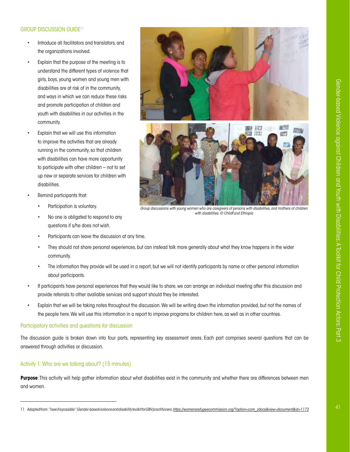# **GROUP DISCUSSION GUIDE<sup>11</sup>**

- Introduce all facilitators and translators, and the organizations involved.
- Explain that the purpose of the meeting is to understand the different types of violence that girls, boys, young women and young men with disabilities are at risk of in the community, and ways in which we can reduce these risks and promote participation of children and youth with disabilities in our activities in the community.
- Explain that we will use this information to improve the activities that are already running in the community, so that children with disabilities can have more opportunity to participate with other children – not to set up new or separate services for children with disabilities.
- Remind participants that:
	- Participation is voluntary.
	- No one is obligated to respond to any questions if s/he does not wish.
	- Participants can leave the discussion at any time.





*Group discussions with young women who are caregivers of persons with disabilities, and mothers of children with disabilities. © ChildFund Ethiopia*

- They should not share personal experiences, but can instead talk more generally about what they know happens in the wider community.
- The information they provide will be used in a report, but we will not identify participants by name or other personal information about participants.
- If participants have personal experiences that they would like to share, we can arrange an individual meeting after this discussion and provide referrals to other available services and support should they be interested.
- Explain that we will be taking notes throughout the discussion. We will be writing down the information provided, but not the names of the people here. We will use this information in a report to improve programs for children here, as well as in other countries.

# Participatory activities and questions for discussion

The discussion guide is broken down into four parts, representing key assessment areas. Each part comprises several questions that can be answered through activities or discussion.

# Activity 1: Who are we talking about? (15 minutes)

**Purpose**: This activity will help gather information about what disabilities exist in the community and whether there are differences between men and women.

<sup>11</sup> Adapted from: *"I see it is possible": Gender-based violence and disability toolkit for GBV practitioners[. https://womensrefugeecommission.org/?option=com\\_zdocs&view=document&id=1173](https://womensrefugeecommission.org/?option=com_zdocs&view=document&id=1173)*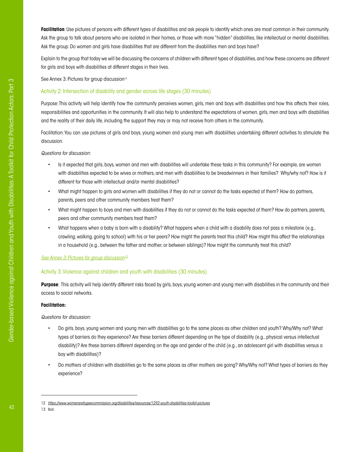**Facilitation**: Use pictures of persons with different types of disabilities and ask people to identify which ones are most common in their community. Ask the group to talk about persons who are isolated in their homes, or those with more "hidden" disabilities, like intellectual or mental disabilities. Ask the group: Do women and girls have disabilities that are different from the disabilities men and boys have?

Explain to the group that today we will be discussing the concerns of children with different types of disabilities, and how these concerns are different for girls and boys with disabilities at different stages in their lives.

See Annex 3: Pictures for group discussion<sup>12</sup>

# Activity 2: Intersection of disability and gender across life stages (30 minutes)

Purpose: This activity will help identify how the community perceives women, girls, men and boys with disabilities and how this affects their roles, responsibilities and opportunities in the community. It will also help to understand the expectations of women, girls, men and boys with disabilities and the reality of their daily life, including the support they may or may not receive from others in the community.

Facilitation: You can use pictures of girls and boys, young women and young men with disabilities undertaking different activities to stimulate the discussion.

*Questions for discussion:* 

- Is it expected that girls, boys, women and men with disabilities will undertake these tasks in this community? For example, are women with disabilities expected to be wives or mothers, and men with disabilities to be breadwinners in their families? Why/why not? How is it different for those with intellectual and/or mental disabilities?
- What might happen to girls and women with disabilities if they do not or cannot do the tasks expected of them? How do partners, parents, peers and other community members treat them?
- What might happen to boys and men with disabilities if they do not or cannot do the tasks expected of them? How do partners, parents, peers and other community members treat them?
- What happens when a baby is born with a disability? What happens when a child with a disability does not pass a milestone (e.g., crawling, walking, going to school) with his or her peers? How might the parents treat this child? How might this affect the relationships in a household (e.g., between the father and mother, or between siblings)? How might the community treat this child?

# *[See Annex 3: Pictures for group discussion13](https://www.womensrefugeecommission.org/disabilities/resources/1292-youth-disabilities-toolkit-pictures)*

# Activity 3: Violence against children and youth with disabilities (30 minutes)

**Purpose**: This activity will help identify different risks faced by girls, boys, young women and young men with disabilities in the community and their access to social networks.

## **Facilitation:**

*Questions for discussion:* 

- Do girls, boys, young women and young men with disabilities go to the same places as other children and youth? Why/Why not? What types of barriers do they experience? Are these barriers different depending on the type of disability (e.g., physical versus intellectual disability)? Are these barriers different depending on the age and gender of the child (e.g., an adolescent girl with disabilities versus a boy with disabilities)?
- Do mothers of children with disabilities go to the same places as other mothers are going? Why/Why not? What types of barriers do they experience?

<sup>12</sup> *<https://www.womensrefugeecommission.org/disabilities/resources/1292-youth-disabilities-toolkit-pictures>*

<sup>13</sup> Ibid.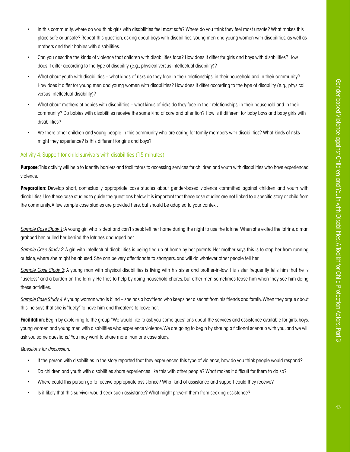- In this community, where do you think girls with disabilities feel most safe? Where do you think they feel most unsafe? What makes this place safe or unsafe? Repeat this question, asking about boys with disabilities, young men and young women with disabilities, as well as mothers and their babies with disabilities.
- Can you describe the kinds of violence that children with disabilities face? How does it differ for girls and boys with disabilities? How does it differ according to the type of disability (e.g., physical versus intellectual disability)?
- What about youth with disabilities what kinds of risks do they face in their relationships, in their household and in their community? How does it differ for young men and young women with disabilities? How does it differ according to the type of disability (e.g., physical versus intellectual disability)?
- What about mothers of babies with disabilities what kinds of risks do they face in their relationships, in their household and in their community? Do babies with disabilities receive the same kind of care and attention? How is it different for baby boys and baby girls with disabilities?
- Are there other children and young people in this community who are caring for family members with disabilities? What kinds of risks might they experience? Is this different for girls and boys?

## Activity 4: Support for child survivors with disabilities (15 minutes)

**Purpose**: This activity will help to identify barriers and facilitators to accessing services for children and youth with disabilities who have experienced violence.

**Preparation**: Develop short, contextually appropriate case studies about gender-based violence committed against children and youth with disabilities. Use these case studies to guide the questions below. It is important that these case studies are not linked to a specific story or child from the community. A few sample case studies are provided here, but should be adapted to your context.

*Sample Case Study 1*: A young girl who is deaf and can't speak left her home during the night to use the latrine. When she exited the latrine, a man grabbed her, pulled her behind the latrines and raped her.

*Sample Case Study 2*: A girl with intellectual disabilities is being tied up at home by her parents. Her mother says this is to stop her from running outside, where she might be abused. She can be very affectionate to strangers, and will do whatever other people tell her.

*Sample Case Study 3*: A young man with physical disabilities is living with his sister and brother-in-law. His sister frequently tells him that he is "useless" and a burden on the family. He tries to help by doing household chores, but other men sometimes tease him when they see him doing these activities.

*Sample Case Study 4*: A young woman who is blind – she has a boyfriend who keeps her a secret from his friends and family. When they argue about this, he says that she is "lucky" to have him and threatens to leave her.

Facilitation: Begin by explaining to the group, "We would like to ask you some questions about the services and assistance available for girls, boys, young women and young men with disabilities who experience violence. We are going to begin by sharing a fictional scenario with you, and we will ask you some questions." You may want to share more than one case study.

*Questions for discussion:*

- If the person with disabilities in the story reported that they experienced this type of violence, how do you think people would respond?
- Do children and youth with disabilities share experiences like this with other people? What makes it difficult for them to do so?
- Where could this person go to receive appropriate assistance? What kind of assistance and support could they receive?
- Is it likely that this survivor would seek such assistance? What might prevent them from seeking assistance?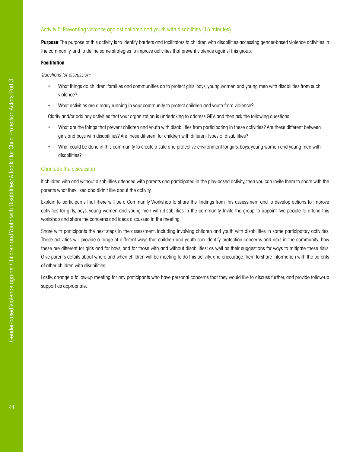# Activity 5: Preventing violence against children and youth with disabilities (15 minutes)

**Purpose**: The purpose of this activity is to identify barriers and facilitators to children with disabilities accessing gender-based violence activities in the community, and to define some strategies to improve activities that prevent violence against this group.

#### **Facilitation**:

*Questions for discussion:* 

- What things do children, families and communities do to protect girls, boys, young women and young men with disabilities from such violence?
- What activities are already running in your community to protect children and youth from violence?

Clarify and/or add any activities that your organization is undertaking to address GBV, and then ask the following questions:

- What are the things that prevent children and youth with disabilities from participating in these activities? Are these different between girls and boys with disabilities? Are these different for children with different types of disabilities?
- What could be done in this community to create a safe and protective environment for girls, boys, young women and young men with disabilities?

#### Conclude the discussion

If children with and without disabilities attended with parents and participated in the play-based activity, then you can invite them to share with the parents what they liked and didn't like about the activity.

Explain to participants that there will be a Community Workshop to share the findings from this assessment and to develop actions to improve activities for girls, boys, young women and young men with disabilities in the community. Invite the group to appoint two people to attend this workshop and share the concerns and ideas discussed in the meeting.

Share with participants the next steps in the assessment, including involving children and youth with disabilities in some participatory activities. These activities will provide a range of different ways that children and youth can identify protection concerns and risks in the community; how these are different for girls and for boys, and for those with and without disabilities; as well as their suggestions for ways to mitigate these risks. Give parents details about where and when children will be meeting to do this activity, and encourage them to share information with the parents of other children with disabilities.

Lastly, arrange a follow-up meeting for any participants who have personal concerns that they would like to discuss further, and provide follow-up support as appropriate.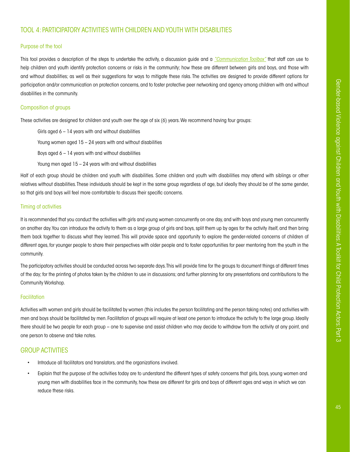# <span id="page-46-0"></span>[TOOL 4: PARTICIPATORY ACTIVITIES WITH CHILDREN](#page-46-0) AND YOUTH WITH DISABILITIES

# Purpose of the tool

This tool provides a description of the steps to undertake the activity, a discussion guide and a *["Communication Toolbox"](#page-65-0)* that staff can use to help children and youth identify protection concerns or risks in the community; how these are different between girls and boys, and those with and without disabilities; as well as their suggestions for ways to mitigate these risks. The activities are designed to provide different options for participation and/or communication on protection concerns, and to foster protective peer networking and agency among children with and without disabilities in the community.

# Composition of groups

These activities are designed for children and youth over the age of six (6) years. We recommend having four groups:

Girls aged  $6 - 14$  years with and without disabilities Young women aged  $15 - 24$  years with and without disabilities Boys aged  $6 - 14$  years with and without disabilities Young men aged 15 – 24 years with and without disabilities

Half of each group should be children and youth with disabilities. Some children and youth with disabilities may attend with siblings or other relatives without disabilities. These individuals should be kept in the same group regardless of age, but ideally they should be of the same gender, so that girls and boys will feel more comfortable to discuss their specific concerns.

# Timing of activities

It is recommended that you conduct the activities with girls and young women concurrently on one day, and with boys and young men concurrently on another day. You can introduce the activity to them as a large group of girls and boys, split them up by ages for the activity itself, and then bring them back together to discuss what they learned. This will provide space and opportunity to explore the gender-related concerns of children of different ages, for younger people to share their perspectives with older people and to foster opportunities for peer mentoring from the youth in the community.

The participatory activities should be conducted across two separate days. This will provide time for the groups to document things at different times of the day; for the printing of photos taken by the children to use in discussions; and further planning for any presentations and contributions to the Community Workshop.

# **Facilitation**

Activities with women and girls should be facilitated by women (this includes the person facilitating and the person taking notes) and activities with men and boys should be facilitated by men. Facilitation of groups will require at least one person to introduce the activity to the large group. Ideally there should be two people for each group – one to supervise and assist children who may decide to withdraw from the activity at any point, and one person to observe and take notes.

# GROUP ACTIVITIES

- Introduce all facilitators and translators, and the organizations involved.
- Explain that the purpose of the activities today are to understand the different types of safety concerns that girls, boys, young women and young men with disabilities face in the community, how these are different for girls and boys of different ages and ways in which we can reduce these risks.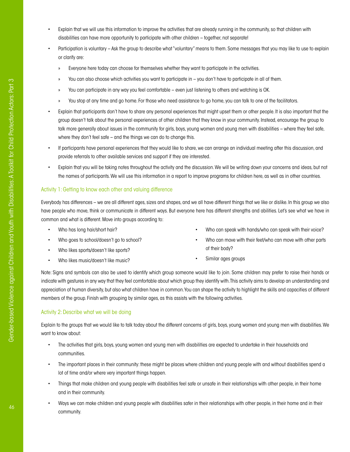- Explain that we will use this information to improve the activities that are already running in the community, so that children with disabilities can have more opportunity to participate with other children – together, not separate!
- Participation is voluntary Ask the group to describe what "voluntary" means to them. Some messages that you may like to use to explain or clarify are:
	- » Everyone here today can choose for themselves whether they want to participate in the activities.
	- » You can also choose which activities you want to participate in you don't have to participate in all of them.
	- » You can participate in any way you feel comfortable even just listening to others and watching is OK.
	- » You stop at any time and go home. For those who need assistance to go home, you can talk to one of the facilitators.
- Explain that participants don't have to share any personal experiences that might upset them or other people. It is also important that the group doesn't talk about the personal experiences of other children that they know in your community. Instead, encourage the group to talk more generally about issues in the community for girls, boys, young women and young men with disabilities – where they feel safe, where they don't feel safe – and the things we can do to change this.
- If participants have personal experiences that they would like to share, we can arrange an individual meeting after this discussion, and provide referrals to other available services and support if they are interested.
- Explain that you will be taking notes throughout the activity and the discussion. We will be writing down your concerns and ideas, but not the names of participants. We will use this information in a report to improve programs for children here, as well as in other countries.

# Activity 1: Getting to know each other and valuing difference

Everybody has differences – we are all different ages, sizes and shapes, and we all have different things that we like or dislike. In this group we also have people who move, think or communicate in different ways. But everyone here has different strengths and abilities. Let's see what we have in common and what is different. Move into groups according to:

- Who has long hair/short hair?
- Who goes to school/doesn't go to school?
- Who likes sports/doesn't like sports?
- Who likes music/doesn't like music?
- Who can speak with hands/who can speak with their voice?
- Who can move with their feet/who can move with other parts of their body?
- Similar ages groups

Note: Signs and symbols can also be used to identify which group someone would like to join. Some children may prefer to raise their hands or indicate with gestures in any way that they feel comfortable about which group they identify with. This activity aims to develop an understanding and appreciation of human diversity, but also what children have in common. You can shape the activity to highlight the skills and capacities of different members of the group. Finish with grouping by similar ages, as this assists with the following activities.

# Activity 2: Describe what we will be doing

Explain to the groups that we would like to talk today about the different concerns of girls, boys, young women and young men with disabilities. We want to know about:

- The activities that girls, boys, young women and young men with disabilities are expected to undertake in their households and communities.
- The important places in their community: these might be places where children and young people with and without disabilities spend a lot of time and/or where very important things happen.
- Things that make children and young people with disabilities feel safe or unsafe in their relationships with other people, in their home and in their community.
- Ways we can make children and young people with disabilities safer in their relationships with other people, in their home and in their community.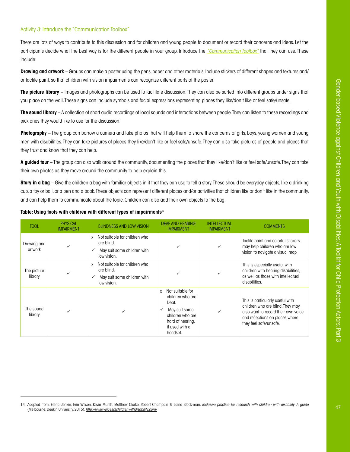# Activity 3: Introduce the "Communication Toolbox"

There are lots of ways to contribute to this discussion and for children and young people to document or record their concerns and ideas. Let the participants decide what the best way is for the different people in your group. Introduce the *["Communication Toolbox"](#page-65-0)* that they can use. These include:

**Drawing and artwork** – Groups can make a poster using the pens, paper and other materials. Include stickers of different shapes and textures and/ or tactile paint, so that children with vision impairments can recognize different parts of the poster.

**The picture library** – Images and photographs can be used to facilitate discussion. They can also be sorted into different groups under signs that you place on the wall. These signs can include symbols and facial expressions representing places they like/don't like or feel safe/unsafe.

**The sound library** – A collection of short audio recordings of local sounds and interactions between people. They can listen to these recordings and pick ones they would like to use for the discussion.

**Photography** – The group can borrow a camera and take photos that will help them to share the concerns of girls, boys, young women and young men with disabilities. They can take pictures of places they like/don't like or feel safe/unsafe. They can also take pictures of people and places that they trust and know that they can help.

**A guided tour** – The group can also walk around the community, documenting the places that they like/don't like or feel safe/unsafe. They can take their own photos as they move around the community to help explain this.

**Story in a bag** – Give the children a bag with familiar objects in it that they can use to tell a story. These should be everyday objects, like a drinking cup, a toy or ball, or a pen and a book. These objects can represent different places and/or activities that children like or don't like in the community, and can help them to communicate about the topic. Children can also add their own objects to the bag.

| <b>TOOL</b>            | <b>PHYSICAL</b><br><b>IMPAIRMENT</b> | <b>BLINDNESS AND LOW VISION</b>                                                                           | <b>DEAF AND HEARING</b><br><b>IMPAIRMENT</b>                                                                                              | <b>INTELLECTUAL</b><br><b>IMPAIRMENT</b> | <b>COMMENTS</b>                                                                                                                                                          |
|------------------------|--------------------------------------|-----------------------------------------------------------------------------------------------------------|-------------------------------------------------------------------------------------------------------------------------------------------|------------------------------------------|--------------------------------------------------------------------------------------------------------------------------------------------------------------------------|
| Drawing and<br>artwork | ✓                                    | Not suitable for children who<br>$\mathsf{x}$<br>are blind.<br>May suit some children with<br>low vision. |                                                                                                                                           |                                          | Tactile paint and colorful stickers<br>may help children who are low<br>vision to navigate a visual map.                                                                 |
| The picture<br>library | $\checkmark$                         | Not suitable for children who<br>X<br>are blind.<br>May suit some children with<br>low vision.            |                                                                                                                                           |                                          | This is especially useful with<br>children with hearing disabilities,<br>as well as those with intellectual<br>disabilities.                                             |
| The sound<br>library   | $\checkmark$                         |                                                                                                           | Not suitable for<br>x<br>children who are<br>Deaf.<br>May suit some<br>children who are<br>hard of hearing,<br>if used with a<br>headset. |                                          | This is particularly useful with<br>children who are blind. They may<br>also want to record their own voice<br>and reflections on places where<br>they feel safe/unsafe. |

#### **Table: Using tools with children with different types of impairments**<sup>14</sup>

<sup>14</sup> Adapted from: Elena Jenkin, Erin Wilson, Kevin Murfitt, Matthew Clarke, Robert Champain & Laine Stock-man, *Inclusive practice for research with children with disability: A guide*  (Melbourne: Deakin University, 2015). *<http://www.voicesofchildrenwithdisability.com/>*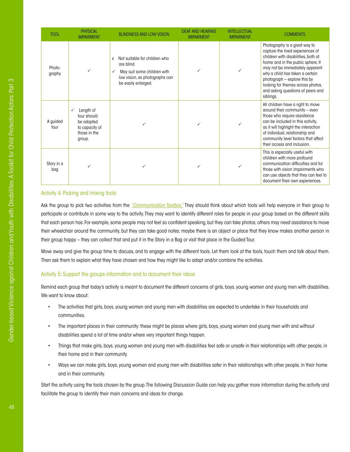| <b>TOOL</b>       | <b>PHYSICAL</b><br><b>IMPAIRMENT</b>                                               | <b>BLINDNESS AND LOW VISION</b>                                                                                                                          | <b>DEAF AND HEARING</b><br><b>IMPAIRMENT</b> | <b>INTELLECTUAL</b><br><b>IMPAIRMENT</b> | <b>COMMENTS</b>                                                                                                                                                                                                                                                                                                                            |
|-------------------|------------------------------------------------------------------------------------|----------------------------------------------------------------------------------------------------------------------------------------------------------|----------------------------------------------|------------------------------------------|--------------------------------------------------------------------------------------------------------------------------------------------------------------------------------------------------------------------------------------------------------------------------------------------------------------------------------------------|
| Photo-<br>graphy  | ✓                                                                                  | Not suitable for children who<br>X<br>are blind.<br>May suit some children with<br>$\checkmark$<br>low vision, as photographs can<br>be easily enlarged. |                                              |                                          | Photography is a great way to<br>capture the lived experiences of<br>children with disabilities, both at<br>home and in the public sphere. It<br>may not be immediately apparent<br>why a child has taken a certain<br>photograph - explore this by<br>looking for themes across photos,<br>and asking questions of peers and<br>siblings. |
| A guided<br>tour  | Length of<br>tour should<br>be adapted<br>to capacity of<br>those in the<br>group. |                                                                                                                                                          |                                              |                                          | All children have a right to move<br>around their community - even<br>those who require assistance<br>can be included in this activity,<br>as it will highlight the interaction<br>of individual, relationship and<br>community level factors that affect<br>their access and inclusion.                                                   |
| Story in a<br>bag | $\checkmark$                                                                       |                                                                                                                                                          |                                              |                                          | This is especially useful with<br>children with more profound<br>communication difficulties and for<br>those with vision impairments who<br>can use objects that they can feel to<br>document their own experiences.                                                                                                                       |

## Activity 4: Picking and mixing tools

Ask the group to pick two activities from the *["Communication Toolbox."](#page-65-0)* They should think about which tools will help everyone in their group to participate or contribute in some way to the activity. They may want to identify different roles for people in your group based on the different skills that each person has. For example, some people may not feel so confident speaking, but they can take photos; others may need assistance to move their wheelchair around the community, but they can take good notes; maybe there is an object or place that they know makes another person in their group happy – they can collect that and put it in the Story in a Bag or visit that place in the Guided Tour.

Move away and give the group time to discuss, and to engage with the different tools. Let them look at the tools, touch them and talk about them. Then ask them to explain what they have chosen and how they might like to adapt and/or combine the activities.

### Activity 5: Support the groups information and to document their ideas

Remind each group that today's activity is meant to document the different concerns of girls, boys, young women and young men with disabilities. We want to know about:

- The activities that girls, boys, young women and young men with disabilities are expected to undertake in their households and communities.
- The important places in their community: these might be places where girls, boys, young women and young men with and without disabilities spend a lot of time and/or where very important things happen.
- Things that make girls, boys, young women and young men with disabilities feel safe or unsafe in their relationships with other people, in their home and in their community.
- Ways we can make girls, boys, young women and young men with disabilities safer in their relationships with other people, in their home and in their community.

Start the activity using the tools chosen by the group. The following Discussion Guide can help you gather more information during the activity and facilitate the group to identify their main concerns and ideas for change.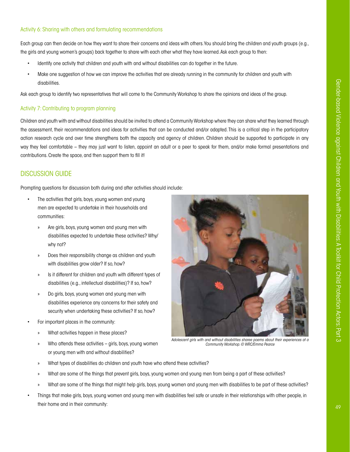# Activity 6: Sharing with others and formulating recommendations

Each group can then decide on how they want to share their concerns and ideas with others. You should bring the children and youth groups (e.g., the girls and young women's groups) back together to share with each other what they have learned. Ask each group to then:

- Identify one activity that children and youth with and without disabilities can do together in the future.
- Make one suggestion of how we can improve the activities that are already running in the community for children and youth with disabilities.

Ask each group to identify two representatives that will come to the Community Workshop to share the opinions and ideas of the group.

# Activity 7: Contributing to program planning

Children and youth with and without disabilities should be invited to attend a Community Workshop where they can share what they learned through the assessment, their recommendations and ideas for activities that can be conducted and/or adapted. This is a critical step in the participatory action research cycle and over time strengthens both the capacity and agency of children. Children should be supported to participate in any way they feel comfortable – they may just want to listen, appoint an adult or a peer to speak for them, and/or make formal presentations and contributions. Create the space, and then support them to fill it!

# DISCUSSION GUIDE

Prompting questions for discussion both during and after activities should include:

- The activities that girls, boys, young women and young men are expected to undertake in their households and communities:
	- » Are girls, boys, young women and young men with disabilities expected to undertake these activities? Why/ why not?
	- » Does their responsibility change as children and youth with disabilities grow older? If so, how?
	- » Is it different for children and youth with different types of disabilities (e.g., intellectual disabilities)? If so, how?
	- » Do girls, boys, young women and young men with disabilities experience any concerns for their safety and security when undertaking these activities? If so, how?
- For important places in the community:
	- » What activities happen in these places?
	- » Who attends these activities girls, boys, young women or young men with and without disabilities?



*Adolescent girls with and without disabilities sharee poems about their experiences at a Community Workshop. © WRC/Emma Pearce*

- » What types of disabilities do children and youth have who attend these activities?
- » What are some of the things that prevent girls, boys, young women and young men from being a part of these activities?
- » What are some of the things that might help girls, boys, young women and young men with disabilities to be part of these activities?
- Things that make girls, boys, young women and young men with disabilities feel safe or unsafe in their relationships with other people, in their home and in their community: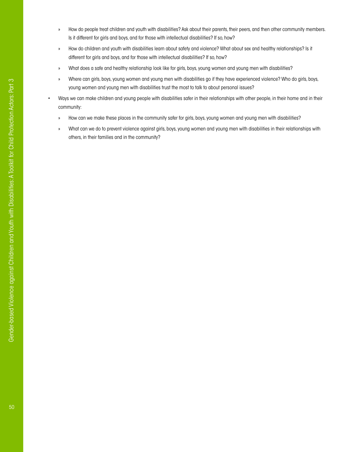- » How do people treat children and youth with disabilities? Ask about their parents, their peers, and then other community members. Is it different for girls and boys, and for those with intellectual disabilities? If so, how?
- » How do children and youth with disabilities learn about safety and violence? What about sex and healthy relationships? Is it different for girls and boys, and for those with intellectual disabilities? If so, how?
- » What does a safe and healthy relationship look like for girls, boys, young women and young men with disabilities?
- » Where can girls, boys, young women and young men with disabilities go if they have experienced violence? Who do girls, boys, young women and young men with disabilities trust the most to talk to about personal issues?
- Ways we can make children and young people with disabilities safer in their relationships with other people, in their home and in their community:
- » How can we make these places in the community safer for girls, boys, young women and young men with disabilities?
- » What can we do to prevent violence against girls, boys, young women and young men with disabilities in their relationships with others, in their families and in the community?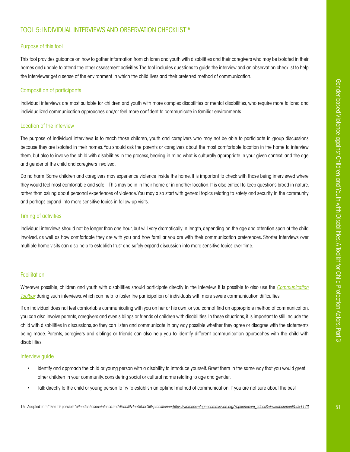# <span id="page-52-0"></span>[TOOL 5: INDIVIDUAL INTERVIEWS](#page-52-0) AND OBSERVATION CHECKLIST15

# Purpose of this tool

This tool provides guidance on how to gather information from children and youth with disabilities and their caregivers who may be isolated in their homes and unable to attend the other assessment activities. The tool includes questions to guide the interview and an observation checklist to help the interviewer get a sense of the environment in which the child lives and their preferred method of communication.

# Composition of participants

Individual interviews are most suitable for children and youth with more complex disabilities or mental disabilities, who require more tailored and individualized communication approaches and/or feel more confident to communicate in familiar environments.

# Location of the interview

The purpose of individual interviews is to reach those children, youth and caregivers who may not be able to participate in group discussions because they are isolated in their homes. You should ask the parents or caregivers about the most comfortable location in the home to interview them, but also to involve the child with disabilities in the process, bearing in mind what is culturally appropriate in your given context, and the age and gender of the child and caregivers involved.

Do no harm: Some children and caregivers may experience violence inside the home. It is important to check with those being interviewed where they would feel most comfortable and safe – This may be in in their home or in another location. It is also critical to keep questions broad in nature, rather than asking about personal experiences of violence. You may also start with general topics relating to safety and security in the community and perhaps expand into more sensitive topics in follow-up visits.

## Timing of activities

Individual interviews should not be longer than one hour, but will vary dramatically in length, depending on the age and attention span of the child involved, as well as how comfortable they are with you and how familiar you are with their communication preferences. Shorter interviews over multiple home visits can also help to establish trust and safely expand discussion into more sensitive topics over time.

# **Facilitation**

Wherever possible, children and youth with disabilities should participate directly in the interview. It is possible to also use the *[Communication](#page-65-0)  [Toolbox](#page-65-0)* during such interviews, which can help to foster the participation of individuals with more severe communication difficulties.

If an individual does not feel comfortable communicating with you on her or his own, or you cannot find an appropriate method of communication, you can also involve parents, caregivers and even siblings or friends of children with disabilities. In these situations, it is important to still include the child with disabilities in discussions, so they can listen and communicate in any way possible whether they agree or disagree with the statements being made. Parents, caregivers and siblings or friends can also help you to identify different communication approaches with the child with disabilities.

# Interview guide

- Identify and approach the child or young person with a disability to introduce yourself. Greet them in the same way that you would greet other children in your community, considering social or cultural norms relating to age and gender.
- Talk directly to the child or young person to try to establish an optimal method of communication. If you are not sure about the best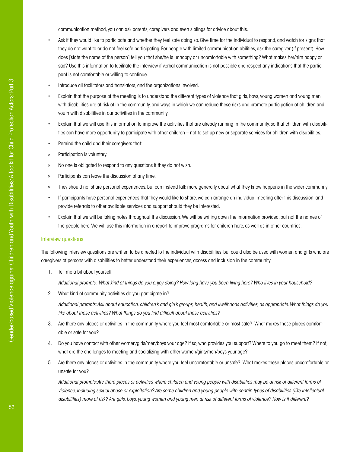communication method, you can ask parents, caregivers and even siblings for advice about this.

- Ask if they would like to participate and whether they feel safe doing so. Give time for the individual to respond, and watch for signs that they do not want to or do not feel safe participating. For people with limited communication abilities, ask the caregiver (if present): How does [state the name of the person] tell you that she/he is unhappy or uncomfortable with something? What makes her/him happy or sad? Use this information to facilitate the interview if verbal communication is not possible and respect any indications that the participant is not comfortable or willing to continue.
- Introduce all facilitators and translators, and the organizations involved.
- Explain that the purpose of the meeting is to understand the different types of violence that girls, boys, young women and young men with disabilities are at risk of in the community, and ways in which we can reduce these risks and promote participation of children and youth with disabilities in our activities in the community.
- Explain that we will use this information to improve the activities that are already running in the community, so that children with disabilities can have more opportunity to participate with other children – not to set up new or separate services for children with disabilities.
- Remind the child and their caregivers that:
- » Participation is voluntary.
- » No one is obligated to respond to any questions if they do not wish.
- » Participants can leave the discussion at any time.
- » They should not share personal experiences, but can instead talk more generally about what they know happens in the wider community.
- If participants have personal experiences that they would like to share, we can arrange an individual meeting after this discussion, and provide referrals to other available services and support should they be interested.
- Explain that we will be taking notes throughout the discussion. We will be writing down the information provided, but not the names of the people here. We will use this information in a report to improve programs for children here, as well as in other countries.

#### Interview questions

The following interview questions are written to be directed to the individual with disabilities, but could also be used with women and girls who are caregivers of persons with disabilities to better understand their experiences, access and inclusion in the community.

1. Tell me a bit about yourself.

*Additional prompts: What kind of things do you enjoy doing? How long have you been living here? Who lives in your household?* 

2. What kind of community activities do you participate in?

*Additional prompts: Ask about education, children's and girl's groups, health, and livelihoods activities, as appropriate. What things do you like about these activities? What things do you find difficult about these activities?*

- 3. Are there any places or activities in the community where you feel most comfortable or most safe? What makes these places comfortable or safe for you?
- 4. Do you have contact with other women/girls/men/boys your age? If so, who provides you support? Where to you go to meet them? If not, what are the challenges to meeting and socializing with other women/girls/men/boys your age?
- 5. Are there any places or activities in the community where you feel uncomfortable or unsafe? What makes these places uncomfortable or unsafe for you?

*Additional prompts: Are there places or activities where children and young people with disabilities may be at risk of different forms of violence, including sexual abuse or exploitation? Are some children and young people with certain types of disabilities (like intellectual disabilities) more at risk? Are girls, boys, young women and young men at risk of different forms of violence? How is it different?*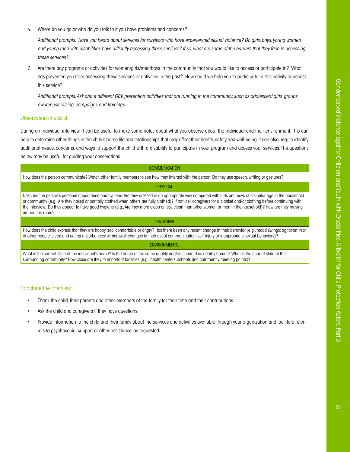6. Where do you go or who do you talk to if you have problems and concerns?

*Additional prompts: Have you heard about services for survivors who have experienced sexual violence? Do girls, boys, young women and young men with disabilities have difficulty accessing these services? If so, what are some of the barriers that they face in accessing these services?* 

7. Are there any programs or activities for women/girls/men/boys in the community that you would like to access or participate in? What has prevented you from accessing these services or activities in the past? How could we help you to participate in this activity or access this service?

*Additional prompts: Ask about different GBV prevention activities that are running in the community, such as adolescent girls' groups, awareness-raising, campaigns and trainings.*

# Observation checklist

During an individual interview, it can be useful to make some notes about what you observe about the individual and their environment. This can help to determine other things in the child's home life and relationships that may affect their health, safety and well-being. It can also help to identify additional needs, concerns, and ways to support the child with a disability to participate in your program and access your services. The questions below may be useful for guiding your observations.

| <b>COMMUNICATION</b>                                                                                                                                                                                                                                                                                                                                                                                                                                                                                                  |
|-----------------------------------------------------------------------------------------------------------------------------------------------------------------------------------------------------------------------------------------------------------------------------------------------------------------------------------------------------------------------------------------------------------------------------------------------------------------------------------------------------------------------|
| How does the person communicate? Watch other family members to see how they interact with the person. Do they use speech, writing or gestures?                                                                                                                                                                                                                                                                                                                                                                        |
| <b>PHYSICAL</b>                                                                                                                                                                                                                                                                                                                                                                                                                                                                                                       |
| Describe the person's personal appearance and hygiene. Are they dressed in an appropriate way compared with girls and boys of a similar age in the household<br>or community (e.g., Are they naked or partially clothed when others are fully clothed)? If not, ask caregivers for a blanket and/or clothing before continuing with<br>the interview. Do they appear to have good hygiene (e.g., Are they more clean or less clean than other women or men in the household)? How are they moving<br>around the room? |
| <b>EMOTIONAL</b>                                                                                                                                                                                                                                                                                                                                                                                                                                                                                                      |
| How does the child express that they are happy, sad, comfortable or angry? Has there been any recent change in their behavior (e.g., mood swings; agitation; fear<br>of other people; sleep and eating disturbances; withdrawal; changes in their usual communication; self-injury or inappropriate sexual behaviors)?                                                                                                                                                                                                |
| <b>ENVIRONMENTAL</b>                                                                                                                                                                                                                                                                                                                                                                                                                                                                                                  |
| What is the current state of the individual's home? Is the home of the same quality and/or standard as nearby homes? What is the current state of their<br>surrounding community? How close are they to important facilities (e.g., health centers, schools and community meeting points)?                                                                                                                                                                                                                            |

#### Conclude the interview

- Thank the child, their parents and other members of the family for their time and their contributions.
- Ask the child and caregivers if they have questions.
- Provide information to the child and their family about the services and activities available through your organization and facilitate referrals to psychosocial support or other assistance, as requested.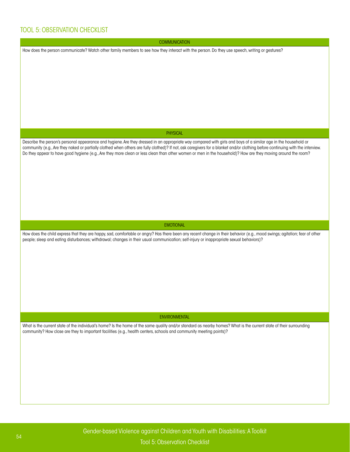# TOOL 5: OBSERVATION CHECKLIST

**COMMUNICATION** 

How does the person communicate? Watch other family members to see how they interact with the person. Do they use speech, writing or gestures?

#### PHYSICAL

Describe the person's personal appearance and hygiene. Are they dressed in an appropriate way compared with girls and boys of a similar age in the household or community (e.g., Are they naked or partially clothed when others are fully clothed)? If not, ask caregivers for a blanket and/or clothing before continuing with the interview. Do they appear to have good hygiene (e.g., Are they more clean or less clean than other women or men in the household)? How are they moving around the room?

#### EMOTIONAL

How does the child express that they are happy, sad, comfortable or angry? Has there been any recent change in their behavior (e.g., mood swings; agitation; fear of other people; sleep and eating disturbances; withdrawal; changes in their usual communication; self-injury or inappropriate sexual behaviors)?

#### ENVIRONMENTAL

What is the current state of the individual's home? Is the home of the same quality and/or standard as nearby homes? What is the current state of their surrounding community? How close are they to important facilities (e.g., health centers, schools and community meeting points)?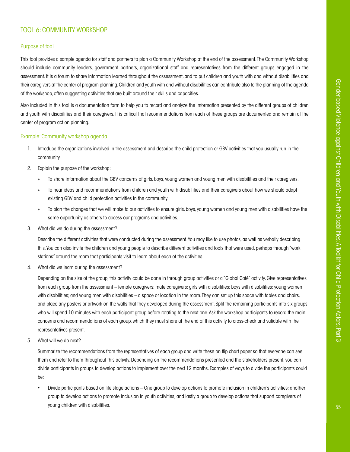# <span id="page-56-0"></span>[TOOL 6: COMMUNITY WORKSHOP](#page-56-0)

# Purpose of tool

This tool provides a sample agenda for staff and partners to plan a Community Workshop at the end of the assessment. The Community Workshop should include community leaders, government partners, organizational staff and representatives from the different groups engaged in the assessment. It is a forum to share information learned throughout the assessment, and to put children and youth with and without disabilities and their caregivers at the center of program planning. Children and youth with and without disabilities can contribute also to the planning of the agenda of the workshop, often suggesting activities that are built around their skills and capacities.

Also included in this tool is a documentation form to help you to record and analyze the information presented by the different groups of children and youth with disabilities and their caregivers. It is critical that recommendations from each of these groups are documented and remain at the center of program action planning.

# Example: Community workshop agenda

- 1. Introduce the organizations involved in the assessment and describe the child protection or GBV activities that you usually run in the community.
- 2. Explain the purpose of the workshop:
	- » To share information about the GBV concerns of girls, boys, young women and young men with disabilities and their caregivers.
	- » To hear ideas and recommendations from children and youth with disabilities and their caregivers about how we should adapt existing GBV and child protection activities in the community.
	- » To plan the changes that we will make to our activities to ensure girls, boys, young women and young men with disabilities have the same opportunity as others to access our programs and activities.
- 3. What did we do during the assessment?

Describe the different activities that were conducted during the assessment. You may like to use photos, as well as verbally describing this. You can also invite the children and young people to describe different activities and tools that were used, perhaps through "work stations" around the room that participants visit to learn about each of the activities.

4. What did we learn during the assessment?

Depending on the size of the group, this activity could be done in through group activities or a "Global Café" activity. Give representatives from each group from the assessment – female caregivers; male caregivers; girls with disabilities; boys with disabilities; young women with disabilities; and young men with disabilities – a space or location in the room. They can set up this space with tables and chairs, and place any posters or artwork on the walls that they developed during the assessment. Split the remaining participants into six groups who will spend 10 minutes with each participant group before rotating to the next one. Ask the workshop participants to record the main concerns and recommendations of each group, which they must share at the end of this activity to cross-check and validate with the representatives present.

5. What will we do next?

Summarize the recommendations from the representatives of each group and write these on flip chart paper so that everyone can see them and refer to them throughout this activity. Depending on the recommendations presented and the stakeholders present, you can divide participants in groups to develop actions to implement over the next 12 months. Examples of ways to divide the participants could be:

• Divide participants based on life stage actions – One group to develop actions to promote inclusion in children's activities; another group to develop actions to promote inclusion in youth activities; and lastly a group to develop actions that support caregivers of young children with disabilities.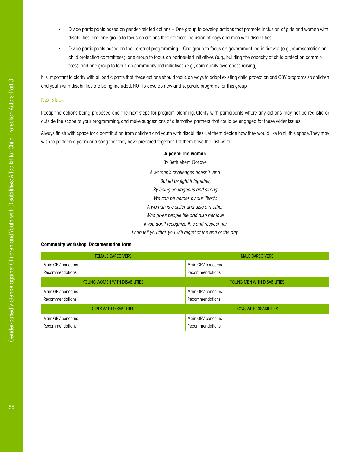- Divide participants based on gender-related actions One group to develop actions that promote inclusion of girls and women with disabilities; and one group to focus on actions that promote inclusion of boys and men with disabilities.
- Divide participants based on their area of programming One group to focus on government-led initiatives (e.g., representation on child protection committees); one group to focus on partner-led initiatives (e.g., building the capacity of child protection committees); and one group to focus on community-led initiatives (e.g., community awareness raising).

It is important to clarify with all participants that these actions should focus on ways to adapt existing child protection and GBV programs so children and youth with disabilities are being included, NOT to develop new and separate programs for this group.

#### Next steps

Recap the actions being proposed and the next steps for program planning. Clarify with participants where any actions may not be realistic or outside the scope of your programming, and make suggestions of alternative partners that could be engaged for these wider issues.

Always finish with space for a contribution from children and youth with disabilities. Let them decide how they would like to fill this space. They may wish to perform a poem or a song that they have prepared together. Let them have the last word!

#### **A poem: The woman**

By Bethlehem Gosaye *A woman's challenges doesn't end. But let us fight it together, By being courageous and strong We can be heroes by our liberty. A woman is a sister and also a mother, Who gives people life and also her love. If you don't recognize this and respect her I can tell you that, you will regret at the end of the day.*

# **Community workshop: Documentation form**

| <b>FEMALE CAREGIVERS</b>       | <b>MALE CAREGIVERS</b>             |
|--------------------------------|------------------------------------|
| Main GBV concerns              | Main GBV concerns                  |
| <b>Recommendations</b>         | <b>Recommendations</b>             |
| YOUNG WOMEN WITH DISABILITIES  | <b>YOUNG MEN WITH DISABILITIES</b> |
| Main GBV concerns              | Main GBV concerns                  |
| <b>Recommendations</b>         | <b>Recommendations</b>             |
| <b>GIRLS WITH DISABILITIES</b> | <b>BOYS WITH DISABILITIES</b>      |
| Main GBV concerns              | Main GBV concerns                  |
| Recommendations                | <b>Recommendations</b>             |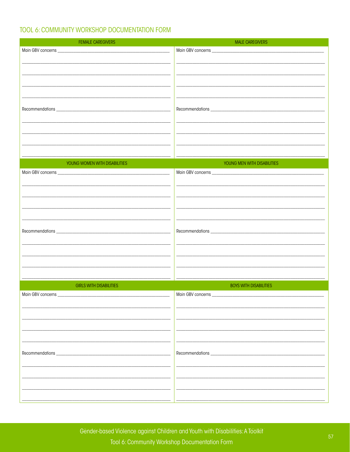# TOOL 6: COMMUNITY WORKSHOP DOCUMENTATION FORM

| <b>FEMALE CAREGIVERS</b>       | <b>MALE CAREGIVERS</b>        |
|--------------------------------|-------------------------------|
|                                |                               |
|                                |                               |
|                                |                               |
|                                |                               |
|                                |                               |
|                                |                               |
|                                |                               |
|                                |                               |
|                                |                               |
|                                |                               |
|                                |                               |
|                                |                               |
|                                |                               |
|                                |                               |
|                                |                               |
| YOUNG WOMEN WITH DISABILITIES  | YOUNG MEN WITH DISABILITIES   |
|                                |                               |
|                                |                               |
|                                |                               |
|                                |                               |
|                                |                               |
|                                |                               |
|                                |                               |
|                                |                               |
|                                |                               |
|                                |                               |
|                                |                               |
|                                |                               |
|                                |                               |
|                                |                               |
| <b>GIRLS WITH DISABILITIES</b> | <b>BOYS WITH DISABILITIES</b> |
|                                | Main GBV concerns _           |
| Main GBV concerns _            |                               |
|                                |                               |
|                                |                               |
|                                |                               |
|                                |                               |
|                                |                               |
|                                |                               |
|                                |                               |
|                                |                               |
|                                |                               |
|                                |                               |
|                                |                               |
|                                |                               |
|                                |                               |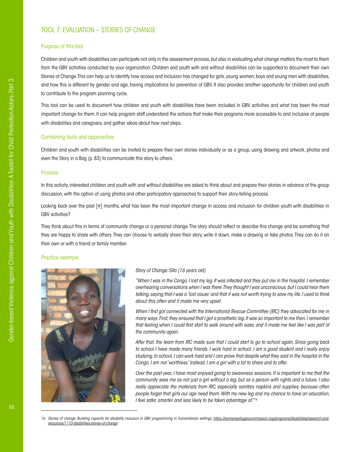# <span id="page-59-0"></span>[TOOL 7: EVALUATION – STORIES OF CHANGE](#page-59-0)

### Purpose of this tool

Children and youth with disabilities can participate not only in the assessment process, but also in evaluating what change matters the most to them from the GBV activities conducted by your organization. Children and youth with and without disabilities can be supported to document their own Stories of Change. This can help us to identify how access and inclusion has changed for girls, young women, boys and young men with disabilities, and how this is different by gender and age, having implications for prevention of GBV. It also provides another opportunity for children and youth to contribute to the program planning cycle.

This tool can be used to document how children and youth with disabilities have been included in GBV activities and what has been the most important change for them. It can help program staff understand the actions that make their programs more accessible to and inclusive of people with disabilities and caregivers, and gather ideas about how next steps.

#### Combining tools and approaches

Children and youth with disabilities can be invited to prepare their own stories individually or as a group, using drawing and artwork, photos and even the Story in a Bag (p. 83) to communicate this story to others.

## Process

In this activity, interested children and youth with and without disabilities are asked to think about and prepare their stories in advance of the group discussion, with the option of using photos and other participatory approaches to support their story-telling process.

Looking back over the past [#] months, what has been the most important change in access and inclusion for children youth with disabilities in GBV activities?

They think about this in terms of community change or a personal change. The story should reflect or describe this change and be something that they are happy to share with others. They can choose to verbally share their story, write it down, make a drawing or take photos. They can do it on their own or with a friend or family member.

#### Practice example



#### *Story of Change: Sifa (16 years old)*

*"When I was in the Congo, I lost my leg. It was infected and they put me in the hospital. I remember overhearing conversations when I was there. They thought I was unconscious, but I could hear them talking, saying that I was a 'lost cause' and that it was not worth trying to save my life. I used to think about this often and it made me very upset.*

*When I first got connected with the International Rescue Committee (IRC) they advocated for me in many ways. First, they ensured that I got a prosthetic leg. It was so important to me then. I remember that feeling when I could first start to walk around with ease, and it made me feel like I was part of the community again.*

*After that, the team from IRC made sure that I could start to go to school again. Since going back to school I have made many friends. I work hard in school. I am a good student and I really enjoy studying. In school, I can work hard and I can prove that despite what they said in the hospital in the Congo, I am not 'worthless.' Instead, I am a girl with a lot to share and to offer.*

*Over the past year, I have most enjoyed going to awareness sessions. It is important to me that the community sees me as not just a girl without a leg, but as a person with rights and a future. I also really appreciate the materials from IRC, especially sanitary napkins and supplies, because often people forget that girls our age need them. With my new leg and my chance to have an education, I feel safer, smarter and less likely to be taken advantage of."16*

16 Stories of change: Building capacity for disability inclusion in GBV programming in humanitarian settings. [https://womensrefugeecommission.org/programs/disabilities/research-and](https://womensrefugeecommission.org/programs/disabilities/research-and-resources/1110-disabilities-stories-of-change)*[resources/1110-disabilities-stories-of-change](https://womensrefugeecommission.org/programs/disabilities/research-and-resources/1110-disabilities-stories-of-change)*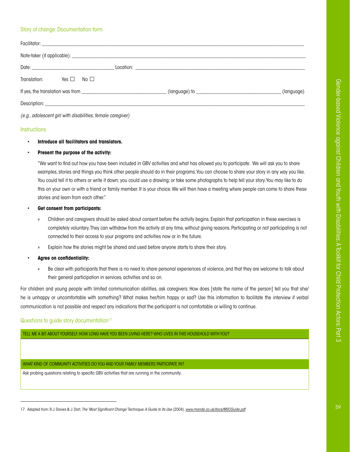# Story of change: Documentation form

| Translation: Yes $\Box$ No $\Box$                           |  |            |
|-------------------------------------------------------------|--|------------|
|                                                             |  | (language) |
|                                                             |  |            |
| (e.g., adolescent girl with disabilities; female caregiver) |  |            |

#### **Instructions**

## • **Introduce all facilitators and translators.**

#### • **Present the purpose of the activity:**

"We want to find out how you have been included in GBV activities and what has allowed you to participate. We will ask you to share examples, stories and things you think other people should do in their programs. You can choose to share your story in any way you like. You could tell it to others or write it down; you could use a drawing; or take some photographs to help tell your story. You may like to do this on your own or with a friend or family member. It is your choice. We will then have a meeting where people can come to share these stories and learn from each other."

#### • **Get consent from participants:**

- » Children and caregivers should be asked about consent before the activity begins. Explain that participation in these exercises is completely voluntary. They can withdraw from the activity at any time, without giving reasons. Participating or not participating is not connected to their access to your programs and activities now or in the future.
- Explain how the stories might be shared and used before anyone starts to share their story.

## • **Agree on confidentiality:**

» Be clear with participants that there is no need to share personal experiences of violence, and that they are welcome to talk about their general participation in services, activities and so on.

For children and young people with limited communication abilities, ask caregivers: How does [state the name of the person] tell you that she/ he is unhappy or uncomfortable with something? What makes her/him happy or sad? Use this information to facilitate the interview if verbal communication is not possible and respect any indications that the participant is not comfortable or willing to continue.

## Questions to guide story documentation<sup>17</sup>

TELL ME A BIT ABOUT YOURSELF. HOW LONG HAVE YOU BEEN LIVING HERE? WHO LIVES IN THIS HOUSEHOLD WITH YOU?

# WHAT KIND OF COMMUNITY ACTIVITIES DO YOU AND YOUR FAMILY MEMBERS PARTICIPATE IN?

Ask probing questions relating to specific GBV activities that are running in the community.

<sup>17</sup> Adapted from: R.J. Davies & J. Dart, *The 'Most Significant Change' Technique: A Guide to Its Use* (2004). *[www.mande.co.uk/docs/MSCGuide.pdf](http://www.mande.co.uk/docs/MSCGuide.pdf)*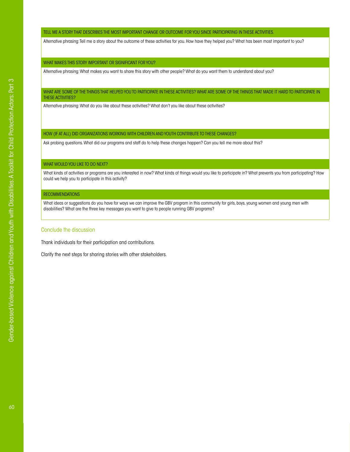#### TELL ME A STORY THAT DESCRIBES THE MOST IMPORTANT CHANGE OR OUTCOME FOR YOU SINCE PARTICIPATING IN THESE ACTIVITIES.

Alternative phrasing: Tell me a story about the outcome of these activities for you. How have they helped you? What has been most important to you?

#### WHAT MAKES THIS STORY IMPORTANT OR SIGNIFICANT FOR YOU?

Alternative phrasing: What makes you want to share this story with other people? What do you want them to understand about you?

#### WHAT ARE SOME OF THE THINGS THAT HELPED YOU TO PARTICIPATE IN THESE ACTIVITIES? WHAT ARE SOME OF THE THINGS THAT MADE IT HARD TO PARTICIPATE IN THESE ACTIVITIES?

Alternative phrasing: What do you like about these activities? What don't you like about these activities?

#### HOW (IF AT ALL) DID ORGANIZATIONS WORKING WITH CHILDREN AND YOUTH CONTRIBUTE TO THESE CHANGES?

Ask probing questions. What did our programs and staff do to help these changes happen? Can you tell me more about this?

## WHAT WOULD YOU LIKE TO DO NEXT?

What kinds of activities or programs are you interested in now? What kinds of things would you like to participate in? What prevents you from participating? How could we help you to participate in this activity?

#### **RECOMMENDATIONS**

What ideas or suggestions do you have for ways we can improve the GBV program in this community for girls, boys, young women and young men with disabilities? What are the three key messages you want to give to people running GBV programs?

#### Conclude the discussion

Thank individuals for their participation and contributions.

Clarify the next steps for sharing stories with other stakeholders.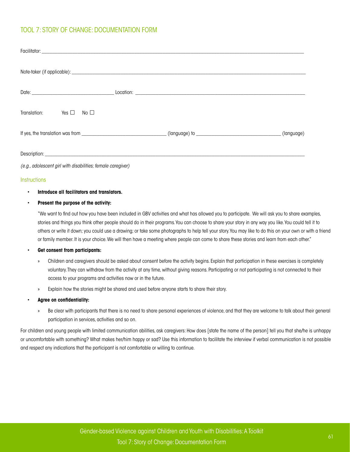# <span id="page-62-0"></span>[TOOL 7: STORY OF CHANGE](#page-62-0): DOCUMENTATION FORM

| Yes $\square$ No $\square$<br>Translation: |                                                                                                                     |  |
|--------------------------------------------|---------------------------------------------------------------------------------------------------------------------|--|
|                                            | If yes, the translation was from _________________________________(language) to _________________________(language) |  |
|                                            |                                                                                                                     |  |

*(e.g., adolescent girl with disabilities; female caregiver)*

#### **Instructions**

## • **Introduce all facilitators and translators.**

#### • **Present the purpose of the activity:**

"We want to find out how you have been included in GBV activities and what has allowed you to participate. We will ask you to share examples, stories and things you think other people should do in their programs. You can choose to share your story in any way you like. You could tell it to others or write it down; you could use a drawing; or take some photographs to help tell your story. You may like to do this on your own or with a friend or family member. It is your choice. We will then have a meeting where people can come to share these stories and learn from each other."

#### • **Get consent from participants:**

- » Children and caregivers should be asked about consent before the activity begins. Explain that participation in these exercises is completely voluntary. They can withdraw from the activity at any time, without giving reasons. Participating or not participating is not connected to their access to your programs and activities now or in the future.
- Explain how the stories might be shared and used before anyone starts to share their story.
- **Agree on confidentiality:**
	- » Be clear with participants that there is no need to share personal experiences of violence, and that they are welcome to talk about their general participation in services, activities and so on.

For children and young people with limited communication abilities, ask caregivers: How does [state the name of the person] tell you that she/he is unhappy or uncomfortable with something? What makes her/him happy or sad? Use this information to facilitate the interview if verbal communication is not possible and respect any indications that the participant is not comfortable or willing to continue.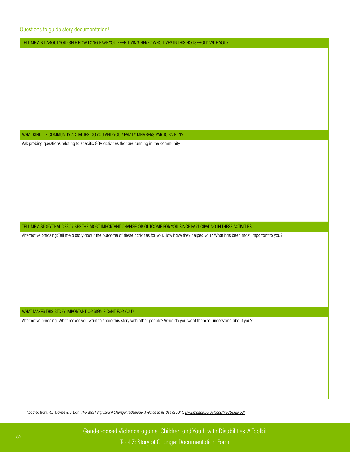Questions to guide story documentation<sup>1</sup>

TELL ME A BIT ABOUT YOURSELF. HOW LONG HAVE YOU BEEN LIVING HERE? WHO LIVES IN THIS HOUSEHOLD WITH YOU?

WHAT KIND OF COMMUNITY ACTIVITIES DO YOU AND YOUR FAMILY MEMBERS PARTICIPATE IN?

Ask probing questions relating to specific GBV activities that are running in the community.

TELL ME A STORY THAT DESCRIBES THE MOST IMPORTANT CHANGE OR OUTCOME FOR YOU SINCE PARTICIPATING IN THESE ACTIVITIES.

Alternative phrasing: Tell me a story about the outcome of these activities for you. How have they helped you? What has been most important to you?

WHAT MAKES THIS STORY IMPORTANT OR SIGNIFICANT FOR YOU?

Alternative phrasing: What makes you want to share this story with other people? What do you want them to understand about you?

1 Adapted from: R.J. Davies & J. Dart, *The 'Most Significant Change' Technique: A Guide to Its Use* (2004). *[www.mande.co.uk/docs/MSCGuide.pdf](http://www.mande.co.uk/docs/MSCGuide.pdf)*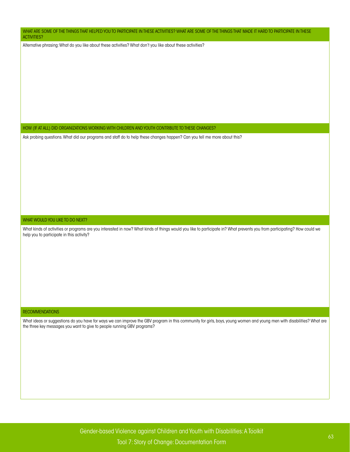WHAT ARE SOME OF THE THINGS THAT HELPED YOU TO PARTICIPATE IN THESE ACTIVITIES? WHAT ARE SOME OF THE THINGS THAT MADE IT HARD TO PARTICIPATE IN THESE ACTIVITIES?

Alternative phrasing: What do you like about these activities? What don't you like about these activities?

HOW (IF AT ALL) DID ORGANIZATIONS WORKING WITH CHILDREN AND YOUTH CONTRIBUTE TO THESE CHANGES?

Ask probing questions. What did our programs and staff do to help these changes happen? Can you tell me more about this?

## WHAT WOULD YOU LIKE TO DO NEXT?

What kinds of activities or programs are you interested in now? What kinds of things would you like to participate in? What prevents you from participating? How could we help you to participate in this activity?

#### RECOMMENDATIONS

What ideas or suggestions do you have for ways we can improve the GBV program in this community for girls, boys, young women and young men with disabilities? What are the three key messages you want to give to people running GBV programs?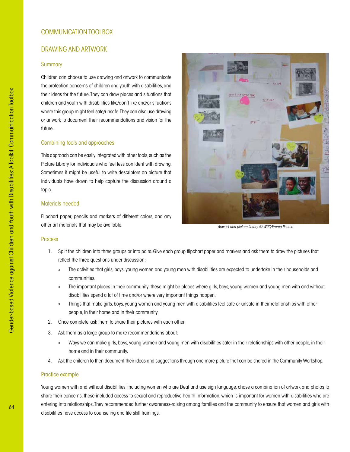# <span id="page-65-0"></span>[COMMUNICATION TOOLBOX](#page-65-0)

# DRAWING AND ARTWORK

## **Summary**

Children can choose to use drawing and artwork to communicate the protection concerns of children and youth with disabilities, and their ideas for the future. They can draw places and situations that children and youth with disabilities like/don't like and/or situations where this group might feel safe/unsafe. They can also use drawing or artwork to document their recommendations and vision for the future.

# Combining tools and approaches

This approach can be easily integrated with other tools, such as the Picture Library for individuals who feel less confident with drawing. Sometimes it might be useful to write descriptors on picture that individuals have drawn to help capture the discussion around a topic.

# Materials needed

Flipchart paper, pencils and markers of different colors, and any other art materials that may be available.



*Artwork and picture library. © WRC/Emma Pearce*

## Process

- 1. Split the children into three groups or into pairs. Give each group flipchart paper and markers and ask them to draw the pictures that reflect the three questions under discussion:
	- The activities that girls, boys, young women and young men with disabilities are expected to undertake in their households and communities.
	- » The important places in their community: these might be places where girls, boys, young women and young men with and without disabilities spend a lot of time and/or where very important things happen.
	- » Things that make girls, boys, young women and young men with disabilities feel safe or unsafe in their relationships with other people, in their home and in their community.
- 2. Once complete, ask them to share their pictures with each other.
- 3. Ask them as a large group to make recommendations about:
	- » Ways we can make girls, boys, young women and young men with disabilities safer in their relationships with other people, in their home and in their community.
- 4. Ask the children to then document their ideas and suggestions through one more picture that can be shared in the Community Workshop.

#### Practice example

Young women with and without disabilities, including women who are Deaf and use sign language, chose a combination of artwork and photos to share their concerns: these included access to sexual and reproductive health information, which is important for women with disabilities who are entering into relationships. They recommended further awareness-raising among families and the community to ensure that women and girls with disabilities have access to counseling and life skill trainings.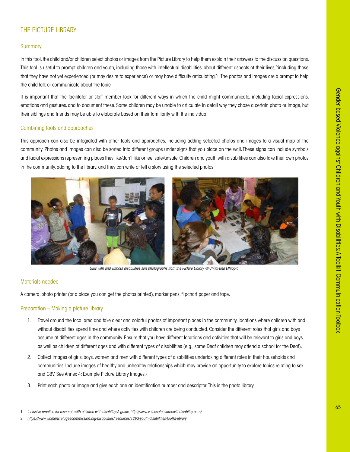# THE PICTURE LIBRARY

# **Summary**

In this tool, the child and/or children select photos or images from the Picture Library to help them explain their answers to the discussion questions. This tool is useful to prompt children and youth, including those with intellectual disabilities, about different aspects of their lives, "including those that they have not yet experienced (or may desire to experience) or may have difficulty articulating."1 The photos and images are a prompt to help the child talk or communicate about the topic.

It is important that the facilitator or staff member look for different ways in which the child might communicate, including facial expressions, emotions and gestures, and to document these. Some children may be unable to articulate in detail why they chose a certain photo or image, but their siblings and friends may be able to elaborate based on their familiarity with the individual.

## Combining tools and approaches

This approach can also be integrated with other tools and approaches, including adding selected photos and images to a visual map of the community. Photos and images can also be sorted into different groups under signs that you place on the wall. These signs can include symbols and facial expressions representing places they like/don't like or feel safe/unsafe. Children and youth with disabilities can also take their own photos in the community, adding to the library, and they can write or tell a story using the selected photos.



*Girls with and without disabilities sort photographs from the Picture Library. © ChildFund Ethiopia*

### Materials needed

A camera, photo printer (or a place you can get the photos printed), marker pens, flipchart paper and tape.

### Preparation – Making a picture library

- 1. Travel around the local area and take clear and colorful photos of important places in the community, locations where children with and without disabilities spend time and where activities with children are being conducted. Consider the different roles that girls and boys assume at different ages in the community. Ensure that you have different locations and activities that will be relevant to girls and boys, as well as children of different ages and with different types of disabilities (e.g., some Deaf children may attend a school for the Deaf).
- 2. Collect images of girls, boys, women and men with different types of disabilities undertaking different roles in their households and communities. Include images of healthy and unhealthy relationships which may provide an opportunity to explore topics relating to sex and GBV. See Annex 4: Example Picture Library Images.2
- 3. Print each photo or image and give each one an identification number and descriptor. This is the photo library.

<sup>1</sup> *Inclusive practice for research with children with disability: A guide*. *<http://www.voicesofchildrenwithdisability.com/>*

<sup>2</sup> *<https://www.womensrefugeecommission.org/disabilities/resources/1293-youth-disabilities-toolkit-library>*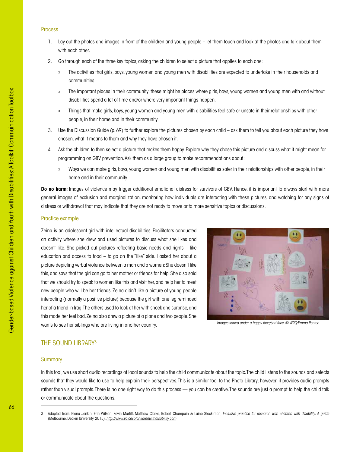# Process

- 1. Lay out the photos and images in front of the children and young people let them touch and look at the photos and talk about them with each other.
- 2. Go through each of the three key topics, asking the children to select a picture that applies to each one:
	- » The activities that girls, boys, young women and young men with disabilities are expected to undertake in their households and communities.
	- » The important places in their community: these might be places where girls, boys, young women and young men with and without disabilities spend a lot of time and/or where very important things happen.
	- » Things that make girls, boys, young women and young men with disabilities feel safe or unsafe in their relationships with other people, in their home and in their community.
- 3. Use the Discussion Guide (p. 69) to further explore the pictures chosen by each child ask them to tell you about each picture they have chosen, what it means to them and why they have chosen it.
- 4. Ask the children to then select a picture that makes them happy. Explore why they chose this picture and discuss what it might mean for programming on GBV prevention. Ask them as a large group to make recommendations about:
	- » Ways we can make girls, boys, young women and young men with disabilities safer in their relationships with other people, in their home and in their community.

**Do no harm**: Images of violence may trigger additional emotional distress for survivors of GBV. Hence, it is important to always start with more general images of exclusion and marginalization, monitoring how individuals are interacting with these pictures, and watching for any signs of distress or withdrawal that may indicate that they are not ready to move onto more sensitive topics or discussions.

#### Practice example

Zeina is an adolescent airl with intellectual disabilities. Facilitators conducted an activity where she drew and used pictures to discuss what she likes and doesn't like. She picked out pictures reflecting basic needs and rights – like education and access to food – to go on the "like" side. I asked her about a picture depicting verbal violence between a man and a women: She doesn't like this, and says that the girl can go to her mother or friends for help. She also said that we should try to speak to women like this and visit her, and help her to meet new people who will be her friends. Zeina didn't like a picture of young people interacting (normally a positive picture) because the girl with one leg reminded her of a friend in Iraq. The others used to look at her with shock and surprise, and this made her feel bad. Zeina also drew a picture of a plane and two people. She wants to see her siblings who are living in another country.



*Images sorted under a happy face/sad face. © WRC/Emma Pearce*

# THE SOUND LIBRARY3

# **Summary**

In this tool, we use short audio recordings of local sounds to help the child communicate about the topic. The child listens to the sounds and selects sounds that they would like to use to help explain their perspectives. This is a similar tool to the Photo Library; however, it provides audio prompts rather than visual prompts. There is no one right way to do this process — you can be creative. The sounds are just a prompt to help the child talk or communicate about the questions.

<sup>3</sup> Adapted from: Elena Jenkin, Erin Wilson, Kevin Murfitt, Matthew Clarke, Robert Champain & Laine Stock-man, *Inclusive practice for research with children with disability: A guide*  (Melbourne: Deakin University, 2015). *<http://www.voicesofchildrenwithdisability.com>*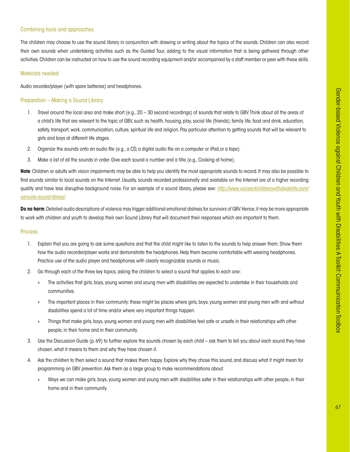# Combining tools and approaches

The children may choose to use the sound library in conjunction with drawing or writing about the topics of the sounds. Children can also record their own sounds when undertaking activities such as the Guided Tour, adding to the visual information that is being gathered through other activities. Children can be instructed on how to use the sound recording equipment and/or accompanied by a staff member or peer with these skills.

# Materials needed

Audio recorder/player (with spare batteries) and headphones.

# Preparation – Making a Sound Library

- 1. Travel around the local area and make short (e.g., 20 30 second recordings) of sounds that relate to GBV. Think about all the areas of a child's life that are relevant to the topic of GBV, such as health, housing, play, social life (friends), family life, food and drink, education, safety, transport, work, communication, culture, spiritual life and religion. Pay particular attention to getting sounds that will be relevant to girls and boys at different life stages.
- 2. Organize the sounds onto an audio file (e.g., a CD, a digital audio file on a computer or iPad,or a tape).
- 3. Make a list of all the sounds in order. Give each sound a number and a title (e.g., Cooking at home).

**Note**: Children or adults with vision impairments may be able to help you identify the most appropriate sounds to record. It may also be possible to find sounds similar to local sounds on the Internet. Usually, sounds recorded professionally and available on the Internet are of a higher recording quality and have less disruptive background noise. For an example of a sound library, please see: *[http://www.voicesofchildrenwithdisability.com/](http://www.voicesofchildrenwithdisability.com/vanuatu-sound-library/) [vanuatu-sound-library/](http://www.voicesofchildrenwithdisability.com/vanuatu-sound-library/)*.

**Do no harm**: Detailed audio descriptions of violence may trigger additional emotional distress for survivors of GBV. Hence, it may be more appropriate to work with children and youth to develop their own Sound Library that will document their responses which are important to them.

#### Process

- 1. Explain that you are going to ask some questions and that the child might like to listen to the sounds to help answer them. Show them how the audio recorder/player works and demonstrate the headphones. Help them become comfortable with wearing headphones. Practice use of the audio player and headphones with clearly recognizable sounds or music.
- 2. Go through each of the three key topics, asking the children to select a sound that applies to each one:
	- » The activities that girls, boys, young women and young men with disabilities are expected to undertake in their households and communities.
	- » The important places in their community: these might be places where girls, boys, young women and young men with and without disabilities spend a lot of time and/or where very important things happen.
	- » Things that make girls, boys, young women and young men with disabilities feel safe or unsafe in their relationships with other people, in their home and in their community.
- 3. Use the Discussion Guide (p. 69) to further explore the sounds chosen by each child ask them to tell you about each sound they have chosen, what it means to them and why they have chosen it.
- 4. Ask the children to then select a sound that makes them happy. Explore why they chose this sound, and discuss what it might mean for programming on GBV prevention. Ask them as a large group to make recommendations about:
	- » Ways we can make girls, boys, young women and young men with disabilities safer in their relationships with other people, in their home and in their community.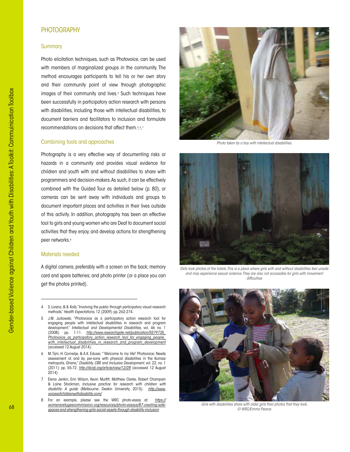# PHOTOGRAPHY

## **Summary**

Photo elicitation techniques, such as Photovoice, can be used with members of marginalized groups in the community. The method encourages participants to tell his or her own story and their community point of view through photographic images of their community and lives.4 Such techniques have been successfully in participatory action research with persons with disabilities, including those with intellectual disabilities, to document barriers and facilitators to inclusion and formulate recommendations on decisions that affect them.<sup>5</sup>,6,7

## Combining tools and approaches

Photography is a very effective way of documenting risks or hazards in a community and provides visual evidence for children and youth with and without disabilities to share with programmers and decision-makers. As such, it can be effectively combined with the Guided Tour as detailed below (p. 80), or cameras can be sent away with individuals and groups to document important places and activities in their lives outside of this activity. In addition, photography has been an effective tool to girls and young women who are Deaf to document social activities that they enjoy, and develop actions for strengthening peer networks.<sup>8</sup>

## Materials needed

A digital camera, preferably with a screen on the back; memory card and spare batteries; and photo printer (or a place you can get the photos printed).

5 J.M. Jurkowski, "Photovoice as a participatory action research tool for engaging people with intellectual disabilities in research and program development," *Intellectual and Developmental Disabilities*, vol. 46 no. 1 (2008): pp. 1-11. *[http://www.researchgate.net/publication/5579735\\_](http://www.researchgate.net/publication/5579735_Photovoice_as_participatory_action_research_tool_for_engaging_people_with_intellectual_disabilities_in_research_and_program_development) [Photovoice\\_as\\_participatory\\_action\\_research\\_tool\\_for\\_engaging\\_people\\_](http://www.researchgate.net/publication/5579735_Photovoice_as_participatory_action_research_tool_for_engaging_people_with_intellectual_disabilities_in_research_and_program_development) [with\\_intellectual\\_disabilities\\_in\\_research\\_and\\_program\\_development](http://www.researchgate.net/publication/5579735_Photovoice_as_participatory_action_research_tool_for_engaging_people_with_intellectual_disabilities_in_research_and_program_development)* (accessed 12 August 2014).

6 M. Tijm, H. Cornielje, & A.K. Edusei, "'Welcome to my life!' Photovoice: Needs assessment of, and by, per-sons with physical disabilities in the Kumasi metropolis, Ghana," *Disability, CBR and Inclusive Development*, vol. 22, no. 1 (2011): pp. 55-72. *<http://dcidj.org/article/view/12/28>* (accessed 12 August  $2014$ 

7 Elena Jenkin, Erin Wilson, Kevin Murfitt, Matthew Clarke, Robert Champain & Laine Stockman, *Inclusive practice for research with children with disability: A guide* (Melbourne: Deakin University, 2015). *[http://www.](http://www.voicesofchildrenwithdisability.com/) [voicesofchildrenwithdisability.com/](http://www.voicesofchildrenwithdisability.com/)*

8 For an example, please see the WRC photo-essay at: *[https://](https://womensrefugeecommission.org/resources/photo-essays/87-creating-safe-spaces-and-strengthening-girls-social-assets-through-disability-inclusion) [womensrefugeecommission.org/resources/photo-essays/87-creating-safe](https://womensrefugeecommission.org/resources/photo-essays/87-creating-safe-spaces-and-strengthening-girls-social-assets-through-disability-inclusion)[spaces-and-strengthening-girls-social-assets-through-disability-inclusion](https://womensrefugeecommission.org/resources/photo-essays/87-creating-safe-spaces-and-strengthening-girls-social-assets-through-disability-inclusion)*



*Photo taken by a boy with intellectual disabilities.* 



*Girls took photos of the toilets. This is a place where girls with and without disabilities feel unsafe and may experience sexual violence. They are also not accessible for girls with movement difficulties*



*Girls with disabilities share with older girls their photos that they took. © WRC/Emma Pearce*

<sup>4</sup> S. Lorenz, & B. Kolb, "Involving the public through participatory visual research methods," *Health Expectations*, 12 (2009): pp. 262-274.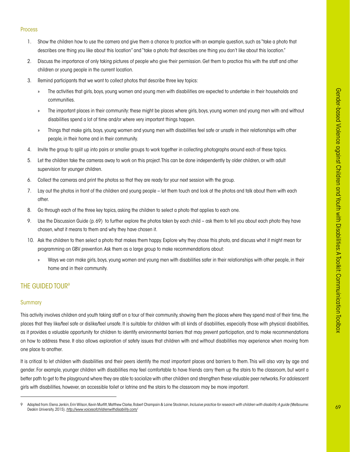#### Process

- 1. Show the children how to use the camera and give them a chance to practice with an example question, such as "take a photo that describes one thing you like about this location" and "take a photo that describes one thing you don't like about this location."
- 2. Discuss the importance of only taking pictures of people who give their permission. Get them to practice this with the staff and other children or young people in the current location.
- 3. Remind participants that we want to collect photos that describe three key topics:
	- » The activities that girls, boys, young women and young men with disabilities are expected to undertake in their households and communities.
	- » The important places in their community: these might be places where girls, boys, young women and young men with and without disabilities spend a lot of time and/or where very important things happen.
	- » Things that make girls, boys, young women and young men with disabilities feel safe or unsafe in their relationships with other people, in their home and in their community.
- 4. Invite the group to split up into pairs or smaller groups to work together in collecting photographs around each of these topics.
- 5. Let the children take the cameras away to work on this project. This can be done independently by older children, or with adult supervision for younger children.
- 6. Collect the cameras and print the photos so that they are ready for your next session with the group.
- 7. Lay out the photos in front of the children and young people let them touch and look at the photos and talk about them with each other.
- 8. Go through each of the three key topics, asking the children to select a photo that applies to each one.
- 9. Use the Discussion Guide (p. 69) to further explore the photos taken by each child ask them to tell you about each photo they have chosen, what it means to them and why they have chosen it.
- 10. Ask the children to then select a photo that makes them happy. Explore why they chose this photo, and discuss what it might mean for programming on GBV prevention. Ask them as a large group to make recommendations about:
	- » Ways we can make girls, boys, young women and young men with disabilities safer in their relationships with other people, in their home and in their community.

# THE GUIDED TOUR<sup>9</sup>

#### **Summary**

This activity involves children and youth taking staff on a tour of their community, showing them the places where they spend most of their time, the places that they like/feel safe or dislike/feel unsafe. It is suitable for children with all kinds of disabilities, especially those with physical disabilities, as it provides a valuable opportunity for children to identify environmental barriers that may prevent participation, and to make recommendations on how to address these. It also allows exploration of safety issues that children with and without disabilities may experience when moving from one place to another.

It is critical to let children with disabilities and their peers identify the most important places and barriers to them. This will also vary by age and gender. For example, younger children with disabilities may feel comfortable to have friends carry them up the stairs to the classroom, but want a better path to get to the playground where they are able to socialize with other children and strengthen these valuable peer networks. For adolescent girls with disabilities, however, an accessible toilet or latrine and the stairs to the classroom may be more important.

<sup>9</sup> Adapted from: Elena Jenkin, Erin Wilson, Kevin Murfitt, Matthew Clarke, Robert Champain & Laine Stockman, Inclusive practice for research with children with disability: A guide (Melbourne: Deakin University, 2015). *<http://www.voicesofchildrenwithdisability.com/>*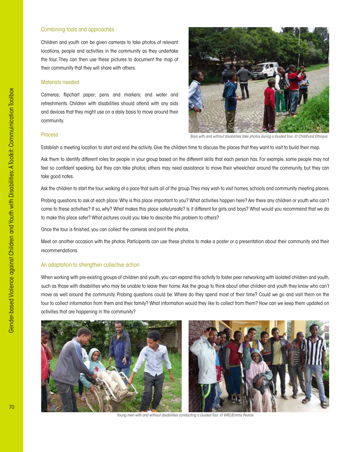## Combining tools and approaches

Children and youth can be given cameras to take photos of relevant locations, people and activities in the community as they undertake the tour. They can then use these pictures to document the map of their community that they will share with others.

#### Materials needed

Cameras; flipchart paper; pens and markers; and water and refreshments. Children with disabilities should attend with any aids and devices that they might use on a daily basis to move around their community.



*Boys with and without disabilities take photos during a Guided Tour. © ChildFund Ethiopia*

#### Process

Establish a meeting location to start and end the activity. Give the children time to discuss the places that they want to visit to build their map.

Ask them to identify different roles for people in your group based on the different skills that each person has. For example, some people may not feel so confident speaking, but they can take photos; others may need assistance to move their wheelchair around the community, but they can take good notes.

Ask the children to start the tour, walking at a pace that suits all of the group. They may wish to visit homes, schools and community meeting places.

Probing questions to ask at each place: Why is this place important to you? What activities happen here? Are there any children or youth who can't come to these activities? If so, why? What makes this place safe/unsafe? Is it different for girls and boys? What would you recommend that we do to make this place safer? What pictures could you take to describe this problem to others?

Once the tour is finished, you can collect the cameras and print the photos.

Meet on another occasion with the photos. Participants can use these photos to make a poster or a presentation about their community and their recommendations.

#### An adaptation to strengthen collective action

When working with pre-existing groups of children and youth, you can expand this activity to foster peer networking with isolated children and youth, such as those with disabilities who may be unable to leave their home. Ask the group to think about other children and youth they know who can't move as well around the community. Probing questions could be: Where do they spend most of their time? Could we go and visit them on the tour to collect information from them and their family? What information would they like to collect from them? How can we keep them updated on activities that are happening in the community?





*Young men with and without disabilities conducting a Guided Tour. © WRC/Emma Pearce*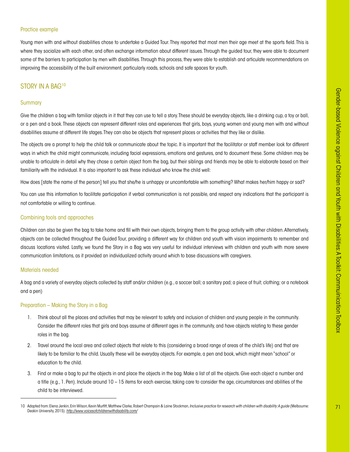#### Practice example

Young men with and without disabilities chose to undertake a Guided Tour. They reported that most men their age meet at the sports field. This is where they socialize with each other, and often exchange information about different issues. Through the guided tour, they were able to document some of the barriers to participation by men with disabilities. Through this process, they were able to establish and articulate recommendations on improving the accessibility of the built environment, particularly roads, schools and safe spaces for youth.

### STORY IN A BAG<sup>10</sup>

#### **Summary**

Give the children a bag with familiar objects in it that they can use to tell a story. These should be everyday objects, like a drinking cup, a toy or ball, or a pen and a book. These objects can represent different roles and experiences that girls, boys, young women and young men with and without disabilities assume at different life stages. They can also be objects that represent places or activities that they like or dislike.

The objects are a prompt to help the child talk or communicate about the topic. It is important that the facilitator or staff member look for different ways in which the child might communicate, including facial expressions, emotions and gestures, and to document these. Some children may be unable to articulate in detail why they chose a certain object from the bag, but their siblings and friends may be able to elaborate based on their familiarity with the individual. It is also important to ask these individual who know the child well:

How does [state the name of the person] tell you that she/he is unhappy or uncomfortable with something? What makes her/him happy or sad?

You can use this information to facilitate participation if verbal communication is not possible, and respect any indications that the participant is not comfortable or willing to continue.

#### Combining tools and approaches

Children can also be given the bag to take home and fill with their own objects, bringing them to the group activity with other children. Alternatively, objects can be collected throughout the Guided Tour, providing a different way for children and youth with vision impairments to remember and discuss locations visited. Lastly, we found the Story in a Bag was very useful for individual interviews with children and youth with more severe communication limitations, as it provided an individualized activity around which to base discussions with caregivers.

#### Materials needed

A bag and a variety of everyday objects collected by staff and/or children (e.g., a soccer ball; a sanitary pad; a piece of fruit; clothing; or a notebook and a pen)

#### Preparation – Making the Story in a Bag

- 1. Think about all the places and activities that may be relevant to safety and inclusion of children and young people in the community. Consider the different roles that girls and boys assume at different ages in the community, and have objects relating to these gender roles in the bag.
- 2. Travel around the local area and collect objects that relate to this (considering a broad range of areas of the child's life) and that are likely to be familiar to the child. Usually these will be everyday objects. For example, a pen and book, which might mean "school" or education to the child.
- 3. Find or make a bag to put the objects in and place the objects in the bag. Make a list of all the objects. Give each object a number and a title (e.g., 1. Pen). Include around 10 – 15 items for each exercise, taking care to consider the age, circumstances and abilities of the child to be interviewed.

<sup>10</sup> Adapted from: Elena Jenkin, Erin Wilson, Kevin Murfitt, Matthew Clarke, Robert Champain & Laine Stockman, *Inclusive practice for research with children with disability: A guide* (Melbourne: Deakin University, 2015). *<http://www.voicesofchildrenwithdisability.com/>*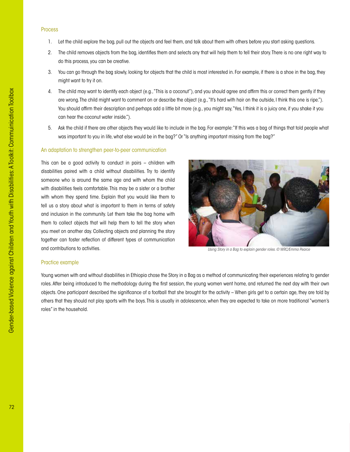#### Process

- 1. Let the child explore the bag, pull out the objects and feel them, and talk about them with others before you start asking questions.
- 2. The child removes objects from the bag, identifies them and selects any that will help them to tell their story. There is no one right way to do this process, you can be creative.
- 3. You can go through the bag slowly, looking for objects that the child is most interested in. For example, if there is a shoe in the bag, they might want to try it on.
- 4. The child may want to identify each object (e.g., "This is a coconut"), and you should agree and affirm this or correct them gently if they are wrong. The child might want to comment on or describe the object (e.g., "It's hard with hair on the outside, I think this one is ripe."). You should affirm their description and perhaps add a little bit more (e.g., you might say, "Yes, I think it is a juicy one, if you shake it you can hear the coconut water inside.").
- 5. Ask the child if there are other objects they would like to include in the bag. For example: "If this was a bag of things that told people what was important to you in life, what else would be in the bag?" Or "Is anything important missing from the bag?"

#### An adaptation to strengthen peer-to-peer communication

This can be a good activity to conduct in pairs – children with disabilities paired with a child without disabilities. Try to identify someone who is around the same age and with whom the child with disabilities feels comfortable. This may be a sister or a brother with whom they spend time. Explain that you would like them to tell us a story about what is important to them in terms of safety and inclusion in the community. Let them take the bag home with them to collect objects that will help them to tell the story when you meet on another day. Collecting objects and planning the story together can foster reflection of different types of communication and contributions to activities.



*Using Story in a Bag to explain gender roles. © WRC/Emma Pearce*

#### Practice example

Young women with and without disabilities in Ethiopia chose the Story in a Bag as a method of communicating their experiences relating to gender roles. After being introduced to the methodology during the first session, the young women went home, and returned the next day with their own objects. One participant described the significance of a football that she brought for the activity – When girls get to a certain age, they are told by others that they should not play sports with the boys. This is usually in adolescence, when they are expected to take on more traditional "women's roles" in the household.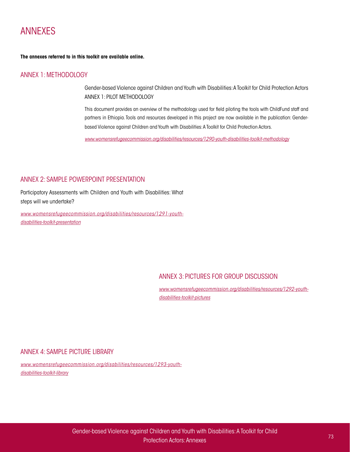# ANNEXES

**The annexes referred to in this toolkit are available online.**

# ANNEX 1: METHODOLOGY

Gender-based Violence against Children and Youth with Disabilities: A Toolkit for Child Protection Actors ANNEX 1: PILOT METHODOLOGY

This document provides an overview of the methodology used for field piloting the tools with ChildFund staff and partners in Ethiopia. Tools and resources developed in this project are now available in the publication: Genderbased Violence against Children and Youth with Disabilities: A Toolkit for Child Protection Actors.

*[www.womensrefugeecommission.org/disabilities/resources/1290-youth-disabilities-toolkit-methodology](https://www.womensrefugeecommission.org/disabilities/resources/1290-youth-disabilities-toolkit-methodology)*

# ANNEX 2: SAMPLE POWERPOINT PRESENTATION

Participatory Assessments with Children and Youth with Disabilities: What steps will we undertake?

*[www.womensrefugeecommission.org/disabilities/resources/1291-youth](https://www.womensrefugeecommission.org/disabilities/resources/1291-youth-disabilities-toolkit-presentation)[disabilities-toolkit-presentation](https://www.womensrefugeecommission.org/disabilities/resources/1291-youth-disabilities-toolkit-presentation)*

# ANNEX 3: PICTURES FOR GROUP DISCUSSION

*www.womensrefugeecommission.org/disabilities/resources/1292-youthdisabilities-toolkit-pictures*

# ANNEX 4: SAMPLE PICTURE LIBRARY

*www.womensrefugeecommission.org/disabilities/resources/1293-youthdisabilities-toolkit-library*